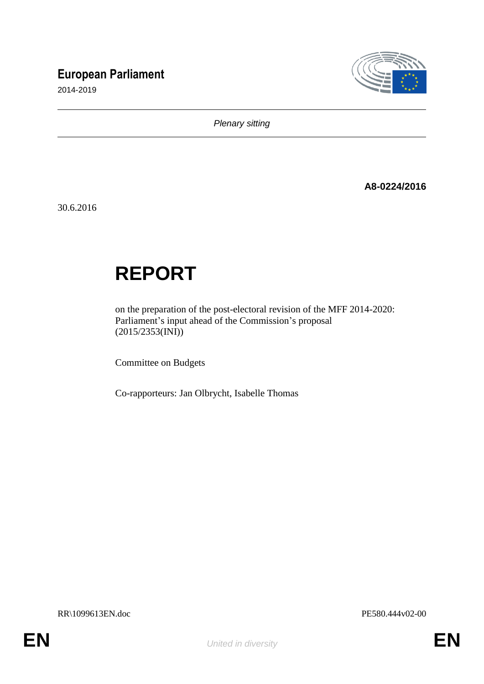# **European Parliament**

2014-2019



*Plenary sitting*

**A8-0224/2016**

30.6.2016

# **REPORT**

on the preparation of the post-electoral revision of the MFF 2014-2020: Parliament's input ahead of the Commission's proposal (2015/2353(INI))

Committee on Budgets

Co-rapporteurs: Jan Olbrycht, Isabelle Thomas

RR\1099613EN.doc PE580.444v02-00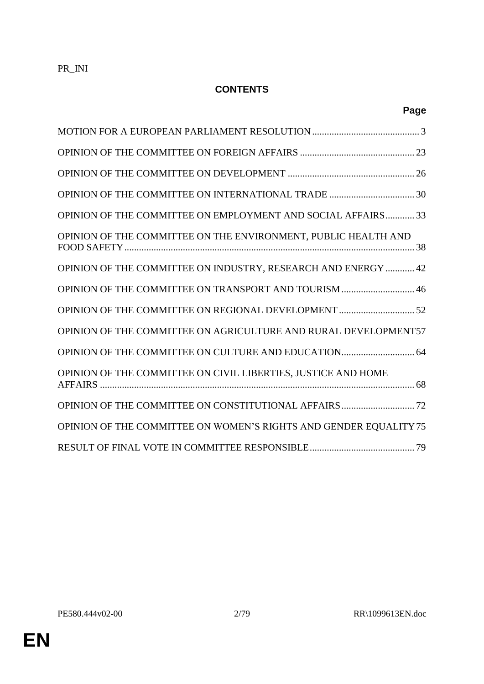# **CONTENTS**

| OPINION OF THE COMMITTEE ON EMPLOYMENT AND SOCIAL AFFAIRS 33      |  |
|-------------------------------------------------------------------|--|
| OPINION OF THE COMMITTEE ON THE ENVIRONMENT, PUBLIC HEALTH AND    |  |
| OPINION OF THE COMMITTEE ON INDUSTRY, RESEARCH AND ENERGY  42     |  |
| OPINION OF THE COMMITTEE ON TRANSPORT AND TOURISM  46             |  |
|                                                                   |  |
| OPINION OF THE COMMITTEE ON AGRICULTURE AND RURAL DEVELOPMENT57   |  |
|                                                                   |  |
| OPINION OF THE COMMITTEE ON CIVIL LIBERTIES, JUSTICE AND HOME     |  |
|                                                                   |  |
| OPINION OF THE COMMITTEE ON WOMEN'S RIGHTS AND GENDER EQUALITY 75 |  |
|                                                                   |  |

**Page**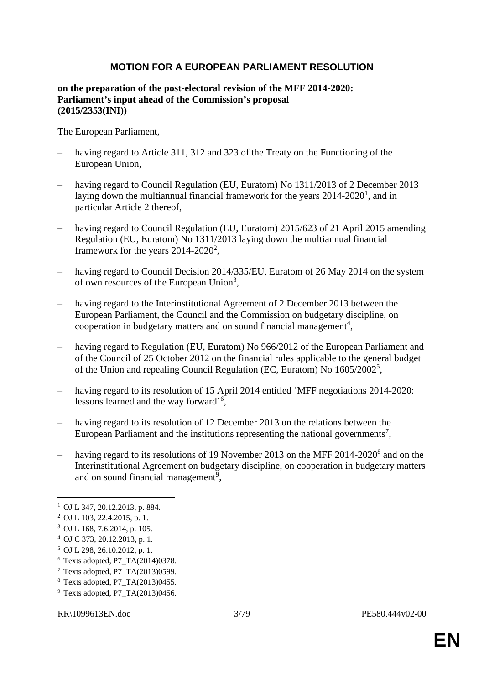#### **MOTION FOR A EUROPEAN PARLIAMENT RESOLUTION**

#### **on the preparation of the post-electoral revision of the MFF 2014-2020: Parliament's input ahead of the Commission's proposal (2015/2353(INI))**

The European Parliament,

- having regard to Article 311, 312 and 323 of the Treaty on the Functioning of the European Union,
- having regard to Council Regulation (EU, Euratom) No 1311/2013 of 2 December 2013 laying down the multiannual financial framework for the years  $2014-2020<sup>1</sup>$ , and in particular Article 2 thereof,
- having regard to Council Regulation (EU, Euratom) 2015/623 of 21 April 2015 amending Regulation (EU, Euratom) No 1311/2013 laying down the multiannual financial framework for the years  $2014 - 2020^2$ ,
- having regard to Council Decision 2014/335/EU, Euratom of 26 May 2014 on the system of own resources of the European Union<sup>3</sup>,
- having regard to the Interinstitutional Agreement of 2 December 2013 between the European Parliament, the Council and the Commission on budgetary discipline, on cooperation in budgetary matters and on sound financial management<sup>4</sup>,
- having regard to Regulation (EU, Euratom) No 966/2012 of the European Parliament and of the Council of 25 October 2012 on the financial rules applicable to the general budget of the Union and repealing Council Regulation (EC, Euratom) No 1605/2002<sup>5</sup>,
- having regard to its resolution of 15 April 2014 entitled 'MFF negotiations 2014-2020: lessons learned and the way forward'<sup>6</sup>,
- having regard to its resolution of 12 December 2013 on the relations between the European Parliament and the institutions representing the national governments<sup>7</sup>,
- having regard to its resolutions of 19 November 2013 on the MFF 2014-2020<sup>8</sup> and on the Interinstitutional Agreement on budgetary discipline, on cooperation in budgetary matters and on sound financial management<sup>9</sup>,

 $\overline{a}$ 

- $6$  Texts adopted, P7 TA $(2014)0378$ .
- <sup>7</sup> Texts adopted, P7\_TA(2013)0599.

 $9$  Texts adopted, P7 TA $(2013)0456$ .

<sup>1</sup> OJ L 347, 20.12.2013, p. 884.

<sup>2</sup> OJ L 103, 22.4.2015, p. 1.

<sup>3</sup> OJ L 168, 7.6.2014, p. 105.

<sup>4</sup> OJ C 373, 20.12.2013, p. 1.

<sup>5</sup> OJ L 298, 26.10.2012, p. 1.

<sup>8</sup> Texts adopted, P7\_TA(2013)0455.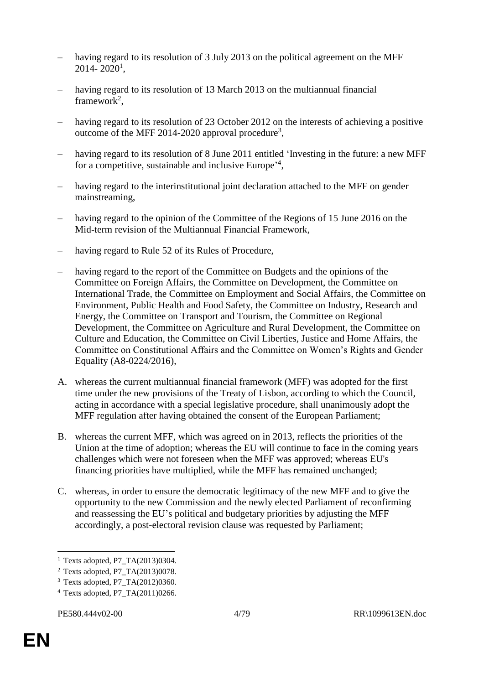- having regard to its resolution of 3 July 2013 on the political agreement on the MFF  $2014 - 2020$ <sup>1</sup>,
- having regard to its resolution of 13 March 2013 on the multiannual financial framework<sup>2</sup>,
- having regard to its resolution of 23 October 2012 on the interests of achieving a positive outcome of the MFF 2014-2020 approval procedure<sup>3</sup>,
- having regard to its resolution of 8 June 2011 entitled 'Investing in the future: a new MFF for a competitive, sustainable and inclusive Europe<sup>24</sup>,
- having regard to the interinstitutional joint declaration attached to the MFF on gender mainstreaming,
- having regard to the opinion of the Committee of the Regions of 15 June 2016 on the Mid-term revision of the Multiannual Financial Framework,
- having regard to Rule 52 of its Rules of Procedure,
- having regard to the report of the Committee on Budgets and the opinions of the Committee on Foreign Affairs, the Committee on Development, the Committee on International Trade, the Committee on Employment and Social Affairs, the Committee on Environment, Public Health and Food Safety, the Committee on Industry, Research and Energy, the Committee on Transport and Tourism, the Committee on Regional Development, the Committee on Agriculture and Rural Development, the Committee on Culture and Education, the Committee on Civil Liberties, Justice and Home Affairs, the Committee on Constitutional Affairs and the Committee on Women's Rights and Gender Equality (A8-0224/2016),
- A. whereas the current multiannual financial framework (MFF) was adopted for the first time under the new provisions of the Treaty of Lisbon, according to which the Council, acting in accordance with a special legislative procedure, shall unanimously adopt the MFF regulation after having obtained the consent of the European Parliament;
- B. whereas the current MFF, which was agreed on in 2013, reflects the priorities of the Union at the time of adoption; whereas the EU will continue to face in the coming years challenges which were not foreseen when the MFF was approved; whereas EU's financing priorities have multiplied, while the MFF has remained unchanged;
- C. whereas, in order to ensure the democratic legitimacy of the new MFF and to give the opportunity to the new Commission and the newly elected Parliament of reconfirming and reassessing the EU's political and budgetary priorities by adjusting the MFF accordingly, a post-electoral revision clause was requested by Parliament;

 $\overline{a}$ 

<sup>&</sup>lt;sup>1</sup> Texts adopted, P7 TA $(2013)0304$ .

<sup>2</sup> Texts adopted, P7\_TA(2013)0078.

<sup>&</sup>lt;sup>3</sup> Texts adopted, P7\_TA(2012)0360.

 $4$  Texts adopted, P7 TA $(2011)0266$ .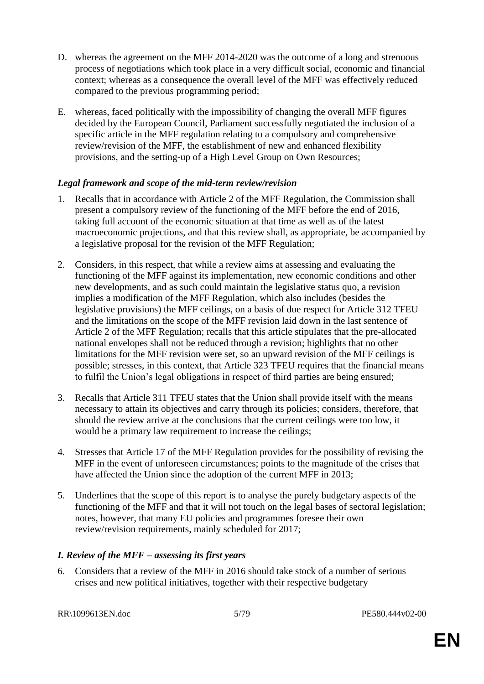- D. whereas the agreement on the MFF 2014-2020 was the outcome of a long and strenuous process of negotiations which took place in a very difficult social, economic and financial context; whereas as a consequence the overall level of the MFF was effectively reduced compared to the previous programming period;
- E. whereas, faced politically with the impossibility of changing the overall MFF figures decided by the European Council, Parliament successfully negotiated the inclusion of a specific article in the MFF regulation relating to a compulsory and comprehensive review/revision of the MFF, the establishment of new and enhanced flexibility provisions, and the setting-up of a High Level Group on Own Resources;

#### *Legal framework and scope of the mid-term review/revision*

- 1. Recalls that in accordance with Article 2 of the MFF Regulation, the Commission shall present a compulsory review of the functioning of the MFF before the end of 2016, taking full account of the economic situation at that time as well as of the latest macroeconomic projections, and that this review shall, as appropriate, be accompanied by a legislative proposal for the revision of the MFF Regulation;
- 2. Considers, in this respect, that while a review aims at assessing and evaluating the functioning of the MFF against its implementation, new economic conditions and other new developments, and as such could maintain the legislative status quo, a revision implies a modification of the MFF Regulation, which also includes (besides the legislative provisions) the MFF ceilings, on a basis of due respect for Article 312 TFEU and the limitations on the scope of the MFF revision laid down in the last sentence of Article 2 of the MFF Regulation; recalls that this article stipulates that the pre-allocated national envelopes shall not be reduced through a revision; highlights that no other limitations for the MFF revision were set, so an upward revision of the MFF ceilings is possible; stresses, in this context, that Article 323 TFEU requires that the financial means to fulfil the Union's legal obligations in respect of third parties are being ensured;
- 3. Recalls that Article 311 TFEU states that the Union shall provide itself with the means necessary to attain its objectives and carry through its policies; considers, therefore, that should the review arrive at the conclusions that the current ceilings were too low, it would be a primary law requirement to increase the ceilings:
- 4. Stresses that Article 17 of the MFF Regulation provides for the possibility of revising the MFF in the event of unforeseen circumstances; points to the magnitude of the crises that have affected the Union since the adoption of the current MFF in 2013;
- 5. Underlines that the scope of this report is to analyse the purely budgetary aspects of the functioning of the MFF and that it will not touch on the legal bases of sectoral legislation; notes, however, that many EU policies and programmes foresee their own review/revision requirements, mainly scheduled for 2017;

# *I. Review of the MFF – assessing its first years*

6. Considers that a review of the MFF in 2016 should take stock of a number of serious crises and new political initiatives, together with their respective budgetary

RR\1099613EN.doc 5/79 PE580.444v02-00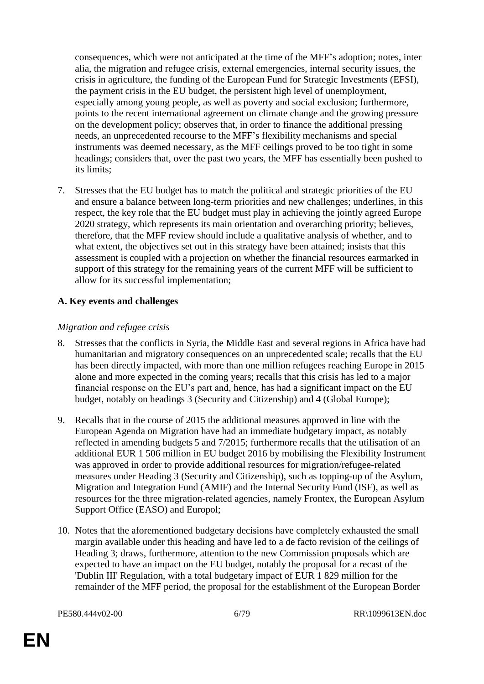consequences, which were not anticipated at the time of the MFF's adoption; notes, inter alia, the migration and refugee crisis, external emergencies, internal security issues, the crisis in agriculture, the funding of the European Fund for Strategic Investments (EFSI), the payment crisis in the EU budget, the persistent high level of unemployment, especially among young people, as well as poverty and social exclusion; furthermore, points to the recent international agreement on climate change and the growing pressure on the development policy; observes that, in order to finance the additional pressing needs, an unprecedented recourse to the MFF's flexibility mechanisms and special instruments was deemed necessary, as the MFF ceilings proved to be too tight in some headings; considers that, over the past two years, the MFF has essentially been pushed to its limits;

7. Stresses that the EU budget has to match the political and strategic priorities of the EU and ensure a balance between long-term priorities and new challenges; underlines, in this respect, the key role that the EU budget must play in achieving the jointly agreed Europe 2020 strategy, which represents its main orientation and overarching priority; believes, therefore, that the MFF review should include a qualitative analysis of whether, and to what extent, the objectives set out in this strategy have been attained; insists that this assessment is coupled with a projection on whether the financial resources earmarked in support of this strategy for the remaining years of the current MFF will be sufficient to allow for its successful implementation;

# **A. Key events and challenges**

#### *Migration and refugee crisis*

- 8. Stresses that the conflicts in Syria, the Middle East and several regions in Africa have had humanitarian and migratory consequences on an unprecedented scale; recalls that the EU has been directly impacted, with more than one million refugees reaching Europe in 2015 alone and more expected in the coming years; recalls that this crisis has led to a major financial response on the EU's part and, hence, has had a significant impact on the EU budget, notably on headings 3 (Security and Citizenship) and 4 (Global Europe);
- 9. Recalls that in the course of 2015 the additional measures approved in line with the European Agenda on Migration have had an immediate budgetary impact, as notably reflected in amending budgets 5 and 7/2015; furthermore recalls that the utilisation of an additional EUR 1 506 million in EU budget 2016 by mobilising the Flexibility Instrument was approved in order to provide additional resources for migration/refugee-related measures under Heading 3 (Security and Citizenship), such as topping-up of the Asylum, Migration and Integration Fund (AMIF) and the Internal Security Fund (ISF), as well as resources for the three migration-related agencies, namely Frontex, the European Asylum Support Office (EASO) and Europol;
- 10. Notes that the aforementioned budgetary decisions have completely exhausted the small margin available under this heading and have led to a de facto revision of the ceilings of Heading 3; draws, furthermore, attention to the new Commission proposals which are expected to have an impact on the EU budget, notably the proposal for a recast of the 'Dublin III' Regulation, with a total budgetary impact of EUR 1 829 million for the remainder of the MFF period, the proposal for the establishment of the European Border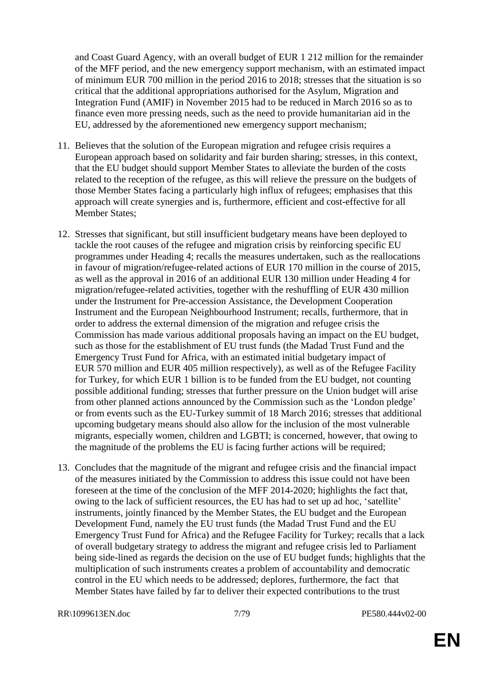and Coast Guard Agency, with an overall budget of EUR 1 212 million for the remainder of the MFF period, and the new emergency support mechanism, with an estimated impact of minimum EUR 700 million in the period 2016 to 2018; stresses that the situation is so critical that the additional appropriations authorised for the Asylum, Migration and Integration Fund (AMIF) in November 2015 had to be reduced in March 2016 so as to finance even more pressing needs, such as the need to provide humanitarian aid in the EU, addressed by the aforementioned new emergency support mechanism;

- 11. Believes that the solution of the European migration and refugee crisis requires a European approach based on solidarity and fair burden sharing; stresses, in this context, that the EU budget should support Member States to alleviate the burden of the costs related to the reception of the refugee, as this will relieve the pressure on the budgets of those Member States facing a particularly high influx of refugees; emphasises that this approach will create synergies and is, furthermore, efficient and cost-effective for all Member States;
- 12. Stresses that significant, but still insufficient budgetary means have been deployed to tackle the root causes of the refugee and migration crisis by reinforcing specific EU programmes under Heading 4; recalls the measures undertaken, such as the reallocations in favour of migration/refugee-related actions of EUR 170 million in the course of 2015, as well as the approval in 2016 of an additional EUR 130 million under Heading 4 for migration/refugee-related activities, together with the reshuffling of EUR 430 million under the Instrument for Pre-accession Assistance, the Development Cooperation Instrument and the European Neighbourhood Instrument; recalls, furthermore, that in order to address the external dimension of the migration and refugee crisis the Commission has made various additional proposals having an impact on the EU budget, such as those for the establishment of EU trust funds (the Madad Trust Fund and the Emergency Trust Fund for Africa, with an estimated initial budgetary impact of EUR 570 million and EUR 405 million respectively), as well as of the Refugee Facility for Turkey, for which EUR 1 billion is to be funded from the EU budget, not counting possible additional funding; stresses that further pressure on the Union budget will arise from other planned actions announced by the Commission such as the 'London pledge' or from events such as the EU-Turkey summit of 18 March 2016; stresses that additional upcoming budgetary means should also allow for the inclusion of the most vulnerable migrants, especially women, children and LGBTI; is concerned, however, that owing to the magnitude of the problems the EU is facing further actions will be required;
- 13. Concludes that the magnitude of the migrant and refugee crisis and the financial impact of the measures initiated by the Commission to address this issue could not have been foreseen at the time of the conclusion of the MFF 2014-2020; highlights the fact that, owing to the lack of sufficient resources, the EU has had to set up ad hoc, 'satellite' instruments, jointly financed by the Member States, the EU budget and the European Development Fund, namely the EU trust funds (the Madad Trust Fund and the EU Emergency Trust Fund for Africa) and the Refugee Facility for Turkey; recalls that a lack of overall budgetary strategy to address the migrant and refugee crisis led to Parliament being side-lined as regards the decision on the use of EU budget funds; highlights that the multiplication of such instruments creates a problem of accountability and democratic control in the EU which needs to be addressed; deplores, furthermore, the fact that Member States have failed by far to deliver their expected contributions to the trust

RR\1099613EN.doc 7/79 PE580.444v02-00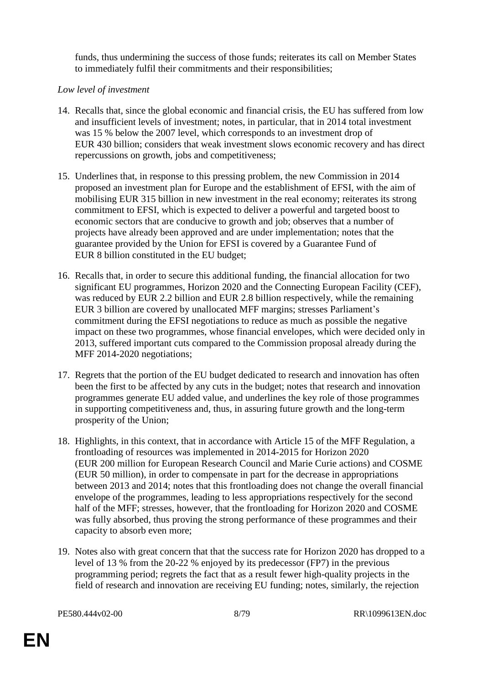funds, thus undermining the success of those funds; reiterates its call on Member States to immediately fulfil their commitments and their responsibilities;

#### *Low level of investment*

- 14. Recalls that, since the global economic and financial crisis, the EU has suffered from low and insufficient levels of investment; notes, in particular, that in 2014 total investment was 15 % below the 2007 level, which corresponds to an investment drop of EUR 430 billion; considers that weak investment slows economic recovery and has direct repercussions on growth, jobs and competitiveness;
- 15. Underlines that, in response to this pressing problem, the new Commission in 2014 proposed an investment plan for Europe and the establishment of EFSI, with the aim of mobilising EUR 315 billion in new investment in the real economy; reiterates its strong commitment to EFSI, which is expected to deliver a powerful and targeted boost to economic sectors that are conducive to growth and job; observes that a number of projects have already been approved and are under implementation; notes that the guarantee provided by the Union for EFSI is covered by a Guarantee Fund of EUR 8 billion constituted in the EU budget;
- 16. Recalls that, in order to secure this additional funding, the financial allocation for two significant EU programmes, Horizon 2020 and the Connecting European Facility (CEF), was reduced by EUR 2.2 billion and EUR 2.8 billion respectively, while the remaining EUR 3 billion are covered by unallocated MFF margins; stresses Parliament's commitment during the EFSI negotiations to reduce as much as possible the negative impact on these two programmes, whose financial envelopes, which were decided only in 2013, suffered important cuts compared to the Commission proposal already during the MFF 2014-2020 negotiations;
- 17. Regrets that the portion of the EU budget dedicated to research and innovation has often been the first to be affected by any cuts in the budget; notes that research and innovation programmes generate EU added value, and underlines the key role of those programmes in supporting competitiveness and, thus, in assuring future growth and the long-term prosperity of the Union;
- 18. Highlights, in this context, that in accordance with Article 15 of the MFF Regulation, a frontloading of resources was implemented in 2014-2015 for Horizon 2020 (EUR 200 million for European Research Council and Marie Curie actions) and COSME (EUR 50 million), in order to compensate in part for the decrease in appropriations between 2013 and 2014; notes that this frontloading does not change the overall financial envelope of the programmes, leading to less appropriations respectively for the second half of the MFF; stresses, however, that the frontloading for Horizon 2020 and COSME was fully absorbed, thus proving the strong performance of these programmes and their capacity to absorb even more;
- 19. Notes also with great concern that that the success rate for Horizon 2020 has dropped to a level of 13 % from the 20-22 % enjoyed by its predecessor (FP7) in the previous programming period; regrets the fact that as a result fewer high-quality projects in the field of research and innovation are receiving EU funding; notes, similarly, the rejection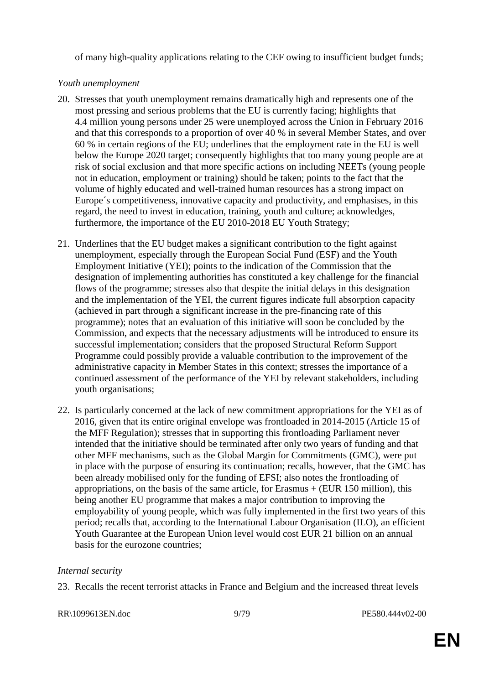of many high-quality applications relating to the CEF owing to insufficient budget funds;

#### *Youth unemployment*

- 20. Stresses that youth unemployment remains dramatically high and represents one of the most pressing and serious problems that the EU is currently facing; highlights that 4.4 million young persons under 25 were unemployed across the Union in February 2016 and that this corresponds to a proportion of over 40 % in several Member States, and over 60 % in certain regions of the EU; underlines that the employment rate in the EU is well below the Europe 2020 target; consequently highlights that too many young people are at risk of social exclusion and that more specific actions on including NEETs (young people not in education, employment or training) should be taken; points to the fact that the volume of highly educated and well-trained human resources has a strong impact on Europe´s competitiveness, innovative capacity and productivity, and emphasises, in this regard, the need to invest in education, training, youth and culture; acknowledges, furthermore, the importance of the EU 2010-2018 EU Youth Strategy;
- 21. Underlines that the EU budget makes a significant contribution to the fight against unemployment, especially through the European Social Fund (ESF) and the Youth Employment Initiative (YEI); points to the indication of the Commission that the designation of implementing authorities has constituted a key challenge for the financial flows of the programme; stresses also that despite the initial delays in this designation and the implementation of the YEI, the current figures indicate full absorption capacity (achieved in part through a significant increase in the pre-financing rate of this programme); notes that an evaluation of this initiative will soon be concluded by the Commission, and expects that the necessary adjustments will be introduced to ensure its successful implementation; considers that the proposed Structural Reform Support Programme could possibly provide a valuable contribution to the improvement of the administrative capacity in Member States in this context; stresses the importance of a continued assessment of the performance of the YEI by relevant stakeholders, including youth organisations;
- 22. Is particularly concerned at the lack of new commitment appropriations for the YEI as of 2016, given that its entire original envelope was frontloaded in 2014-2015 (Article 15 of the MFF Regulation); stresses that in supporting this frontloading Parliament never intended that the initiative should be terminated after only two years of funding and that other MFF mechanisms, such as the Global Margin for Commitments (GMC), were put in place with the purpose of ensuring its continuation; recalls, however, that the GMC has been already mobilised only for the funding of EFSI; also notes the frontloading of appropriations, on the basis of the same article, for Erasmus  $+$  (EUR 150 million), this being another EU programme that makes a major contribution to improving the employability of young people, which was fully implemented in the first two years of this period; recalls that, according to the International Labour Organisation (ILO), an efficient Youth Guarantee at the European Union level would cost EUR 21 billion on an annual basis for the eurozone countries;

#### *Internal security*

23. Recalls the recent terrorist attacks in France and Belgium and the increased threat levels

#### RR\1099613EN.doc 9/79 PE580.444v02-00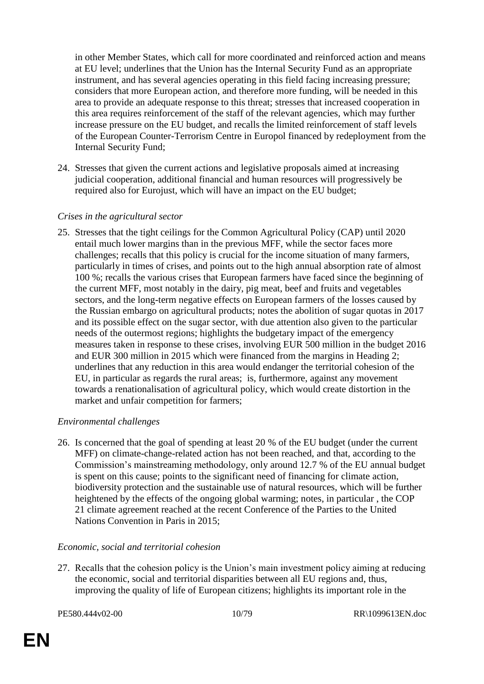in other Member States, which call for more coordinated and reinforced action and means at EU level; underlines that the Union has the Internal Security Fund as an appropriate instrument, and has several agencies operating in this field facing increasing pressure; considers that more European action, and therefore more funding, will be needed in this area to provide an adequate response to this threat; stresses that increased cooperation in this area requires reinforcement of the staff of the relevant agencies, which may further increase pressure on the EU budget, and recalls the limited reinforcement of staff levels of the European Counter-Terrorism Centre in Europol financed by redeployment from the Internal Security Fund;

24. Stresses that given the current actions and legislative proposals aimed at increasing judicial cooperation, additional financial and human resources will progressively be required also for Eurojust, which will have an impact on the EU budget;

#### *Crises in the agricultural sector*

25. Stresses that the tight ceilings for the Common Agricultural Policy (CAP) until 2020 entail much lower margins than in the previous MFF, while the sector faces more challenges; recalls that this policy is crucial for the income situation of many farmers, particularly in times of crises, and points out to the high annual absorption rate of almost 100 %; recalls the various crises that European farmers have faced since the beginning of the current MFF, most notably in the dairy, pig meat, beef and fruits and vegetables sectors, and the long-term negative effects on European farmers of the losses caused by the Russian embargo on agricultural products; notes the abolition of sugar quotas in 2017 and its possible effect on the sugar sector, with due attention also given to the particular needs of the outermost regions; highlights the budgetary impact of the emergency measures taken in response to these crises, involving EUR 500 million in the budget 2016 and EUR 300 million in 2015 which were financed from the margins in Heading 2; underlines that any reduction in this area would endanger the territorial cohesion of the EU, in particular as regards the rural areas; is, furthermore, against any movement towards a renationalisation of agricultural policy, which would create distortion in the market and unfair competition for farmers;

# *Environmental challenges*

26. Is concerned that the goal of spending at least 20 % of the EU budget (under the current MFF) on climate-change-related action has not been reached, and that, according to the Commission's mainstreaming methodology, only around 12.7 % of the EU annual budget is spent on this cause; points to the significant need of financing for climate action, biodiversity protection and the sustainable use of natural resources, which will be further heightened by the effects of the ongoing global warming; notes, in particular , the COP 21 climate agreement reached at the recent Conference of the Parties to the United Nations Convention in Paris in 2015;

#### *Economic, social and territorial cohesion*

27. Recalls that the cohesion policy is the Union's main investment policy aiming at reducing the economic, social and territorial disparities between all EU regions and, thus, improving the quality of life of European citizens; highlights its important role in the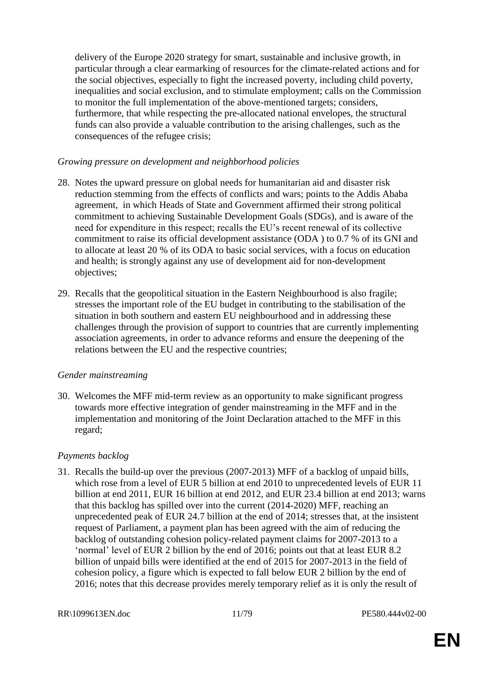delivery of the Europe 2020 strategy for smart, sustainable and inclusive growth, in particular through a clear earmarking of resources for the climate-related actions and for the social objectives, especially to fight the increased poverty, including child poverty, inequalities and social exclusion, and to stimulate employment; calls on the Commission to monitor the full implementation of the above-mentioned targets; considers, furthermore, that while respecting the pre-allocated national envelopes, the structural funds can also provide a valuable contribution to the arising challenges, such as the consequences of the refugee crisis;

#### *Growing pressure on development and neighborhood policies*

- 28. Notes the upward pressure on global needs for humanitarian aid and disaster risk reduction stemming from the effects of conflicts and wars; points to the Addis Ababa agreement, in which Heads of State and Government affirmed their strong political commitment to achieving Sustainable Development Goals (SDGs), and is aware of the need for expenditure in this respect; recalls the EU's recent renewal of its collective commitment to raise its official development assistance (ODA ) to 0.7 % of its GNI and to allocate at least 20 % of its ODA to basic social services, with a focus on education and health; is strongly against any use of development aid for non-development objectives;
- 29. Recalls that the geopolitical situation in the Eastern Neighbourhood is also fragile; stresses the important role of the EU budget in contributing to the stabilisation of the situation in both southern and eastern EU neighbourhood and in addressing these challenges through the provision of support to countries that are currently implementing association agreements, in order to advance reforms and ensure the deepening of the relations between the EU and the respective countries;

#### *Gender mainstreaming*

30. Welcomes the MFF mid-term review as an opportunity to make significant progress towards more effective integration of gender mainstreaming in the MFF and in the implementation and monitoring of the Joint Declaration attached to the MFF in this regard;

#### *Payments backlog*

31. Recalls the build-up over the previous (2007-2013) MFF of a backlog of unpaid bills, which rose from a level of EUR 5 billion at end 2010 to unprecedented levels of EUR 11 billion at end 2011, EUR 16 billion at end 2012, and EUR 23.4 billion at end 2013; warns that this backlog has spilled over into the current (2014-2020) MFF, reaching an unprecedented peak of EUR 24.7 billion at the end of 2014; stresses that, at the insistent request of Parliament, a payment plan has been agreed with the aim of reducing the backlog of outstanding cohesion policy-related payment claims for 2007-2013 to a 'normal' level of EUR 2 billion by the end of 2016; points out that at least EUR 8.2 billion of unpaid bills were identified at the end of 2015 for 2007-2013 in the field of cohesion policy, a figure which is expected to fall below EUR 2 billion by the end of 2016; notes that this decrease provides merely temporary relief as it is only the result of

RR\1099613EN.doc 11/79 PE580.444v02-00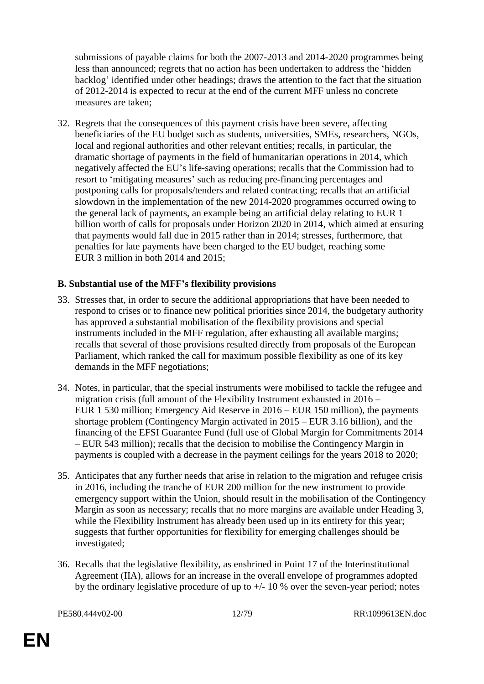submissions of payable claims for both the 2007-2013 and 2014-2020 programmes being less than announced; regrets that no action has been undertaken to address the 'hidden backlog' identified under other headings; draws the attention to the fact that the situation of 2012-2014 is expected to recur at the end of the current MFF unless no concrete measures are taken;

32. Regrets that the consequences of this payment crisis have been severe, affecting beneficiaries of the EU budget such as students, universities, SMEs, researchers, NGOs, local and regional authorities and other relevant entities; recalls, in particular, the dramatic shortage of payments in the field of humanitarian operations in 2014, which negatively affected the EU's life-saving operations; recalls that the Commission had to resort to 'mitigating measures' such as reducing pre-financing percentages and postponing calls for proposals/tenders and related contracting; recalls that an artificial slowdown in the implementation of the new 2014-2020 programmes occurred owing to the general lack of payments, an example being an artificial delay relating to EUR 1 billion worth of calls for proposals under Horizon 2020 in 2014, which aimed at ensuring that payments would fall due in 2015 rather than in 2014; stresses, furthermore, that penalties for late payments have been charged to the EU budget, reaching some EUR 3 million in both 2014 and 2015;

#### **B. Substantial use of the MFF's flexibility provisions**

- 33. Stresses that, in order to secure the additional appropriations that have been needed to respond to crises or to finance new political priorities since 2014, the budgetary authority has approved a substantial mobilisation of the flexibility provisions and special instruments included in the MFF regulation, after exhausting all available margins; recalls that several of those provisions resulted directly from proposals of the European Parliament, which ranked the call for maximum possible flexibility as one of its key demands in the MFF negotiations;
- 34. Notes, in particular, that the special instruments were mobilised to tackle the refugee and migration crisis (full amount of the Flexibility Instrument exhausted in 2016 – EUR 1 530 million; Emergency Aid Reserve in 2016 – EUR 150 million), the payments shortage problem (Contingency Margin activated in 2015 – EUR 3.16 billion), and the financing of the EFSI Guarantee Fund (full use of Global Margin for Commitments 2014 – EUR 543 million); recalls that the decision to mobilise the Contingency Margin in payments is coupled with a decrease in the payment ceilings for the years 2018 to 2020;
- 35. Anticipates that any further needs that arise in relation to the migration and refugee crisis in 2016, including the tranche of EUR 200 million for the new instrument to provide emergency support within the Union, should result in the mobilisation of the Contingency Margin as soon as necessary; recalls that no more margins are available under Heading 3, while the Flexibility Instrument has already been used up in its entirety for this year; suggests that further opportunities for flexibility for emerging challenges should be investigated;
- 36. Recalls that the legislative flexibility, as enshrined in Point 17 of the Interinstitutional Agreement (IIA), allows for an increase in the overall envelope of programmes adopted by the ordinary legislative procedure of up to  $+/- 10$  % over the seven-year period; notes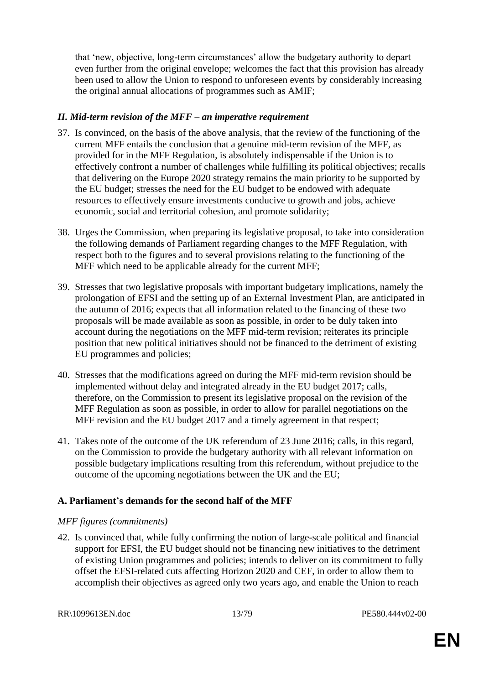that 'new, objective, long-term circumstances' allow the budgetary authority to depart even further from the original envelope; welcomes the fact that this provision has already been used to allow the Union to respond to unforeseen events by considerably increasing the original annual allocations of programmes such as AMIF;

#### *II. Mid-term revision of the MFF – an imperative requirement*

- 37. Is convinced, on the basis of the above analysis, that the review of the functioning of the current MFF entails the conclusion that a genuine mid-term revision of the MFF, as provided for in the MFF Regulation, is absolutely indispensable if the Union is to effectively confront a number of challenges while fulfilling its political objectives; recalls that delivering on the Europe 2020 strategy remains the main priority to be supported by the EU budget; stresses the need for the EU budget to be endowed with adequate resources to effectively ensure investments conducive to growth and jobs, achieve economic, social and territorial cohesion, and promote solidarity;
- 38. Urges the Commission, when preparing its legislative proposal, to take into consideration the following demands of Parliament regarding changes to the MFF Regulation, with respect both to the figures and to several provisions relating to the functioning of the MFF which need to be applicable already for the current MFF;
- 39. Stresses that two legislative proposals with important budgetary implications, namely the prolongation of EFSI and the setting up of an External Investment Plan, are anticipated in the autumn of 2016; expects that all information related to the financing of these two proposals will be made available as soon as possible, in order to be duly taken into account during the negotiations on the MFF mid-term revision; reiterates its principle position that new political initiatives should not be financed to the detriment of existing EU programmes and policies;
- 40. Stresses that the modifications agreed on during the MFF mid-term revision should be implemented without delay and integrated already in the EU budget 2017; calls, therefore, on the Commission to present its legislative proposal on the revision of the MFF Regulation as soon as possible, in order to allow for parallel negotiations on the MFF revision and the EU budget 2017 and a timely agreement in that respect;
- 41. Takes note of the outcome of the UK referendum of 23 June 2016; calls, in this regard, on the Commission to provide the budgetary authority with all relevant information on possible budgetary implications resulting from this referendum, without prejudice to the outcome of the upcoming negotiations between the UK and the EU;

# **A. Parliament's demands for the second half of the MFF**

#### *MFF figures (commitments)*

42. Is convinced that, while fully confirming the notion of large-scale political and financial support for EFSI, the EU budget should not be financing new initiatives to the detriment of existing Union programmes and policies; intends to deliver on its commitment to fully offset the EFSI-related cuts affecting Horizon 2020 and CEF, in order to allow them to accomplish their objectives as agreed only two years ago, and enable the Union to reach

RR\1099613EN.doc 13/79 PE580.444v02-00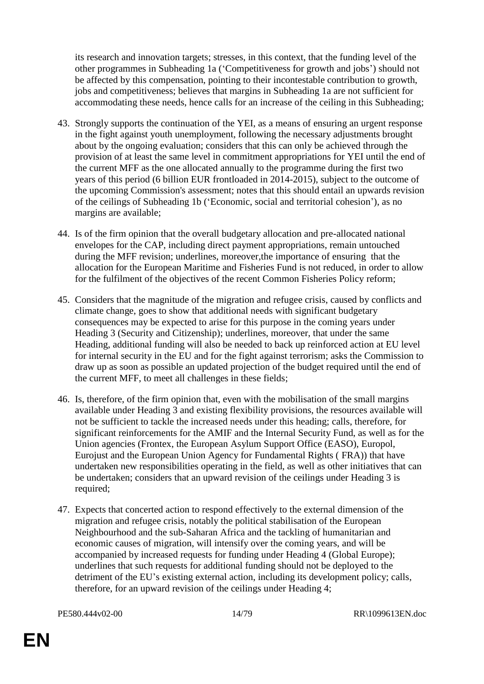its research and innovation targets; stresses, in this context, that the funding level of the other programmes in Subheading 1a ('Competitiveness for growth and jobs') should not be affected by this compensation, pointing to their incontestable contribution to growth, jobs and competitiveness; believes that margins in Subheading 1a are not sufficient for accommodating these needs, hence calls for an increase of the ceiling in this Subheading;

- 43. Strongly supports the continuation of the YEI, as a means of ensuring an urgent response in the fight against youth unemployment, following the necessary adjustments brought about by the ongoing evaluation; considers that this can only be achieved through the provision of at least the same level in commitment appropriations for YEI until the end of the current MFF as the one allocated annually to the programme during the first two years of this period (6 billion EUR frontloaded in 2014-2015), subject to the outcome of the upcoming Commission's assessment; notes that this should entail an upwards revision of the ceilings of Subheading 1b ('Economic, social and territorial cohesion'), as no margins are available;
- 44. Is of the firm opinion that the overall budgetary allocation and pre-allocated national envelopes for the CAP, including direct payment appropriations, remain untouched during the MFF revision; underlines, moreover,the importance of ensuring that the allocation for the European Maritime and Fisheries Fund is not reduced, in order to allow for the fulfilment of the objectives of the recent Common Fisheries Policy reform;
- 45. Considers that the magnitude of the migration and refugee crisis, caused by conflicts and climate change, goes to show that additional needs with significant budgetary consequences may be expected to arise for this purpose in the coming years under Heading 3 (Security and Citizenship); underlines, moreover, that under the same Heading, additional funding will also be needed to back up reinforced action at EU level for internal security in the EU and for the fight against terrorism; asks the Commission to draw up as soon as possible an updated projection of the budget required until the end of the current MFF, to meet all challenges in these fields;
- 46. Is, therefore, of the firm opinion that, even with the mobilisation of the small margins available under Heading 3 and existing flexibility provisions, the resources available will not be sufficient to tackle the increased needs under this heading; calls, therefore, for significant reinforcements for the AMIF and the Internal Security Fund, as well as for the Union agencies (Frontex, the European Asylum Support Office (EASO), Europol, Eurojust and the European Union Agency for Fundamental Rights ( FRA)) that have undertaken new responsibilities operating in the field, as well as other initiatives that can be undertaken; considers that an upward revision of the ceilings under Heading 3 is required;
- 47. Expects that concerted action to respond effectively to the external dimension of the migration and refugee crisis, notably the political stabilisation of the European Neighbourhood and the sub-Saharan Africa and the tackling of humanitarian and economic causes of migration, will intensify over the coming years, and will be accompanied by increased requests for funding under Heading 4 (Global Europe); underlines that such requests for additional funding should not be deployed to the detriment of the EU's existing external action, including its development policy; calls, therefore, for an upward revision of the ceilings under Heading 4;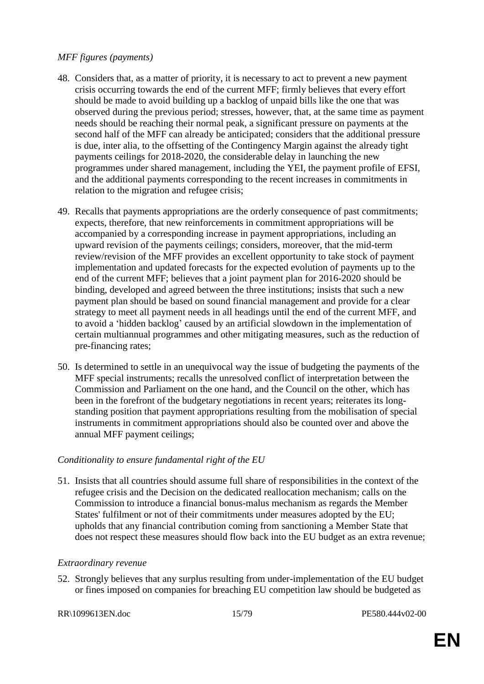#### *MFF figures (payments)*

- 48. Considers that, as a matter of priority, it is necessary to act to prevent a new payment crisis occurring towards the end of the current MFF; firmly believes that every effort should be made to avoid building up a backlog of unpaid bills like the one that was observed during the previous period; stresses, however, that, at the same time as payment needs should be reaching their normal peak, a significant pressure on payments at the second half of the MFF can already be anticipated; considers that the additional pressure is due, inter alia, to the offsetting of the Contingency Margin against the already tight payments ceilings for 2018-2020, the considerable delay in launching the new programmes under shared management, including the YEI, the payment profile of EFSI, and the additional payments corresponding to the recent increases in commitments in relation to the migration and refugee crisis;
- 49. Recalls that payments appropriations are the orderly consequence of past commitments; expects, therefore, that new reinforcements in commitment appropriations will be accompanied by a corresponding increase in payment appropriations, including an upward revision of the payments ceilings; considers, moreover, that the mid-term review/revision of the MFF provides an excellent opportunity to take stock of payment implementation and updated forecasts for the expected evolution of payments up to the end of the current MFF; believes that a joint payment plan for 2016-2020 should be binding, developed and agreed between the three institutions; insists that such a new payment plan should be based on sound financial management and provide for a clear strategy to meet all payment needs in all headings until the end of the current MFF, and to avoid a 'hidden backlog' caused by an artificial slowdown in the implementation of certain multiannual programmes and other mitigating measures, such as the reduction of pre-financing rates;
- 50. Is determined to settle in an unequivocal way the issue of budgeting the payments of the MFF special instruments; recalls the unresolved conflict of interpretation between the Commission and Parliament on the one hand, and the Council on the other, which has been in the forefront of the budgetary negotiations in recent years; reiterates its longstanding position that payment appropriations resulting from the mobilisation of special instruments in commitment appropriations should also be counted over and above the annual MFF payment ceilings;

#### *Conditionality to ensure fundamental right of the EU*

51. Insists that all countries should assume full share of responsibilities in the context of the refugee crisis and the Decision on the dedicated reallocation mechanism; calls on the Commission to introduce a financial bonus-malus mechanism as regards the Member States' fulfilment or not of their commitments under measures adopted by the EU; upholds that any financial contribution coming from sanctioning a Member State that does not respect these measures should flow back into the EU budget as an extra revenue;

#### *Extraordinary revenue*

52. Strongly believes that any surplus resulting from under-implementation of the EU budget or fines imposed on companies for breaching EU competition law should be budgeted as

RR\1099613EN.doc 15/79 PE580.444v02-00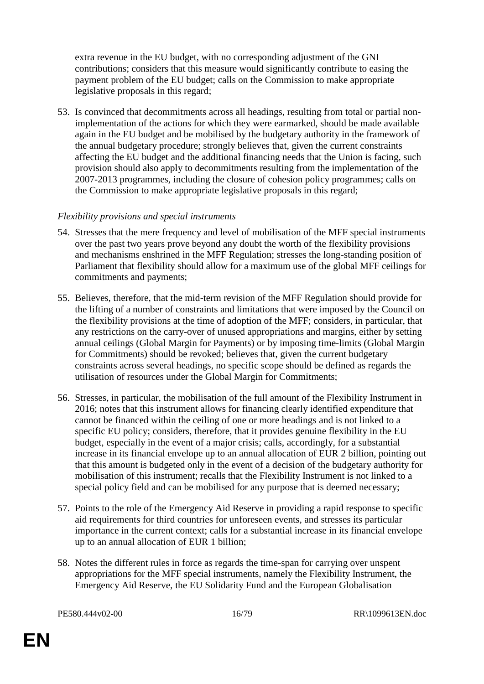extra revenue in the EU budget, with no corresponding adjustment of the GNI contributions; considers that this measure would significantly contribute to easing the payment problem of the EU budget; calls on the Commission to make appropriate legislative proposals in this regard;

53. Is convinced that decommitments across all headings, resulting from total or partial nonimplementation of the actions for which they were earmarked, should be made available again in the EU budget and be mobilised by the budgetary authority in the framework of the annual budgetary procedure; strongly believes that, given the current constraints affecting the EU budget and the additional financing needs that the Union is facing, such provision should also apply to decommitments resulting from the implementation of the 2007-2013 programmes, including the closure of cohesion policy programmes; calls on the Commission to make appropriate legislative proposals in this regard;

#### *Flexibility provisions and special instruments*

- 54. Stresses that the mere frequency and level of mobilisation of the MFF special instruments over the past two years prove beyond any doubt the worth of the flexibility provisions and mechanisms enshrined in the MFF Regulation; stresses the long-standing position of Parliament that flexibility should allow for a maximum use of the global MFF ceilings for commitments and payments;
- 55. Believes, therefore, that the mid-term revision of the MFF Regulation should provide for the lifting of a number of constraints and limitations that were imposed by the Council on the flexibility provisions at the time of adoption of the MFF; considers, in particular, that any restrictions on the carry-over of unused appropriations and margins, either by setting annual ceilings (Global Margin for Payments) or by imposing time-limits (Global Margin for Commitments) should be revoked; believes that, given the current budgetary constraints across several headings, no specific scope should be defined as regards the utilisation of resources under the Global Margin for Commitments;
- 56. Stresses, in particular, the mobilisation of the full amount of the Flexibility Instrument in 2016; notes that this instrument allows for financing clearly identified expenditure that cannot be financed within the ceiling of one or more headings and is not linked to a specific EU policy; considers, therefore, that it provides genuine flexibility in the EU budget, especially in the event of a major crisis; calls, accordingly, for a substantial increase in its financial envelope up to an annual allocation of EUR 2 billion, pointing out that this amount is budgeted only in the event of a decision of the budgetary authority for mobilisation of this instrument; recalls that the Flexibility Instrument is not linked to a special policy field and can be mobilised for any purpose that is deemed necessary;
- 57. Points to the role of the Emergency Aid Reserve in providing a rapid response to specific aid requirements for third countries for unforeseen events, and stresses its particular importance in the current context; calls for a substantial increase in its financial envelope up to an annual allocation of EUR 1 billion;
- 58. Notes the different rules in force as regards the time-span for carrying over unspent appropriations for the MFF special instruments, namely the Flexibility Instrument, the Emergency Aid Reserve, the EU Solidarity Fund and the European Globalisation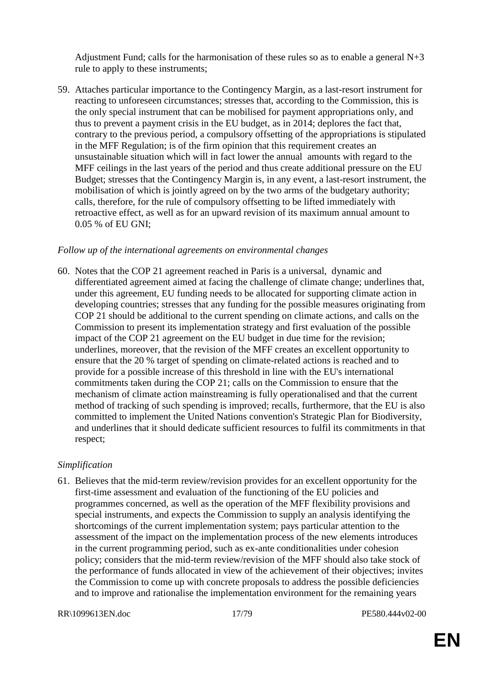Adjustment Fund; calls for the harmonisation of these rules so as to enable a general N+3 rule to apply to these instruments;

59. Attaches particular importance to the Contingency Margin, as a last-resort instrument for reacting to unforeseen circumstances; stresses that, according to the Commission, this is the only special instrument that can be mobilised for payment appropriations only, and thus to prevent a payment crisis in the EU budget, as in 2014; deplores the fact that, contrary to the previous period, a compulsory offsetting of the appropriations is stipulated in the MFF Regulation; is of the firm opinion that this requirement creates an unsustainable situation which will in fact lower the annual amounts with regard to the MFF ceilings in the last years of the period and thus create additional pressure on the EU Budget; stresses that the Contingency Margin is, in any event, a last-resort instrument, the mobilisation of which is jointly agreed on by the two arms of the budgetary authority; calls, therefore, for the rule of compulsory offsetting to be lifted immediately with retroactive effect, as well as for an upward revision of its maximum annual amount to 0.05 % of EU GNI;

#### *Follow up of the international agreements on environmental changes*

60. Notes that the COP 21 agreement reached in Paris is a universal, dynamic and differentiated agreement aimed at facing the challenge of climate change; underlines that, under this agreement, EU funding needs to be allocated for supporting climate action in developing countries; stresses that any funding for the possible measures originating from COP 21 should be additional to the current spending on climate actions, and calls on the Commission to present its implementation strategy and first evaluation of the possible impact of the COP 21 agreement on the EU budget in due time for the revision; underlines, moreover, that the revision of the MFF creates an excellent opportunity to ensure that the 20 % target of spending on climate-related actions is reached and to provide for a possible increase of this threshold in line with the EU's international commitments taken during the COP 21; calls on the Commission to ensure that the mechanism of climate action mainstreaming is fully operationalised and that the current method of tracking of such spending is improved; recalls, furthermore, that the EU is also committed to implement the United Nations convention's Strategic Plan for Biodiversity, and underlines that it should dedicate sufficient resources to fulfil its commitments in that respect;

#### *Simplification*

61. Believes that the mid-term review/revision provides for an excellent opportunity for the first-time assessment and evaluation of the functioning of the EU policies and programmes concerned, as well as the operation of the MFF flexibility provisions and special instruments, and expects the Commission to supply an analysis identifying the shortcomings of the current implementation system; pays particular attention to the assessment of the impact on the implementation process of the new elements introduces in the current programming period, such as ex-ante conditionalities under cohesion policy; considers that the mid-term review/revision of the MFF should also take stock of the performance of funds allocated in view of the achievement of their objectives; invites the Commission to come up with concrete proposals to address the possible deficiencies and to improve and rationalise the implementation environment for the remaining years

```
RR\1099613EN.doc 17/79 PE580.444v02-00
```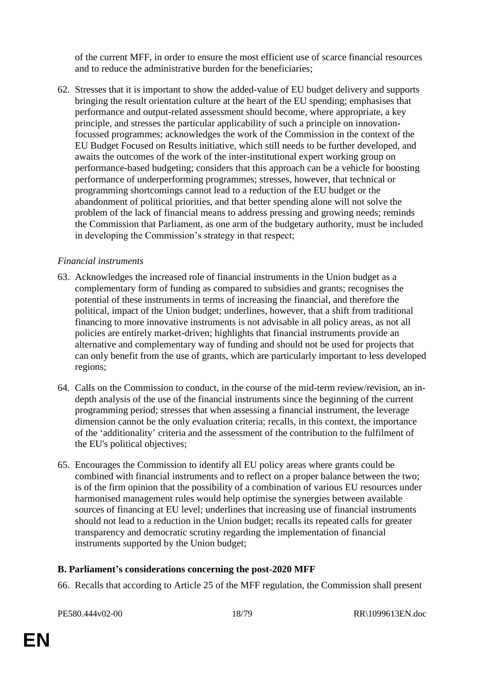of the current MFF, in order to ensure the most efficient use of scarce financial resources and to reduce the administrative burden for the beneficiaries;

62. Stresses that it is important to show the added-value of EU budget delivery and supports bringing the result orientation culture at the heart of the EU spending; emphasises that performance and output-related assessment should become, where appropriate, a key principle, and stresses the particular applicability of such a principle on innovationfocussed programmes; acknowledges the work of the Commission in the context of the EU Budget Focused on Results initiative, which still needs to be further developed, and awaits the outcomes of the work of the inter-institutional expert working group on performance-based budgeting; considers that this approach can be a vehicle for boosting performance of underperforming programmes; stresses, however, that technical or programming shortcomings cannot lead to a reduction of the EU budget or the abandonment of political priorities, and that better spending alone will not solve the problem of the lack of financial means to address pressing and growing needs; reminds the Commission that Parliament, as one arm of the budgetary authority, must be included in developing the Commission's strategy in that respect;

#### *Financial instruments*

- 63. Acknowledges the increased role of financial instruments in the Union budget as a complementary form of funding as compared to subsidies and grants; recognises the potential of these instruments in terms of increasing the financial, and therefore the political, impact of the Union budget; underlines, however, that a shift from traditional financing to more innovative instruments is not advisable in all policy areas, as not all policies are entirely market-driven; highlights that financial instruments provide an alternative and complementary way of funding and should not be used for projects that can only benefit from the use of grants, which are particularly important to less developed regions;
- 64. Calls on the Commission to conduct, in the course of the mid-term review/revision, an indepth analysis of the use of the financial instruments since the beginning of the current programming period; stresses that when assessing a financial instrument, the leverage dimension cannot be the only evaluation criteria; recalls, in this context, the importance of the 'additionality' criteria and the assessment of the contribution to the fulfilment of the EU's political objectives;
- 65. Encourages the Commission to identify all EU policy areas where grants could be combined with financial instruments and to reflect on a proper balance between the two; is of the firm opinion that the possibility of a combination of various EU resources under harmonised management rules would help optimise the synergies between available sources of financing at EU level; underlines that increasing use of financial instruments should not lead to a reduction in the Union budget; recalls its repeated calls for greater transparency and democratic scrutiny regarding the implementation of financial instruments supported by the Union budget;

# **B. Parliament's considerations concerning the post-2020 MFF**

66. Recalls that according to Article 25 of the MFF regulation, the Commission shall present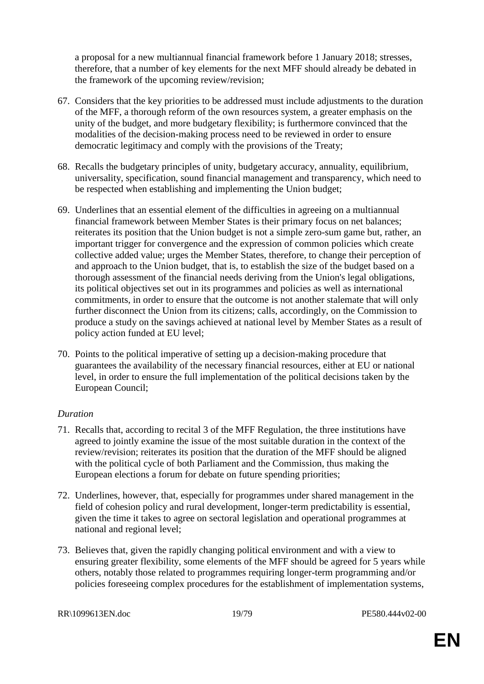a proposal for a new multiannual financial framework before 1 January 2018; stresses, therefore, that a number of key elements for the next MFF should already be debated in the framework of the upcoming review/revision;

- 67. Considers that the key priorities to be addressed must include adjustments to the duration of the MFF, a thorough reform of the own resources system, a greater emphasis on the unity of the budget, and more budgetary flexibility; is furthermore convinced that the modalities of the decision-making process need to be reviewed in order to ensure democratic legitimacy and comply with the provisions of the Treaty;
- 68. Recalls the budgetary principles of unity, budgetary accuracy, annuality, equilibrium, universality, specification, sound financial management and transparency, which need to be respected when establishing and implementing the Union budget;
- 69. Underlines that an essential element of the difficulties in agreeing on a multiannual financial framework between Member States is their primary focus on net balances; reiterates its position that the Union budget is not a simple zero-sum game but, rather, an important trigger for convergence and the expression of common policies which create collective added value; urges the Member States, therefore, to change their perception of and approach to the Union budget, that is, to establish the size of the budget based on a thorough assessment of the financial needs deriving from the Union's legal obligations, its political objectives set out in its programmes and policies as well as international commitments, in order to ensure that the outcome is not another stalemate that will only further disconnect the Union from its citizens; calls, accordingly, on the Commission to produce a study on the savings achieved at national level by Member States as a result of policy action funded at EU level;
- 70. Points to the political imperative of setting up a decision-making procedure that guarantees the availability of the necessary financial resources, either at EU or national level, in order to ensure the full implementation of the political decisions taken by the European Council;

#### *Duration*

- 71. Recalls that, according to recital 3 of the MFF Regulation, the three institutions have agreed to jointly examine the issue of the most suitable duration in the context of the review/revision; reiterates its position that the duration of the MFF should be aligned with the political cycle of both Parliament and the Commission, thus making the European elections a forum for debate on future spending priorities;
- 72. Underlines, however, that, especially for programmes under shared management in the field of cohesion policy and rural development, longer-term predictability is essential, given the time it takes to agree on sectoral legislation and operational programmes at national and regional level;
- 73. Believes that, given the rapidly changing political environment and with a view to ensuring greater flexibility, some elements of the MFF should be agreed for 5 years while others, notably those related to programmes requiring longer-term programming and/or policies foreseeing complex procedures for the establishment of implementation systems,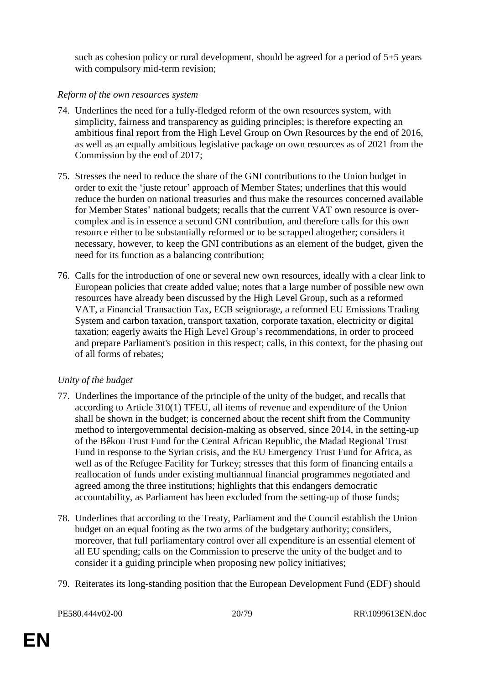such as cohesion policy or rural development, should be agreed for a period of 5+5 years with compulsory mid-term revision;

#### *Reform of the own resources system*

- 74. Underlines the need for a fully-fledged reform of the own resources system, with simplicity, fairness and transparency as guiding principles; is therefore expecting an ambitious final report from the High Level Group on Own Resources by the end of 2016, as well as an equally ambitious legislative package on own resources as of 2021 from the Commission by the end of 2017;
- 75. Stresses the need to reduce the share of the GNI contributions to the Union budget in order to exit the 'juste retour' approach of Member States; underlines that this would reduce the burden on national treasuries and thus make the resources concerned available for Member States' national budgets; recalls that the current VAT own resource is overcomplex and is in essence a second GNI contribution, and therefore calls for this own resource either to be substantially reformed or to be scrapped altogether; considers it necessary, however, to keep the GNI contributions as an element of the budget, given the need for its function as a balancing contribution;
- 76. Calls for the introduction of one or several new own resources, ideally with a clear link to European policies that create added value; notes that a large number of possible new own resources have already been discussed by the High Level Group, such as a reformed VAT, a Financial Transaction Tax, ECB seigniorage, a reformed EU Emissions Trading System and carbon taxation, transport taxation, corporate taxation, electricity or digital taxation; eagerly awaits the High Level Group's recommendations, in order to proceed and prepare Parliament's position in this respect; calls, in this context, for the phasing out of all forms of rebates;

#### *Unity of the budget*

- 77. Underlines the importance of the principle of the unity of the budget, and recalls that according to Article 310(1) TFEU, all items of revenue and expenditure of the Union shall be shown in the budget; is concerned about the recent shift from the Community method to intergovernmental decision-making as observed, since 2014, in the setting-up of the Bêkou Trust Fund for the Central African Republic, the Madad Regional Trust Fund in response to the Syrian crisis, and the EU Emergency Trust Fund for Africa, as well as of the Refugee Facility for Turkey; stresses that this form of financing entails a reallocation of funds under existing multiannual financial programmes negotiated and agreed among the three institutions; highlights that this endangers democratic accountability, as Parliament has been excluded from the setting-up of those funds;
- 78. Underlines that according to the Treaty, Parliament and the Council establish the Union budget on an equal footing as the two arms of the budgetary authority; considers, moreover, that full parliamentary control over all expenditure is an essential element of all EU spending; calls on the Commission to preserve the unity of the budget and to consider it a guiding principle when proposing new policy initiatives;
- 79. Reiterates its long-standing position that the European Development Fund (EDF) should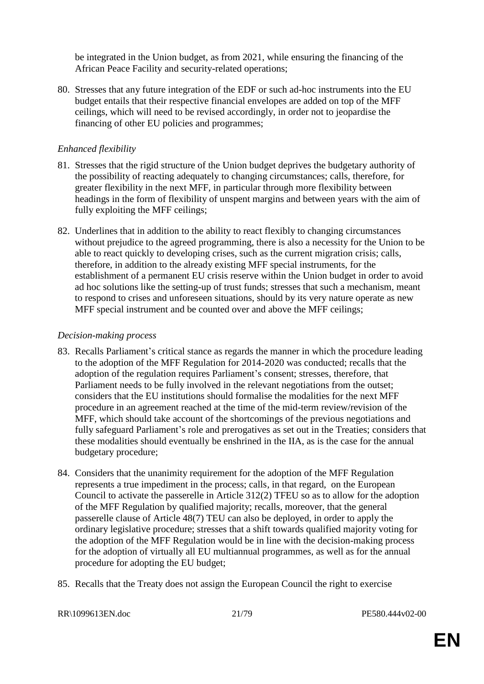be integrated in the Union budget, as from 2021, while ensuring the financing of the African Peace Facility and security-related operations;

80. Stresses that any future integration of the EDF or such ad-hoc instruments into the EU budget entails that their respective financial envelopes are added on top of the MFF ceilings, which will need to be revised accordingly, in order not to jeopardise the financing of other EU policies and programmes;

#### *Enhanced flexibility*

- 81. Stresses that the rigid structure of the Union budget deprives the budgetary authority of the possibility of reacting adequately to changing circumstances; calls, therefore, for greater flexibility in the next MFF, in particular through more flexibility between headings in the form of flexibility of unspent margins and between years with the aim of fully exploiting the MFF ceilings;
- 82. Underlines that in addition to the ability to react flexibly to changing circumstances without prejudice to the agreed programming, there is also a necessity for the Union to be able to react quickly to developing crises, such as the current migration crisis; calls, therefore, in addition to the already existing MFF special instruments, for the establishment of a permanent EU crisis reserve within the Union budget in order to avoid ad hoc solutions like the setting-up of trust funds; stresses that such a mechanism, meant to respond to crises and unforeseen situations, should by its very nature operate as new MFF special instrument and be counted over and above the MFF ceilings;

#### *Decision-making process*

- 83. Recalls Parliament's critical stance as regards the manner in which the procedure leading to the adoption of the MFF Regulation for 2014-2020 was conducted; recalls that the adoption of the regulation requires Parliament's consent; stresses, therefore, that Parliament needs to be fully involved in the relevant negotiations from the outset; considers that the EU institutions should formalise the modalities for the next MFF procedure in an agreement reached at the time of the mid-term review/revision of the MFF, which should take account of the shortcomings of the previous negotiations and fully safeguard Parliament's role and prerogatives as set out in the Treaties; considers that these modalities should eventually be enshrined in the IIA, as is the case for the annual budgetary procedure;
- 84. Considers that the unanimity requirement for the adoption of the MFF Regulation represents a true impediment in the process; calls, in that regard, on the European Council to activate the passerelle in Article 312(2) TFEU so as to allow for the adoption of the MFF Regulation by qualified majority; recalls, moreover, that the general passerelle clause of Article 48(7) TEU can also be deployed, in order to apply the ordinary legislative procedure; stresses that a shift towards qualified majority voting for the adoption of the MFF Regulation would be in line with the decision-making process for the adoption of virtually all EU multiannual programmes, as well as for the annual procedure for adopting the EU budget;
- 85. Recalls that the Treaty does not assign the European Council the right to exercise

RR\1099613EN.doc 21/79 PE580.444v02-00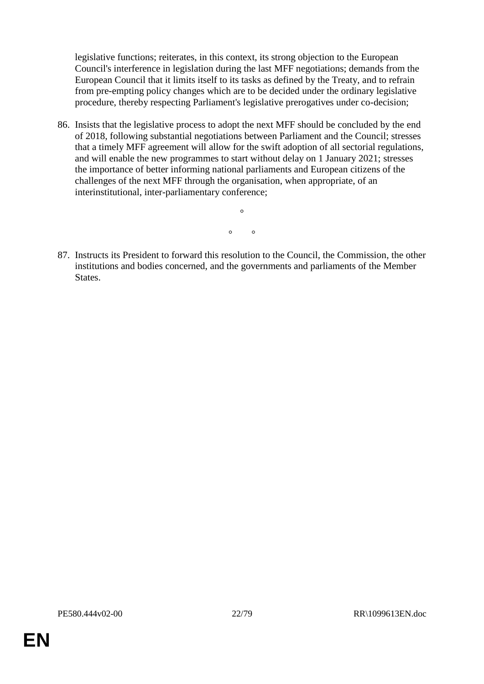legislative functions; reiterates, in this context, its strong objection to the European Council's interference in legislation during the last MFF negotiations; demands from the European Council that it limits itself to its tasks as defined by the Treaty, and to refrain from pre-empting policy changes which are to be decided under the ordinary legislative procedure, thereby respecting Parliament's legislative prerogatives under co-decision;

86. Insists that the legislative process to adopt the next MFF should be concluded by the end of 2018, following substantial negotiations between Parliament and the Council; stresses that a timely MFF agreement will allow for the swift adoption of all sectorial regulations, and will enable the new programmes to start without delay on 1 January 2021; stresses the importance of better informing national parliaments and European citizens of the challenges of the next MFF through the organisation, when appropriate, of an interinstitutional, inter-parliamentary conference;

 $\circ$   $\circ$ 

 $\circ$ 

87. Instructs its President to forward this resolution to the Council, the Commission, the other institutions and bodies concerned, and the governments and parliaments of the Member States.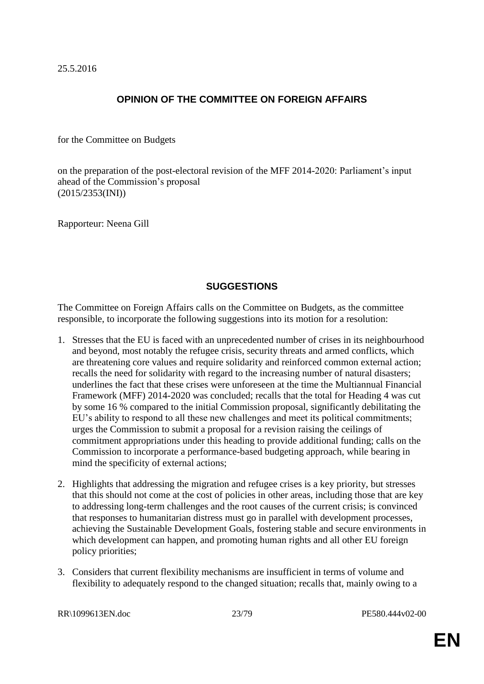25.5.2016

# **OPINION OF THE COMMITTEE ON FOREIGN AFFAIRS**

for the Committee on Budgets

on the preparation of the post-electoral revision of the MFF 2014-2020: Parliament's input ahead of the Commission's proposal (2015/2353(INI))

Rapporteur: Neena Gill

# **SUGGESTIONS**

The Committee on Foreign Affairs calls on the Committee on Budgets, as the committee responsible, to incorporate the following suggestions into its motion for a resolution:

- 1. Stresses that the EU is faced with an unprecedented number of crises in its neighbourhood and beyond, most notably the refugee crisis, security threats and armed conflicts, which are threatening core values and require solidarity and reinforced common external action; recalls the need for solidarity with regard to the increasing number of natural disasters; underlines the fact that these crises were unforeseen at the time the Multiannual Financial Framework (MFF) 2014-2020 was concluded; recalls that the total for Heading 4 was cut by some 16 % compared to the initial Commission proposal, significantly debilitating the EU's ability to respond to all these new challenges and meet its political commitments; urges the Commission to submit a proposal for a revision raising the ceilings of commitment appropriations under this heading to provide additional funding; calls on the Commission to incorporate a performance-based budgeting approach, while bearing in mind the specificity of external actions;
- 2. Highlights that addressing the migration and refugee crises is a key priority, but stresses that this should not come at the cost of policies in other areas, including those that are key to addressing long-term challenges and the root causes of the current crisis; is convinced that responses to humanitarian distress must go in parallel with development processes, achieving the Sustainable Development Goals, fostering stable and secure environments in which development can happen, and promoting human rights and all other EU foreign policy priorities;
- 3. Considers that current flexibility mechanisms are insufficient in terms of volume and flexibility to adequately respond to the changed situation; recalls that, mainly owing to a

RR\1099613EN.doc 23/79 PE580.444v02-00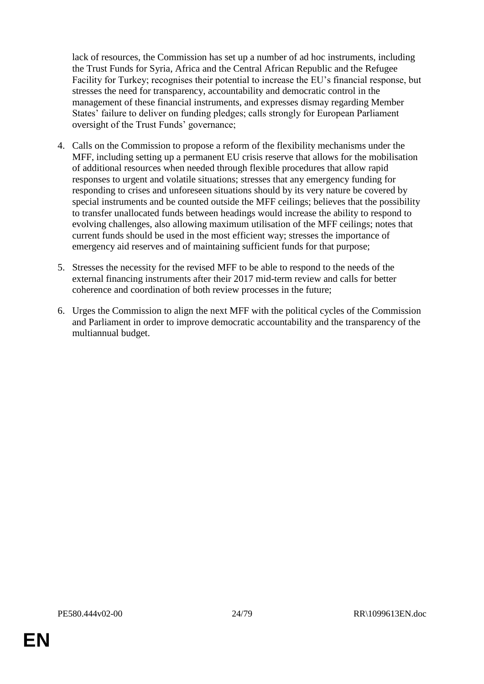lack of resources, the Commission has set up a number of ad hoc instruments, including the Trust Funds for Syria, Africa and the Central African Republic and the Refugee Facility for Turkey; recognises their potential to increase the EU's financial response, but stresses the need for transparency, accountability and democratic control in the management of these financial instruments, and expresses dismay regarding Member States' failure to deliver on funding pledges; calls strongly for European Parliament oversight of the Trust Funds' governance;

- 4. Calls on the Commission to propose a reform of the flexibility mechanisms under the MFF, including setting up a permanent EU crisis reserve that allows for the mobilisation of additional resources when needed through flexible procedures that allow rapid responses to urgent and volatile situations; stresses that any emergency funding for responding to crises and unforeseen situations should by its very nature be covered by special instruments and be counted outside the MFF ceilings; believes that the possibility to transfer unallocated funds between headings would increase the ability to respond to evolving challenges, also allowing maximum utilisation of the MFF ceilings; notes that current funds should be used in the most efficient way; stresses the importance of emergency aid reserves and of maintaining sufficient funds for that purpose;
- 5. Stresses the necessity for the revised MFF to be able to respond to the needs of the external financing instruments after their 2017 mid-term review and calls for better coherence and coordination of both review processes in the future;
- 6. Urges the Commission to align the next MFF with the political cycles of the Commission and Parliament in order to improve democratic accountability and the transparency of the multiannual budget.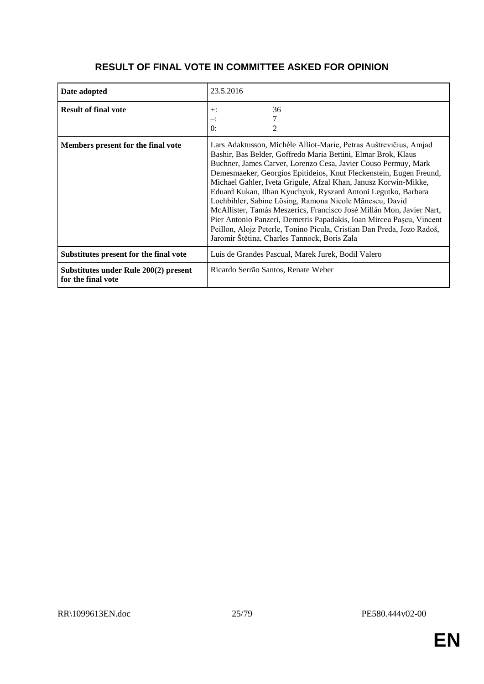# **RESULT OF FINAL VOTE IN COMMITTEE ASKED FOR OPINION**

| Date adopted                                                | 23.5.2016                                                                                                                                                                                                                                                                                                                                                                                                                                                                                                                                                                                                                                                                                                                                           |
|-------------------------------------------------------------|-----------------------------------------------------------------------------------------------------------------------------------------------------------------------------------------------------------------------------------------------------------------------------------------------------------------------------------------------------------------------------------------------------------------------------------------------------------------------------------------------------------------------------------------------------------------------------------------------------------------------------------------------------------------------------------------------------------------------------------------------------|
| <b>Result of final vote</b>                                 | 36<br>$+$ :<br>≕:<br>0:                                                                                                                                                                                                                                                                                                                                                                                                                                                                                                                                                                                                                                                                                                                             |
| Members present for the final vote                          | Lars Adaktusson, Michèle Alliot-Marie, Petras Auštrevičius, Amjad<br>Bashir, Bas Belder, Goffredo Maria Bettini, Elmar Brok, Klaus<br>Buchner, James Carver, Lorenzo Cesa, Javier Couso Permuy, Mark<br>Demesmaeker, Georgios Epitideios, Knut Fleckenstein, Eugen Freund,<br>Michael Gahler, Iveta Grigule, Afzal Khan, Janusz Korwin-Mikke,<br>Eduard Kukan, Ilhan Kyuchyuk, Ryszard Antoni Legutko, Barbara<br>Lochbihler, Sabine Lösing, Ramona Nicole Mănescu, David<br>McAllister, Tamás Meszerics, Francisco José Millán Mon, Javier Nart,<br>Pier Antonio Panzeri, Demetris Papadakis, Ioan Mircea Pascu, Vincent<br>Peillon, Alojz Peterle, Tonino Picula, Cristian Dan Preda, Jozo Radoš,<br>Jaromír Štětina, Charles Tannock, Boris Zala |
| Substitutes present for the final vote                      | Luis de Grandes Pascual, Marek Jurek, Bodil Valero                                                                                                                                                                                                                                                                                                                                                                                                                                                                                                                                                                                                                                                                                                  |
| Substitutes under Rule 200(2) present<br>for the final vote | Ricardo Serrão Santos, Renate Weber                                                                                                                                                                                                                                                                                                                                                                                                                                                                                                                                                                                                                                                                                                                 |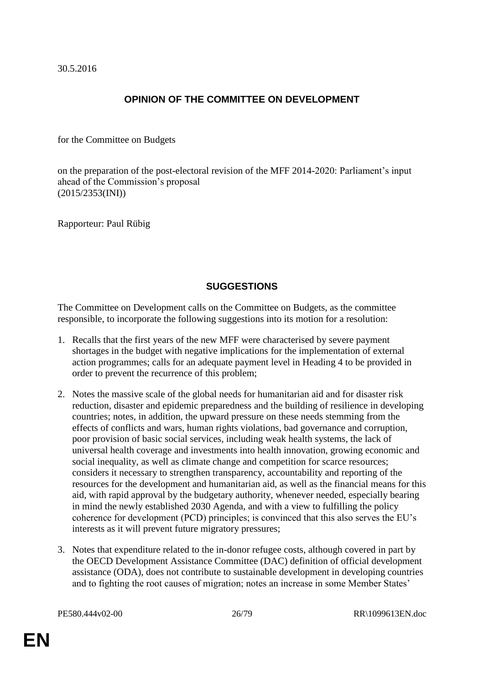30.5.2016

# **OPINION OF THE COMMITTEE ON DEVELOPMENT**

for the Committee on Budgets

on the preparation of the post-electoral revision of the MFF 2014-2020: Parliament's input ahead of the Commission's proposal (2015/2353(INI))

Rapporteur: Paul Rübig

# **SUGGESTIONS**

The Committee on Development calls on the Committee on Budgets, as the committee responsible, to incorporate the following suggestions into its motion for a resolution:

- 1. Recalls that the first years of the new MFF were characterised by severe payment shortages in the budget with negative implications for the implementation of external action programmes; calls for an adequate payment level in Heading 4 to be provided in order to prevent the recurrence of this problem;
- 2. Notes the massive scale of the global needs for humanitarian aid and for disaster risk reduction, disaster and epidemic preparedness and the building of resilience in developing countries; notes, in addition, the upward pressure on these needs stemming from the effects of conflicts and wars, human rights violations, bad governance and corruption, poor provision of basic social services, including weak health systems, the lack of universal health coverage and investments into health innovation, growing economic and social inequality, as well as climate change and competition for scarce resources; considers it necessary to strengthen transparency, accountability and reporting of the resources for the development and humanitarian aid, as well as the financial means for this aid, with rapid approval by the budgetary authority, whenever needed, especially bearing in mind the newly established 2030 Agenda, and with a view to fulfilling the policy coherence for development (PCD) principles; is convinced that this also serves the EU's interests as it will prevent future migratory pressures;
- 3. Notes that expenditure related to the in-donor refugee costs, although covered in part by the OECD Development Assistance Committee (DAC) definition of official development assistance (ODA), does not contribute to sustainable development in developing countries and to fighting the root causes of migration; notes an increase in some Member States'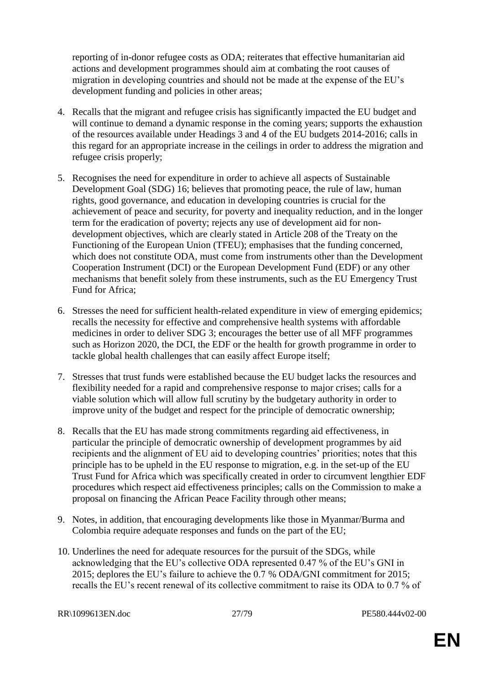reporting of in-donor refugee costs as ODA; reiterates that effective humanitarian aid actions and development programmes should aim at combating the root causes of migration in developing countries and should not be made at the expense of the EU's development funding and policies in other areas;

- 4. Recalls that the migrant and refugee crisis has significantly impacted the EU budget and will continue to demand a dynamic response in the coming years; supports the exhaustion of the resources available under Headings 3 and 4 of the EU budgets 2014-2016; calls in this regard for an appropriate increase in the ceilings in order to address the migration and refugee crisis properly;
- 5. Recognises the need for expenditure in order to achieve all aspects of Sustainable Development Goal (SDG) 16; believes that promoting peace, the rule of law, human rights, good governance, and education in developing countries is crucial for the achievement of peace and security, for poverty and inequality reduction, and in the longer term for the eradication of poverty; rejects any use of development aid for nondevelopment objectives, which are clearly stated in Article 208 of the Treaty on the Functioning of the European Union (TFEU); emphasises that the funding concerned, which does not constitute ODA, must come from instruments other than the Development Cooperation Instrument (DCI) or the European Development Fund (EDF) or any other mechanisms that benefit solely from these instruments, such as the EU Emergency Trust Fund for Africa;
- 6. Stresses the need for sufficient health-related expenditure in view of emerging epidemics; recalls the necessity for effective and comprehensive health systems with affordable medicines in order to deliver SDG 3; encourages the better use of all MFF programmes such as Horizon 2020, the DCI, the EDF or the health for growth programme in order to tackle global health challenges that can easily affect Europe itself;
- 7. Stresses that trust funds were established because the EU budget lacks the resources and flexibility needed for a rapid and comprehensive response to major crises; calls for a viable solution which will allow full scrutiny by the budgetary authority in order to improve unity of the budget and respect for the principle of democratic ownership;
- 8. Recalls that the EU has made strong commitments regarding aid effectiveness, in particular the principle of democratic ownership of development programmes by aid recipients and the alignment of EU aid to developing countries' priorities; notes that this principle has to be upheld in the EU response to migration, e.g. in the set-up of the EU Trust Fund for Africa which was specifically created in order to circumvent lengthier EDF procedures which respect aid effectiveness principles; calls on the Commission to make a proposal on financing the African Peace Facility through other means;
- 9. Notes, in addition, that encouraging developments like those in Myanmar/Burma and Colombia require adequate responses and funds on the part of the EU;
- 10. Underlines the need for adequate resources for the pursuit of the SDGs, while acknowledging that the EU's collective ODA represented 0.47 % of the EU's GNI in 2015; deplores the EU's failure to achieve the 0.7 % ODA/GNI commitment for 2015; recalls the EU's recent renewal of its collective commitment to raise its ODA to 0.7 % of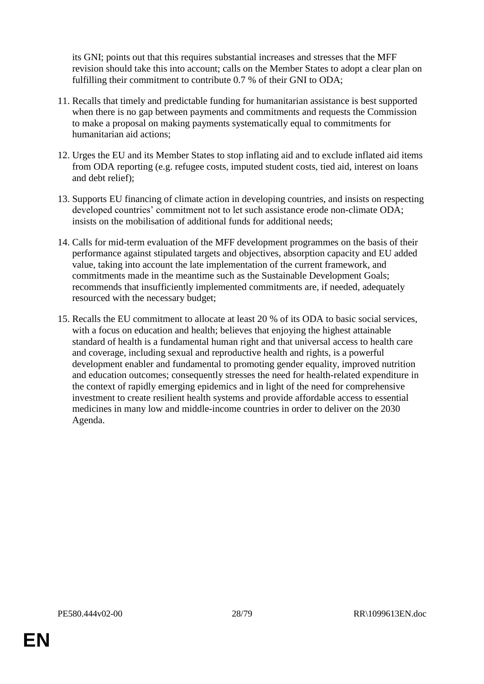its GNI; points out that this requires substantial increases and stresses that the MFF revision should take this into account; calls on the Member States to adopt a clear plan on fulfilling their commitment to contribute 0.7 % of their GNI to ODA:

- 11. Recalls that timely and predictable funding for humanitarian assistance is best supported when there is no gap between payments and commitments and requests the Commission to make a proposal on making payments systematically equal to commitments for humanitarian aid actions;
- 12. Urges the EU and its Member States to stop inflating aid and to exclude inflated aid items from ODA reporting (e.g. refugee costs, imputed student costs, tied aid, interest on loans and debt relief);
- 13. Supports EU financing of climate action in developing countries, and insists on respecting developed countries' commitment not to let such assistance erode non-climate ODA; insists on the mobilisation of additional funds for additional needs;
- 14. Calls for mid-term evaluation of the MFF development programmes on the basis of their performance against stipulated targets and objectives, absorption capacity and EU added value, taking into account the late implementation of the current framework, and commitments made in the meantime such as the Sustainable Development Goals; recommends that insufficiently implemented commitments are, if needed, adequately resourced with the necessary budget;
- 15. Recalls the EU commitment to allocate at least 20 % of its ODA to basic social services, with a focus on education and health; believes that enjoying the highest attainable standard of health is a fundamental human right and that universal access to health care and coverage, including sexual and reproductive health and rights, is a powerful development enabler and fundamental to promoting gender equality, improved nutrition and education outcomes; consequently stresses the need for health-related expenditure in the context of rapidly emerging epidemics and in light of the need for comprehensive investment to create resilient health systems and provide affordable access to essential medicines in many low and middle-income countries in order to deliver on the 2030 Agenda.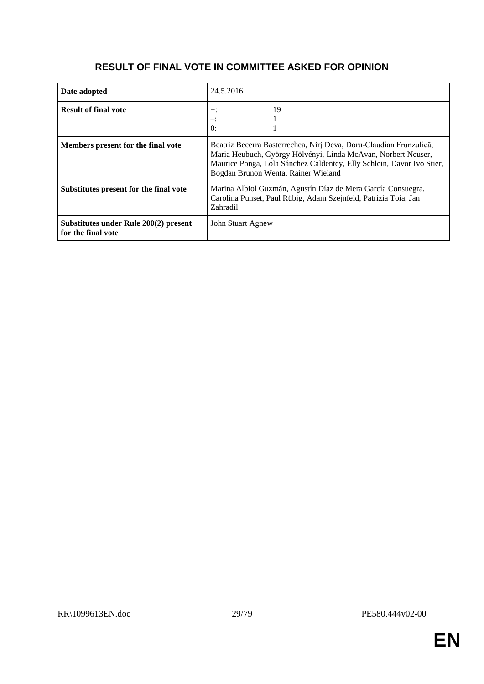# **RESULT OF FINAL VOTE IN COMMITTEE ASKED FOR OPINION**

| Date adopted                                                | 24.5.2016                                                                                                                                                                                                                                           |
|-------------------------------------------------------------|-----------------------------------------------------------------------------------------------------------------------------------------------------------------------------------------------------------------------------------------------------|
| <b>Result of final vote</b>                                 | 19<br>$+$ :<br>≕:<br>$\theta$ :                                                                                                                                                                                                                     |
| Members present for the final vote                          | Beatriz Becerra Basterrechea, Nirj Deva, Doru-Claudian Frunzulică,<br>Maria Heubuch, György Hölvényi, Linda McAvan, Norbert Neuser,<br>Maurice Ponga, Lola Sánchez Caldentey, Elly Schlein, Davor Ivo Stier,<br>Bogdan Brunon Wenta, Rainer Wieland |
| Substitutes present for the final vote                      | Marina Albiol Guzmán, Agustín Díaz de Mera García Consuegra,<br>Carolina Punset, Paul Rübig, Adam Szejnfeld, Patrizia Toia, Jan<br>Zahradil                                                                                                         |
| Substitutes under Rule 200(2) present<br>for the final vote | John Stuart Agnew                                                                                                                                                                                                                                   |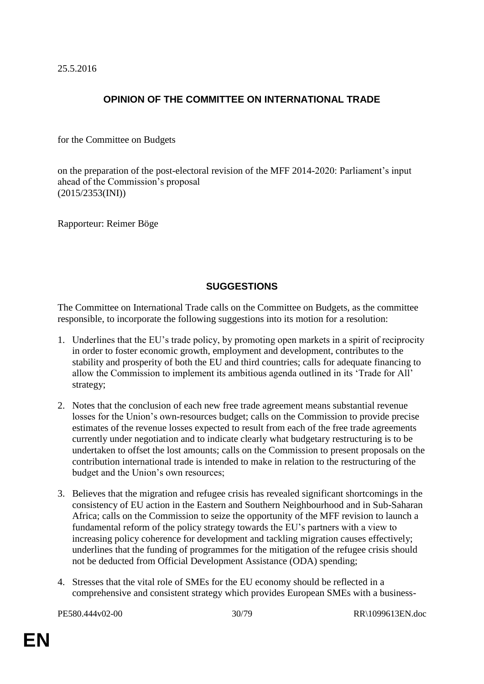25.5.2016

# **OPINION OF THE COMMITTEE ON INTERNATIONAL TRADE**

for the Committee on Budgets

on the preparation of the post-electoral revision of the MFF 2014-2020: Parliament's input ahead of the Commission's proposal (2015/2353(INI))

Rapporteur: Reimer Böge

# **SUGGESTIONS**

The Committee on International Trade calls on the Committee on Budgets, as the committee responsible, to incorporate the following suggestions into its motion for a resolution:

- 1. Underlines that the EU's trade policy, by promoting open markets in a spirit of reciprocity in order to foster economic growth, employment and development, contributes to the stability and prosperity of both the EU and third countries; calls for adequate financing to allow the Commission to implement its ambitious agenda outlined in its 'Trade for All' strategy;
- 2. Notes that the conclusion of each new free trade agreement means substantial revenue losses for the Union's own-resources budget; calls on the Commission to provide precise estimates of the revenue losses expected to result from each of the free trade agreements currently under negotiation and to indicate clearly what budgetary restructuring is to be undertaken to offset the lost amounts; calls on the Commission to present proposals on the contribution international trade is intended to make in relation to the restructuring of the budget and the Union's own resources;
- 3. Believes that the migration and refugee crisis has revealed significant shortcomings in the consistency of EU action in the Eastern and Southern Neighbourhood and in Sub-Saharan Africa; calls on the Commission to seize the opportunity of the MFF revision to launch a fundamental reform of the policy strategy towards the EU's partners with a view to increasing policy coherence for development and tackling migration causes effectively; underlines that the funding of programmes for the mitigation of the refugee crisis should not be deducted from Official Development Assistance (ODA) spending;
- 4. Stresses that the vital role of SMEs for the EU economy should be reflected in a comprehensive and consistent strategy which provides European SMEs with a business-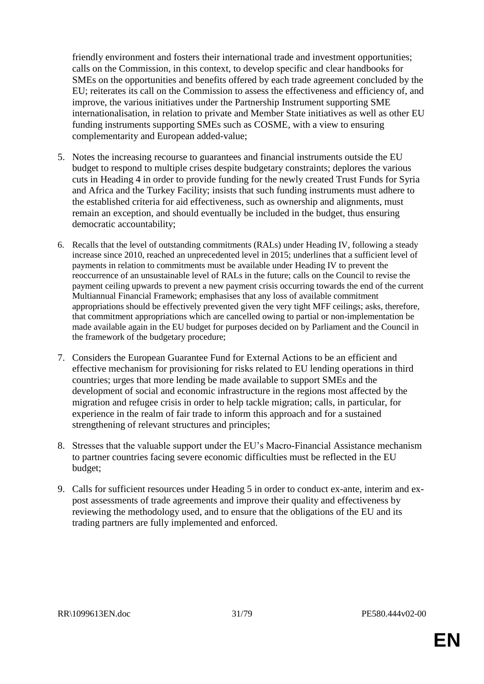friendly environment and fosters their international trade and investment opportunities; calls on the Commission, in this context, to develop specific and clear handbooks for SMEs on the opportunities and benefits offered by each trade agreement concluded by the EU; reiterates its call on the Commission to assess the effectiveness and efficiency of, and improve, the various initiatives under the Partnership Instrument supporting SME internationalisation, in relation to private and Member State initiatives as well as other EU funding instruments supporting SMEs such as COSME, with a view to ensuring complementarity and European added-value;

- 5. Notes the increasing recourse to guarantees and financial instruments outside the EU budget to respond to multiple crises despite budgetary constraints; deplores the various cuts in Heading 4 in order to provide funding for the newly created Trust Funds for Syria and Africa and the Turkey Facility; insists that such funding instruments must adhere to the established criteria for aid effectiveness, such as ownership and alignments, must remain an exception, and should eventually be included in the budget, thus ensuring democratic accountability;
- 6. Recalls that the level of outstanding commitments (RALs) under Heading IV, following a steady increase since 2010, reached an unprecedented level in 2015; underlines that a sufficient level of payments in relation to commitments must be available under Heading IV to prevent the reoccurrence of an unsustainable level of RALs in the future; calls on the Council to revise the payment ceiling upwards to prevent a new payment crisis occurring towards the end of the current Multiannual Financial Framework; emphasises that any loss of available commitment appropriations should be effectively prevented given the very tight MFF ceilings; asks, therefore, that commitment appropriations which are cancelled owing to partial or non-implementation be made available again in the EU budget for purposes decided on by Parliament and the Council in the framework of the budgetary procedure;
- 7. Considers the European Guarantee Fund for External Actions to be an efficient and effective mechanism for provisioning for risks related to EU lending operations in third countries; urges that more lending be made available to support SMEs and the development of social and economic infrastructure in the regions most affected by the migration and refugee crisis in order to help tackle migration; calls, in particular, for experience in the realm of fair trade to inform this approach and for a sustained strengthening of relevant structures and principles;
- 8. Stresses that the valuable support under the EU's Macro-Financial Assistance mechanism to partner countries facing severe economic difficulties must be reflected in the EU budget;
- 9. Calls for sufficient resources under Heading 5 in order to conduct ex-ante, interim and expost assessments of trade agreements and improve their quality and effectiveness by reviewing the methodology used, and to ensure that the obligations of the EU and its trading partners are fully implemented and enforced.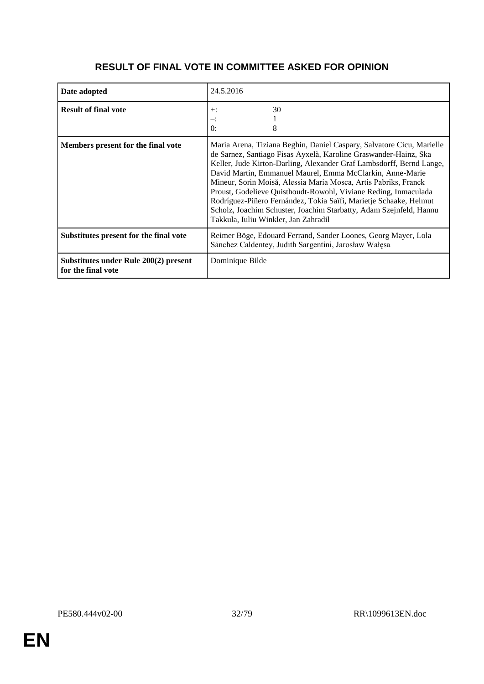# **RESULT OF FINAL VOTE IN COMMITTEE ASKED FOR OPINION**

| Date adopted                                                | 24.5.2016                                                                                                                                                                                                                                                                                                                                                                                                                                                                                                                                                                                               |
|-------------------------------------------------------------|---------------------------------------------------------------------------------------------------------------------------------------------------------------------------------------------------------------------------------------------------------------------------------------------------------------------------------------------------------------------------------------------------------------------------------------------------------------------------------------------------------------------------------------------------------------------------------------------------------|
| <b>Result of final vote</b>                                 | 30<br>$+$ :<br>$-$ :<br>$\theta$ :<br>8                                                                                                                                                                                                                                                                                                                                                                                                                                                                                                                                                                 |
| Members present for the final vote                          | Maria Arena, Tiziana Beghin, Daniel Caspary, Salvatore Cicu, Marielle<br>de Sarnez, Santiago Fisas Ayxelà, Karoline Graswander-Hainz, Ska<br>Keller, Jude Kirton-Darling, Alexander Graf Lambsdorff, Bernd Lange,<br>David Martin, Emmanuel Maurel, Emma McClarkin, Anne-Marie<br>Mineur, Sorin Moisă, Alessia Maria Mosca, Artis Pabriks, Franck<br>Proust, Godelieve Quisthoudt-Rowohl, Viviane Reding, Inmaculada<br>Rodríguez-Piñero Fernández, Tokia Saïfi, Marietje Schaake, Helmut<br>Scholz, Joachim Schuster, Joachim Starbatty, Adam Szejnfeld, Hannu<br>Takkula, Iuliu Winkler, Jan Zahradil |
| Substitutes present for the final vote                      | Reimer Böge, Edouard Ferrand, Sander Loones, Georg Mayer, Lola<br>Sánchez Caldentey, Judith Sargentini, Jarosław Wałęsa                                                                                                                                                                                                                                                                                                                                                                                                                                                                                 |
| Substitutes under Rule 200(2) present<br>for the final vote | Dominique Bilde                                                                                                                                                                                                                                                                                                                                                                                                                                                                                                                                                                                         |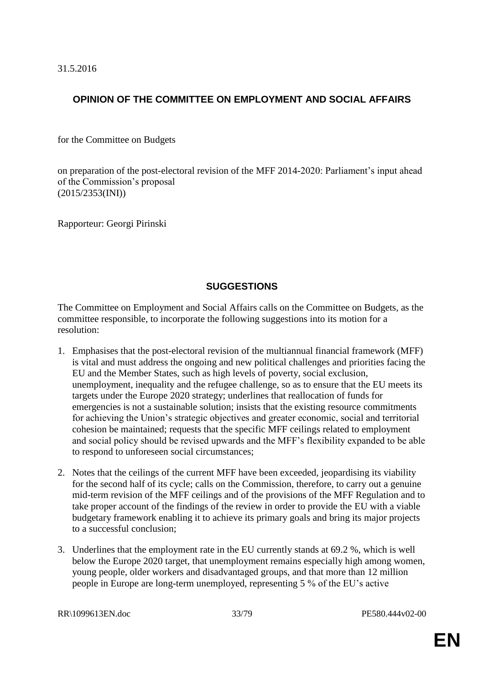31.5.2016

# **OPINION OF THE COMMITTEE ON EMPLOYMENT AND SOCIAL AFFAIRS**

for the Committee on Budgets

on preparation of the post-electoral revision of the MFF 2014-2020: Parliament's input ahead of the Commission's proposal (2015/2353(INI))

Rapporteur: Georgi Pirinski

# **SUGGESTIONS**

The Committee on Employment and Social Affairs calls on the Committee on Budgets, as the committee responsible, to incorporate the following suggestions into its motion for a resolution:

- 1. Emphasises that the post-electoral revision of the multiannual financial framework (MFF) is vital and must address the ongoing and new political challenges and priorities facing the EU and the Member States, such as high levels of poverty, social exclusion, unemployment, inequality and the refugee challenge, so as to ensure that the EU meets its targets under the Europe 2020 strategy; underlines that reallocation of funds for emergencies is not a sustainable solution; insists that the existing resource commitments for achieving the Union's strategic objectives and greater economic, social and territorial cohesion be maintained; requests that the specific MFF ceilings related to employment and social policy should be revised upwards and the MFF's flexibility expanded to be able to respond to unforeseen social circumstances;
- 2. Notes that the ceilings of the current MFF have been exceeded, jeopardising its viability for the second half of its cycle; calls on the Commission, therefore, to carry out a genuine mid-term revision of the MFF ceilings and of the provisions of the MFF Regulation and to take proper account of the findings of the review in order to provide the EU with a viable budgetary framework enabling it to achieve its primary goals and bring its major projects to a successful conclusion;
- 3. Underlines that the employment rate in the EU currently stands at 69.2 %, which is well below the Europe 2020 target, that unemployment remains especially high among women, young people, older workers and disadvantaged groups, and that more than 12 million people in Europe are long-term unemployed, representing 5 % of the EU's active

RR\1099613EN.doc 33/79 PE580.444v02-00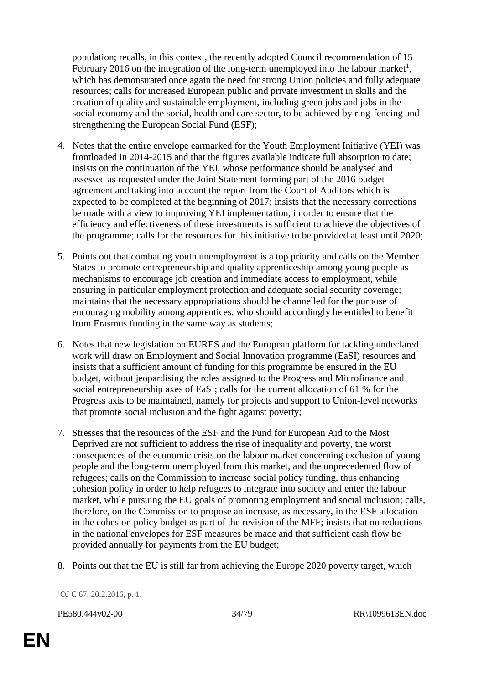population; recalls, in this context, the recently adopted Council recommendation of 15 February 2016 on the integration of the long-term unemployed into the labour market<sup>1</sup>, which has demonstrated once again the need for strong Union policies and fully adequate resources; calls for increased European public and private investment in skills and the creation of quality and sustainable employment, including green jobs and jobs in the social economy and the social, health and care sector, to be achieved by ring-fencing and strengthening the European Social Fund (ESF);

- 4. Notes that the entire envelope earmarked for the Youth Employment Initiative (YEI) was frontloaded in 2014-2015 and that the figures available indicate full absorption to date; insists on the continuation of the YEI, whose performance should be analysed and assessed as requested under the Joint Statement forming part of the 2016 budget agreement and taking into account the report from the Court of Auditors which is expected to be completed at the beginning of 2017; insists that the necessary corrections be made with a view to improving YEI implementation, in order to ensure that the efficiency and effectiveness of these investments is sufficient to achieve the objectives of the programme; calls for the resources for this initiative to be provided at least until 2020;
- 5. Points out that combating youth unemployment is a top priority and calls on the Member States to promote entrepreneurship and quality apprenticeship among young people as mechanisms to encourage job creation and immediate access to employment, while ensuring in particular employment protection and adequate social security coverage; maintains that the necessary appropriations should be channelled for the purpose of encouraging mobility among apprentices, who should accordingly be entitled to benefit from Erasmus funding in the same way as students;
- 6. Notes that new legislation on EURES and the European platform for tackling undeclared work will draw on Employment and Social Innovation programme (EaSI) resources and insists that a sufficient amount of funding for this programme be ensured in the EU budget, without jeopardising the roles assigned to the Progress and Microfinance and social entrepreneurship axes of EaSI; calls for the current allocation of 61 % for the Progress axis to be maintained, namely for projects and support to Union-level networks that promote social inclusion and the fight against poverty;
- 7. Stresses that the resources of the ESF and the Fund for European Aid to the Most Deprived are not sufficient to address the rise of inequality and poverty, the worst consequences of the economic crisis on the labour market concerning exclusion of young people and the long-term unemployed from this market, and the unprecedented flow of refugees; calls on the Commission to increase social policy funding, thus enhancing cohesion policy in order to help refugees to integrate into society and enter the labour market, while pursuing the EU goals of promoting employment and social inclusion; calls, therefore, on the Commission to propose an increase, as necessary, in the ESF allocation in the cohesion policy budget as part of the revision of the MFF; insists that no reductions in the national envelopes for ESF measures be made and that sufficient cash flow be provided annually for payments from the EU budget;
- 8. Points out that the EU is still far from achieving the Europe 2020 poverty target, which

 $\overline{a}$ 1OJ C 67, 20.2.2016, p. 1.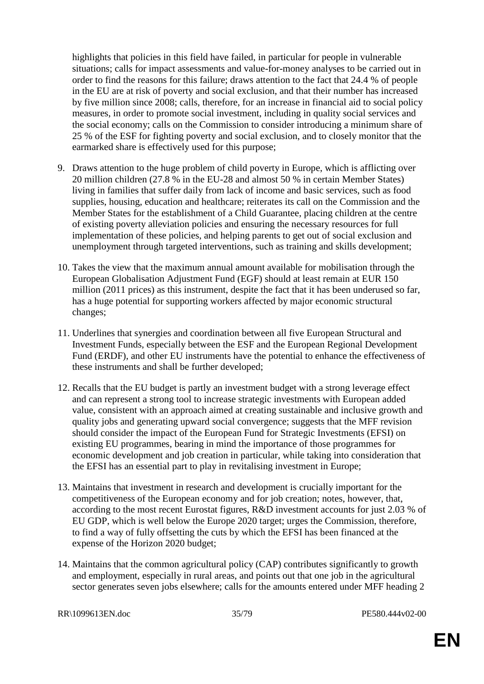highlights that policies in this field have failed, in particular for people in vulnerable situations; calls for impact assessments and value-for-money analyses to be carried out in order to find the reasons for this failure; draws attention to the fact that 24.4 % of people in the EU are at risk of poverty and social exclusion, and that their number has increased by five million since 2008; calls, therefore, for an increase in financial aid to social policy measures, in order to promote social investment, including in quality social services and the social economy; calls on the Commission to consider introducing a minimum share of 25 % of the ESF for fighting poverty and social exclusion, and to closely monitor that the earmarked share is effectively used for this purpose;

- 9. Draws attention to the huge problem of child poverty in Europe, which is afflicting over 20 million children (27.8 % in the EU-28 and almost 50 % in certain Member States) living in families that suffer daily from lack of income and basic services, such as food supplies, housing, education and healthcare; reiterates its call on the Commission and the Member States for the establishment of a Child Guarantee, placing children at the centre of existing poverty alleviation policies and ensuring the necessary resources for full implementation of these policies, and helping parents to get out of social exclusion and unemployment through targeted interventions, such as training and skills development;
- 10. Takes the view that the maximum annual amount available for mobilisation through the European Globalisation Adjustment Fund (EGF) should at least remain at EUR 150 million (2011 prices) as this instrument, despite the fact that it has been underused so far, has a huge potential for supporting workers affected by major economic structural changes;
- 11. Underlines that synergies and coordination between all five European Structural and Investment Funds, especially between the ESF and the European Regional Development Fund (ERDF), and other EU instruments have the potential to enhance the effectiveness of these instruments and shall be further developed;
- 12. Recalls that the EU budget is partly an investment budget with a strong leverage effect and can represent a strong tool to increase strategic investments with European added value, consistent with an approach aimed at creating sustainable and inclusive growth and quality jobs and generating upward social convergence; suggests that the MFF revision should consider the impact of the European Fund for Strategic Investments (EFSI) on existing EU programmes, bearing in mind the importance of those programmes for economic development and job creation in particular, while taking into consideration that the EFSI has an essential part to play in revitalising investment in Europe;
- 13. Maintains that investment in research and development is crucially important for the competitiveness of the European economy and for job creation; notes, however, that, according to the most recent Eurostat figures, R&D investment accounts for just 2.03 % of EU GDP, which is well below the Europe 2020 target; urges the Commission, therefore, to find a way of fully offsetting the cuts by which the EFSI has been financed at the expense of the Horizon 2020 budget;
- 14. Maintains that the common agricultural policy (CAP) contributes significantly to growth and employment, especially in rural areas, and points out that one job in the agricultural sector generates seven jobs elsewhere; calls for the amounts entered under MFF heading 2

RR\1099613EN.doc 35/79 PE580.444v02-00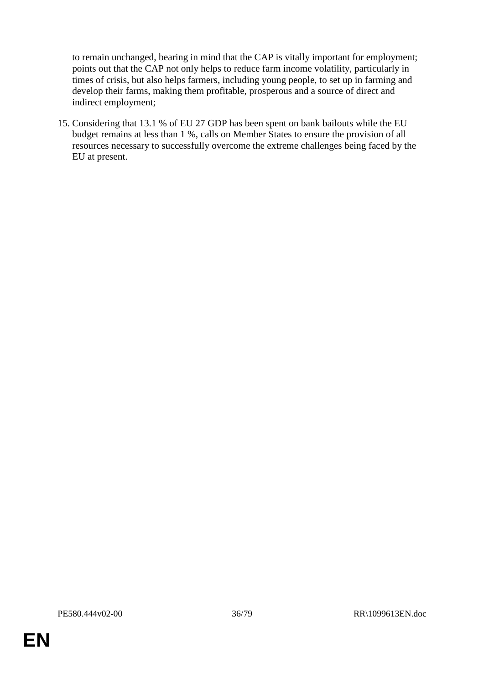to remain unchanged, bearing in mind that the CAP is vitally important for employment; points out that the CAP not only helps to reduce farm income volatility, particularly in times of crisis, but also helps farmers, including young people, to set up in farming and develop their farms, making them profitable, prosperous and a source of direct and indirect employment;

15. Considering that 13.1 % of EU 27 GDP has been spent on bank bailouts while the EU budget remains at less than 1 %, calls on Member States to ensure the provision of all resources necessary to successfully overcome the extreme challenges being faced by the EU at present.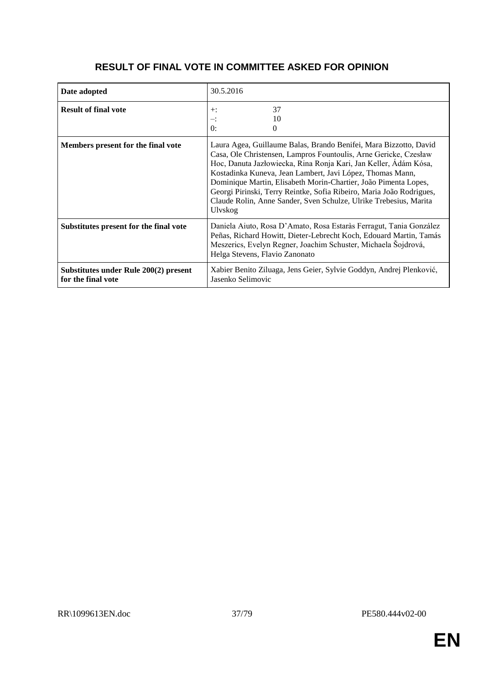| Date adopted                                                | 30.5.2016                                                                                                                                                                                                                                                                                                                                                                                                                                                                                         |
|-------------------------------------------------------------|---------------------------------------------------------------------------------------------------------------------------------------------------------------------------------------------------------------------------------------------------------------------------------------------------------------------------------------------------------------------------------------------------------------------------------------------------------------------------------------------------|
| <b>Result of final vote</b>                                 | 37<br>$+$ :<br>10<br>∹.<br>0:<br>$\Omega$                                                                                                                                                                                                                                                                                                                                                                                                                                                         |
| Members present for the final vote                          | Laura Agea, Guillaume Balas, Brando Benifei, Mara Bizzotto, David<br>Casa, Ole Christensen, Lampros Fountoulis, Arne Gericke, Czesław<br>Hoc, Danuta Jazłowiecka, Rina Ronja Kari, Jan Keller, Ádám Kósa,<br>Kostadinka Kuneva, Jean Lambert, Javi López, Thomas Mann,<br>Dominique Martin, Elisabeth Morin-Chartier, João Pimenta Lopes,<br>Georgi Pirinski, Terry Reintke, Sofia Ribeiro, Maria João Rodrigues,<br>Claude Rolin, Anne Sander, Sven Schulze, Ulrike Trebesius, Marita<br>Ulvskog |
| Substitutes present for the final vote                      | Daniela Aiuto, Rosa D'Amato, Rosa Estaràs Ferragut, Tania González<br>Peñas, Richard Howitt, Dieter-Lebrecht Koch, Edouard Martin, Tamás<br>Meszerics, Evelyn Regner, Joachim Schuster, Michaela Šojdrová,<br>Helga Stevens, Flavio Zanonato                                                                                                                                                                                                                                                      |
| Substitutes under Rule 200(2) present<br>for the final vote | Xabier Benito Ziluaga, Jens Geier, Sylvie Goddyn, Andrej Plenković,<br>Jasenko Selimovic                                                                                                                                                                                                                                                                                                                                                                                                          |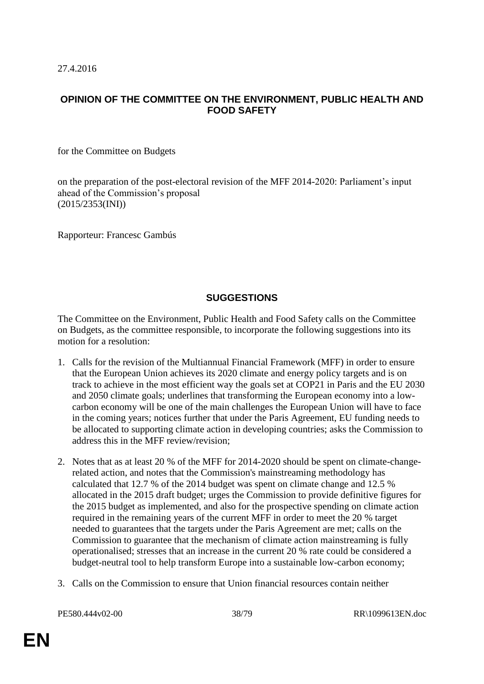#### **OPINION OF THE COMMITTEE ON THE ENVIRONMENT, PUBLIC HEALTH AND FOOD SAFETY**

for the Committee on Budgets

on the preparation of the post-electoral revision of the MFF 2014-2020: Parliament's input ahead of the Commission's proposal (2015/2353(INI))

Rapporteur: Francesc Gambús

## **SUGGESTIONS**

The Committee on the Environment, Public Health and Food Safety calls on the Committee on Budgets, as the committee responsible, to incorporate the following suggestions into its motion for a resolution:

- 1. Calls for the revision of the Multiannual Financial Framework (MFF) in order to ensure that the European Union achieves its 2020 climate and energy policy targets and is on track to achieve in the most efficient way the goals set at COP21 in Paris and the EU 2030 and 2050 climate goals; underlines that transforming the European economy into a lowcarbon economy will be one of the main challenges the European Union will have to face in the coming years; notices further that under the Paris Agreement, EU funding needs to be allocated to supporting climate action in developing countries; asks the Commission to address this in the MFF review/revision;
- 2. Notes that as at least 20 % of the MFF for 2014-2020 should be spent on climate-changerelated action, and notes that the Commission's mainstreaming methodology has calculated that 12.7 % of the 2014 budget was spent on climate change and 12.5 % allocated in the 2015 draft budget; urges the Commission to provide definitive figures for the 2015 budget as implemented, and also for the prospective spending on climate action required in the remaining years of the current MFF in order to meet the 20 % target needed to guarantees that the targets under the Paris Agreement are met; calls on the Commission to guarantee that the mechanism of climate action mainstreaming is fully operationalised; stresses that an increase in the current 20 % rate could be considered a budget-neutral tool to help transform Europe into a sustainable low-carbon economy;
- 3. Calls on the Commission to ensure that Union financial resources contain neither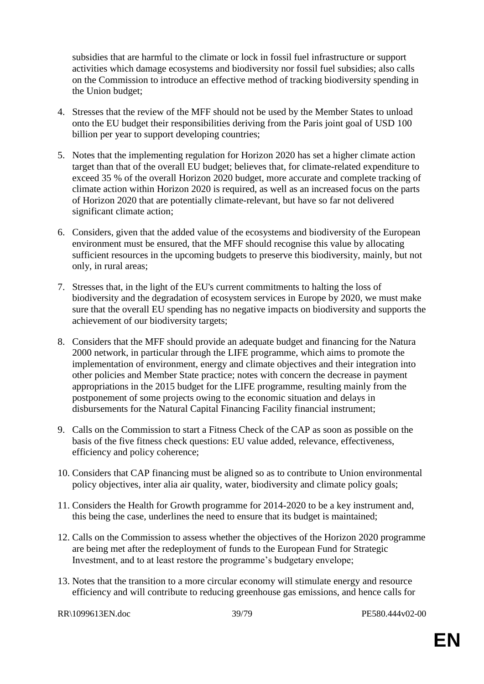subsidies that are harmful to the climate or lock in fossil fuel infrastructure or support activities which damage ecosystems and biodiversity nor fossil fuel subsidies; also calls on the Commission to introduce an effective method of tracking biodiversity spending in the Union budget;

- 4. Stresses that the review of the MFF should not be used by the Member States to unload onto the EU budget their responsibilities deriving from the Paris joint goal of USD 100 billion per year to support developing countries;
- 5. Notes that the implementing regulation for Horizon 2020 has set a higher climate action target than that of the overall EU budget; believes that, for climate-related expenditure to exceed 35 % of the overall Horizon 2020 budget, more accurate and complete tracking of climate action within Horizon 2020 is required, as well as an increased focus on the parts of Horizon 2020 that are potentially climate-relevant, but have so far not delivered significant climate action;
- 6. Considers, given that the added value of the ecosystems and biodiversity of the European environment must be ensured, that the MFF should recognise this value by allocating sufficient resources in the upcoming budgets to preserve this biodiversity, mainly, but not only, in rural areas;
- 7. Stresses that, in the light of the EU's current commitments to halting the loss of biodiversity and the degradation of ecosystem services in Europe by 2020, we must make sure that the overall EU spending has no negative impacts on biodiversity and supports the achievement of our biodiversity targets;
- 8. Considers that the MFF should provide an adequate budget and financing for the Natura 2000 network, in particular through the LIFE programme, which aims to promote the implementation of environment, energy and climate objectives and their integration into other policies and Member State practice; notes with concern the decrease in payment appropriations in the 2015 budget for the LIFE programme, resulting mainly from the postponement of some projects owing to the economic situation and delays in disbursements for the Natural Capital Financing Facility financial instrument;
- 9. Calls on the Commission to start a Fitness Check of the CAP as soon as possible on the basis of the five fitness check questions: EU value added, relevance, effectiveness, efficiency and policy coherence;
- 10. Considers that CAP financing must be aligned so as to contribute to Union environmental policy objectives, inter alia air quality, water, biodiversity and climate policy goals;
- 11. Considers the Health for Growth programme for 2014-2020 to be a key instrument and, this being the case, underlines the need to ensure that its budget is maintained;
- 12. Calls on the Commission to assess whether the objectives of the Horizon 2020 programme are being met after the redeployment of funds to the European Fund for Strategic Investment, and to at least restore the programme's budgetary envelope;
- 13. Notes that the transition to a more circular economy will stimulate energy and resource efficiency and will contribute to reducing greenhouse gas emissions, and hence calls for

RR\1099613EN.doc 39/79 PE580.444v02-00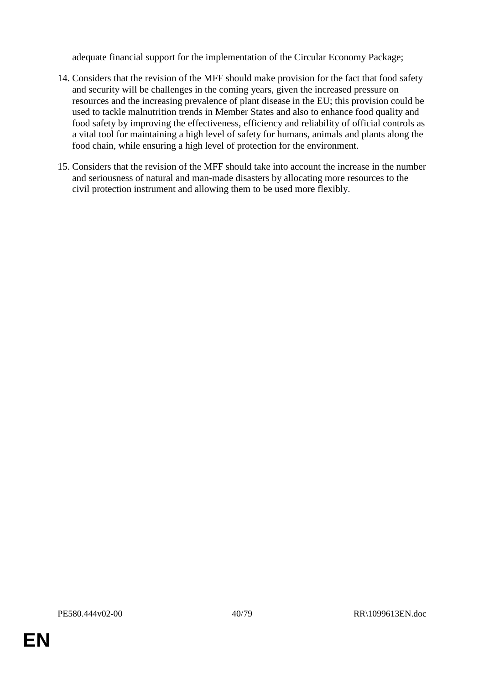adequate financial support for the implementation of the Circular Economy Package;

- 14. Considers that the revision of the MFF should make provision for the fact that food safety and security will be challenges in the coming years, given the increased pressure on resources and the increasing prevalence of plant disease in the EU; this provision could be used to tackle malnutrition trends in Member States and also to enhance food quality and food safety by improving the effectiveness, efficiency and reliability of official controls as a vital tool for maintaining a high level of safety for humans, animals and plants along the food chain, while ensuring a high level of protection for the environment.
- 15. Considers that the revision of the MFF should take into account the increase in the number and seriousness of natural and man-made disasters by allocating more resources to the civil protection instrument and allowing them to be used more flexibly.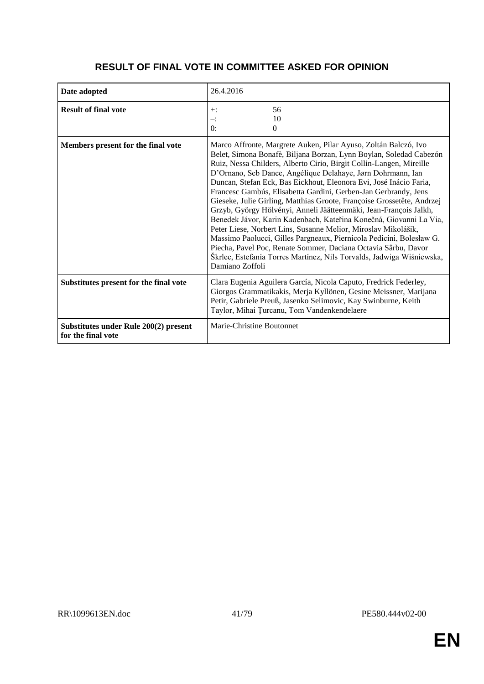| Date adopted                                                | 26.4.2016                                                                                                                                                                                                                                                                                                                                                                                                                                                                                                                                                                                                                                                                                                                                                                                                                                                                                                                                         |
|-------------------------------------------------------------|---------------------------------------------------------------------------------------------------------------------------------------------------------------------------------------------------------------------------------------------------------------------------------------------------------------------------------------------------------------------------------------------------------------------------------------------------------------------------------------------------------------------------------------------------------------------------------------------------------------------------------------------------------------------------------------------------------------------------------------------------------------------------------------------------------------------------------------------------------------------------------------------------------------------------------------------------|
| <b>Result of final vote</b>                                 | 56<br>$+$ :<br>10<br>∹.<br>0:<br>$\Omega$                                                                                                                                                                                                                                                                                                                                                                                                                                                                                                                                                                                                                                                                                                                                                                                                                                                                                                         |
| Members present for the final vote                          | Marco Affronte, Margrete Auken, Pilar Ayuso, Zoltán Balczó, Ivo<br>Belet, Simona Bonafè, Biljana Borzan, Lynn Boylan, Soledad Cabezón<br>Ruiz, Nessa Childers, Alberto Cirio, Birgit Collin-Langen, Mireille<br>D'Ornano, Seb Dance, Angélique Delahaye, Jørn Dohrmann, Ian<br>Duncan, Stefan Eck, Bas Eickhout, Eleonora Evi, José Inácio Faria,<br>Francesc Gambús, Elisabetta Gardini, Gerben-Jan Gerbrandy, Jens<br>Gieseke, Julie Girling, Matthias Groote, Françoise Grossetête, Andrzej<br>Grzyb, György Hölvényi, Anneli Jäätteenmäki, Jean-François Jalkh,<br>Benedek Jávor, Karin Kadenbach, Kateřina Konečná, Giovanni La Via,<br>Peter Liese, Norbert Lins, Susanne Melior, Miroslav Mikolášik,<br>Massimo Paolucci, Gilles Pargneaux, Piernicola Pedicini, Bolesław G.<br>Piecha, Pavel Poc, Renate Sommer, Daciana Octavia Sârbu, Davor<br>Škrlec, Estefanía Torres Martínez, Nils Torvalds, Jadwiga Wiśniewska,<br>Damiano Zoffoli |
| Substitutes present for the final vote                      | Clara Eugenia Aguilera García, Nicola Caputo, Fredrick Federley,<br>Giorgos Grammatikakis, Merja Kyllönen, Gesine Meissner, Marijana<br>Petir, Gabriele Preuß, Jasenko Selimovic, Kay Swinburne, Keith<br>Taylor, Mihai Țurcanu, Tom Vandenkendelaere                                                                                                                                                                                                                                                                                                                                                                                                                                                                                                                                                                                                                                                                                             |
| Substitutes under Rule 200(2) present<br>for the final vote | Marie-Christine Boutonnet                                                                                                                                                                                                                                                                                                                                                                                                                                                                                                                                                                                                                                                                                                                                                                                                                                                                                                                         |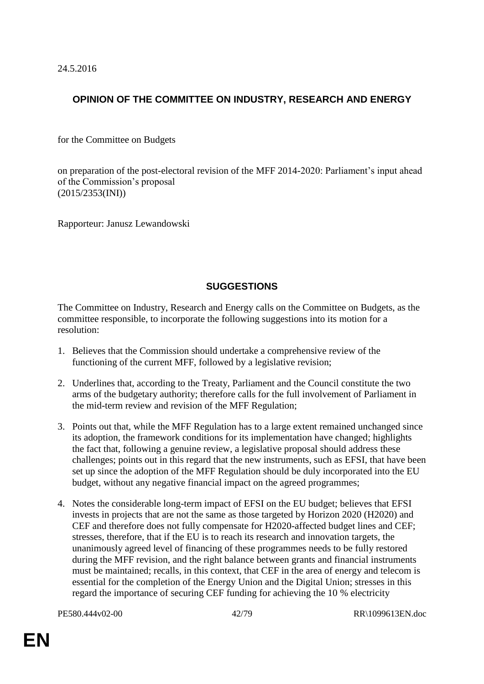24.5.2016

## **OPINION OF THE COMMITTEE ON INDUSTRY, RESEARCH AND ENERGY**

for the Committee on Budgets

on preparation of the post-electoral revision of the MFF 2014-2020: Parliament's input ahead of the Commission's proposal (2015/2353(INI))

Rapporteur: Janusz Lewandowski

## **SUGGESTIONS**

The Committee on Industry, Research and Energy calls on the Committee on Budgets, as the committee responsible, to incorporate the following suggestions into its motion for a resolution:

- 1. Believes that the Commission should undertake a comprehensive review of the functioning of the current MFF, followed by a legislative revision;
- 2. Underlines that, according to the Treaty, Parliament and the Council constitute the two arms of the budgetary authority; therefore calls for the full involvement of Parliament in the mid-term review and revision of the MFF Regulation;
- 3. Points out that, while the MFF Regulation has to a large extent remained unchanged since its adoption, the framework conditions for its implementation have changed; highlights the fact that, following a genuine review, a legislative proposal should address these challenges; points out in this regard that the new instruments, such as EFSI, that have been set up since the adoption of the MFF Regulation should be duly incorporated into the EU budget, without any negative financial impact on the agreed programmes;
- 4. Notes the considerable long-term impact of EFSI on the EU budget; believes that EFSI invests in projects that are not the same as those targeted by Horizon 2020 (H2020) and CEF and therefore does not fully compensate for H2020-affected budget lines and CEF; stresses, therefore, that if the EU is to reach its research and innovation targets, the unanimously agreed level of financing of these programmes needs to be fully restored during the MFF revision, and the right balance between grants and financial instruments must be maintained; recalls, in this context, that CEF in the area of energy and telecom is essential for the completion of the Energy Union and the Digital Union; stresses in this regard the importance of securing CEF funding for achieving the 10 % electricity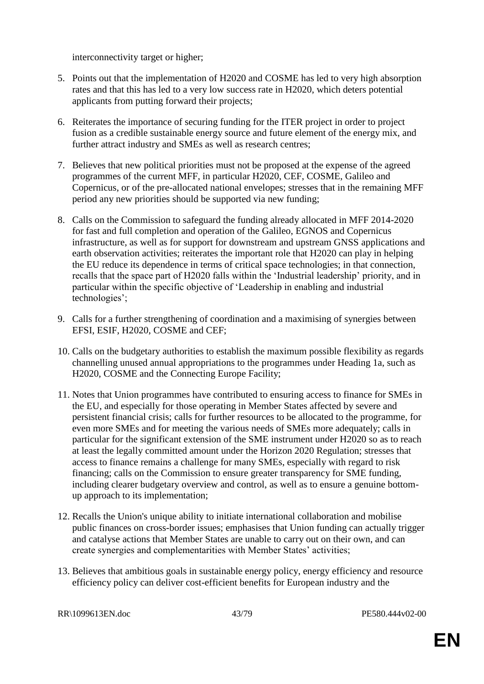interconnectivity target or higher;

- 5. Points out that the implementation of H2020 and COSME has led to very high absorption rates and that this has led to a very low success rate in H2020, which deters potential applicants from putting forward their projects;
- 6. Reiterates the importance of securing funding for the ITER project in order to project fusion as a credible sustainable energy source and future element of the energy mix, and further attract industry and SMEs as well as research centres;
- 7. Believes that new political priorities must not be proposed at the expense of the agreed programmes of the current MFF, in particular H2020, CEF, COSME, Galileo and Copernicus, or of the pre-allocated national envelopes; stresses that in the remaining MFF period any new priorities should be supported via new funding;
- 8. Calls on the Commission to safeguard the funding already allocated in MFF 2014-2020 for fast and full completion and operation of the Galileo, EGNOS and Copernicus infrastructure, as well as for support for downstream and upstream GNSS applications and earth observation activities; reiterates the important role that H2020 can play in helping the EU reduce its dependence in terms of critical space technologies; in that connection, recalls that the space part of H2020 falls within the 'Industrial leadership' priority, and in particular within the specific objective of 'Leadership in enabling and industrial technologies';
- 9. Calls for a further strengthening of coordination and a maximising of synergies between EFSI, ESIF, H2020, COSME and CEF;
- 10. Calls on the budgetary authorities to establish the maximum possible flexibility as regards channelling unused annual appropriations to the programmes under Heading 1a, such as H2020, COSME and the Connecting Europe Facility;
- 11. Notes that Union programmes have contributed to ensuring access to finance for SMEs in the EU, and especially for those operating in Member States affected by severe and persistent financial crisis; calls for further resources to be allocated to the programme, for even more SMEs and for meeting the various needs of SMEs more adequately; calls in particular for the significant extension of the SME instrument under H2020 so as to reach at least the legally committed amount under the Horizon 2020 Regulation; stresses that access to finance remains a challenge for many SMEs, especially with regard to risk financing; calls on the Commission to ensure greater transparency for SME funding, including clearer budgetary overview and control, as well as to ensure a genuine bottomup approach to its implementation;
- 12. Recalls the Union's unique ability to initiate international collaboration and mobilise public finances on cross-border issues; emphasises that Union funding can actually trigger and catalyse actions that Member States are unable to carry out on their own, and can create synergies and complementarities with Member States' activities;
- 13. Believes that ambitious goals in sustainable energy policy, energy efficiency and resource efficiency policy can deliver cost-efficient benefits for European industry and the

RR\1099613EN.doc 43/79 PE580.444v02-00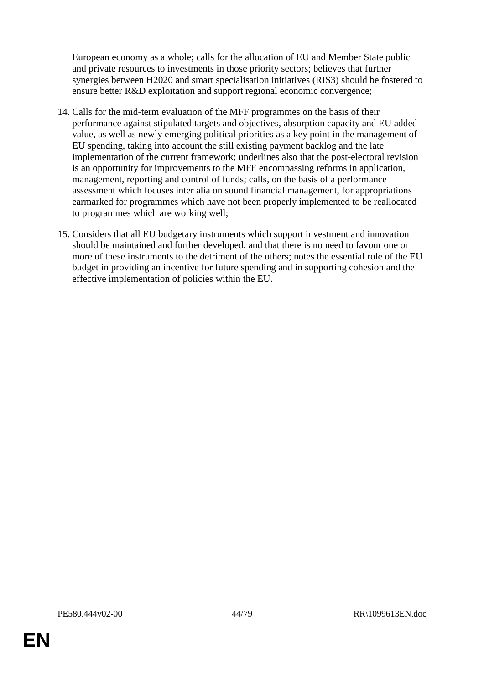European economy as a whole; calls for the allocation of EU and Member State public and private resources to investments in those priority sectors; believes that further synergies between H2020 and smart specialisation initiatives (RIS3) should be fostered to ensure better R&D exploitation and support regional economic convergence;

- 14. Calls for the mid-term evaluation of the MFF programmes on the basis of their performance against stipulated targets and objectives, absorption capacity and EU added value, as well as newly emerging political priorities as a key point in the management of EU spending, taking into account the still existing payment backlog and the late implementation of the current framework; underlines also that the post-electoral revision is an opportunity for improvements to the MFF encompassing reforms in application, management, reporting and control of funds; calls, on the basis of a performance assessment which focuses inter alia on sound financial management, for appropriations earmarked for programmes which have not been properly implemented to be reallocated to programmes which are working well;
- 15. Considers that all EU budgetary instruments which support investment and innovation should be maintained and further developed, and that there is no need to favour one or more of these instruments to the detriment of the others; notes the essential role of the EU budget in providing an incentive for future spending and in supporting cohesion and the effective implementation of policies within the EU.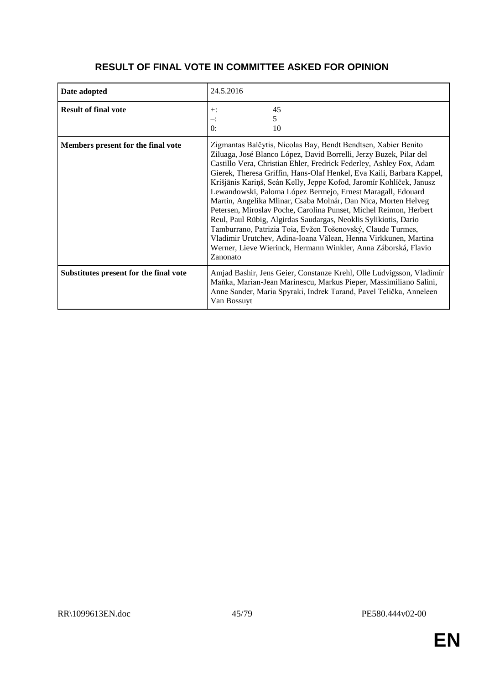| Date adopted                           | 24.5.2016                                                                                                                                                                                                                                                                                                                                                                                                                                                                                                                                                                                                                                                                                                                                                                                                                                            |
|----------------------------------------|------------------------------------------------------------------------------------------------------------------------------------------------------------------------------------------------------------------------------------------------------------------------------------------------------------------------------------------------------------------------------------------------------------------------------------------------------------------------------------------------------------------------------------------------------------------------------------------------------------------------------------------------------------------------------------------------------------------------------------------------------------------------------------------------------------------------------------------------------|
| <b>Result of final vote</b>            | 45<br>$+$ :<br>5.<br>∹.<br>0:<br>10                                                                                                                                                                                                                                                                                                                                                                                                                                                                                                                                                                                                                                                                                                                                                                                                                  |
| Members present for the final vote     | Zigmantas Balčytis, Nicolas Bay, Bendt Bendtsen, Xabier Benito<br>Ziluaga, José Blanco López, David Borrelli, Jerzy Buzek, Pilar del<br>Castillo Vera, Christian Ehler, Fredrick Federley, Ashley Fox, Adam<br>Gierek, Theresa Griffin, Hans-Olaf Henkel, Eva Kaili, Barbara Kappel,<br>Krišjānis Kariņš, Seán Kelly, Jeppe Kofod, Jaromír Kohlíček, Janusz<br>Lewandowski, Paloma López Bermejo, Ernest Maragall, Edouard<br>Martin, Angelika Mlinar, Csaba Molnár, Dan Nica, Morten Helveg<br>Petersen, Miroslav Poche, Carolina Punset, Michel Reimon, Herbert<br>Reul, Paul Rübig, Algirdas Saudargas, Neoklis Sylikiotis, Dario<br>Tamburrano, Patrizia Toia, Evžen Tošenovský, Claude Turmes,<br>Vladimir Urutchev, Adina-Ioana Vălean, Henna Virkkunen, Martina<br>Werner, Lieve Wierinck, Hermann Winkler, Anna Záborská, Flavio<br>Zanonato |
| Substitutes present for the final vote | Amjad Bashir, Jens Geier, Constanze Krehl, Olle Ludvigsson, Vladimír<br>Maňka, Marian-Jean Marinescu, Markus Pieper, Massimiliano Salini,<br>Anne Sander, Maria Spyraki, Indrek Tarand, Pavel Telička, Anneleen<br>Van Bossuyt                                                                                                                                                                                                                                                                                                                                                                                                                                                                                                                                                                                                                       |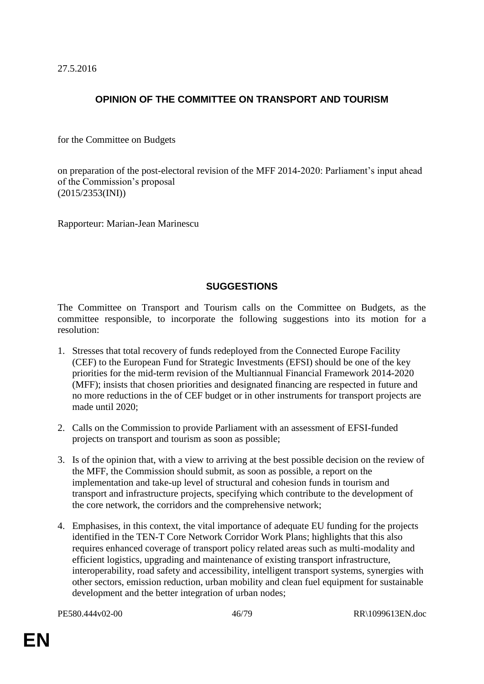27.5.2016

# **OPINION OF THE COMMITTEE ON TRANSPORT AND TOURISM**

for the Committee on Budgets

on preparation of the post-electoral revision of the MFF 2014-2020: Parliament's input ahead of the Commission's proposal (2015/2353(INI))

Rapporteur: Marian-Jean Marinescu

#### **SUGGESTIONS**

The Committee on Transport and Tourism calls on the Committee on Budgets, as the committee responsible, to incorporate the following suggestions into its motion for a resolution:

- 1. Stresses that total recovery of funds redeployed from the Connected Europe Facility (CEF) to the European Fund for Strategic Investments (EFSI) should be one of the key priorities for the mid-term revision of the Multiannual Financial Framework 2014-2020 (MFF); insists that chosen priorities and designated financing are respected in future and no more reductions in the of CEF budget or in other instruments for transport projects are made until 2020;
- 2. Calls on the Commission to provide Parliament with an assessment of EFSI-funded projects on transport and tourism as soon as possible;
- 3. Is of the opinion that, with a view to arriving at the best possible decision on the review of the MFF, the Commission should submit, as soon as possible, a report on the implementation and take-up level of structural and cohesion funds in tourism and transport and infrastructure projects, specifying which contribute to the development of the core network, the corridors and the comprehensive network;
- 4. Emphasises, in this context, the vital importance of adequate EU funding for the projects identified in the TEN-T Core Network Corridor Work Plans; highlights that this also requires enhanced coverage of transport policy related areas such as multi-modality and efficient logistics, upgrading and maintenance of existing transport infrastructure, interoperability, road safety and accessibility, intelligent transport systems, synergies with other sectors, emission reduction, urban mobility and clean fuel equipment for sustainable development and the better integration of urban nodes;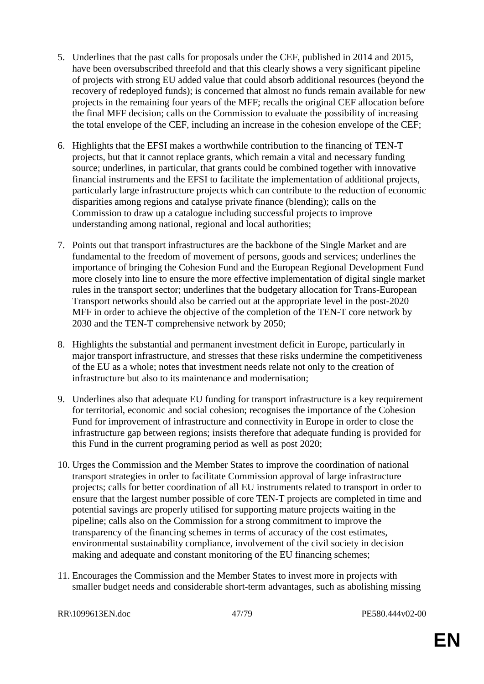- 5. Underlines that the past calls for proposals under the CEF, published in 2014 and 2015, have been oversubscribed threefold and that this clearly shows a very significant pipeline of projects with strong EU added value that could absorb additional resources (beyond the recovery of redeployed funds); is concerned that almost no funds remain available for new projects in the remaining four years of the MFF; recalls the original CEF allocation before the final MFF decision; calls on the Commission to evaluate the possibility of increasing the total envelope of the CEF, including an increase in the cohesion envelope of the CEF;
- 6. Highlights that the EFSI makes a worthwhile contribution to the financing of TEN-T projects, but that it cannot replace grants, which remain a vital and necessary funding source; underlines, in particular, that grants could be combined together with innovative financial instruments and the EFSI to facilitate the implementation of additional projects, particularly large infrastructure projects which can contribute to the reduction of economic disparities among regions and catalyse private finance (blending); calls on the Commission to draw up a catalogue including successful projects to improve understanding among national, regional and local authorities;
- 7. Points out that transport infrastructures are the backbone of the Single Market and are fundamental to the freedom of movement of persons, goods and services; underlines the importance of bringing the Cohesion Fund and the European Regional Development Fund more closely into line to ensure the more effective implementation of digital single market rules in the transport sector; underlines that the budgetary allocation for Trans-European Transport networks should also be carried out at the appropriate level in the post-2020 MFF in order to achieve the objective of the completion of the TEN-T core network by 2030 and the TEN-T comprehensive network by 2050;
- 8. Highlights the substantial and permanent investment deficit in Europe, particularly in major transport infrastructure, and stresses that these risks undermine the competitiveness of the EU as a whole; notes that investment needs relate not only to the creation of infrastructure but also to its maintenance and modernisation;
- 9. Underlines also that adequate EU funding for transport infrastructure is a key requirement for territorial, economic and social cohesion; recognises the importance of the Cohesion Fund for improvement of infrastructure and connectivity in Europe in order to close the infrastructure gap between regions; insists therefore that adequate funding is provided for this Fund in the current programing period as well as post 2020;
- 10. Urges the Commission and the Member States to improve the coordination of national transport strategies in order to facilitate Commission approval of large infrastructure projects; calls for better coordination of all EU instruments related to transport in order to ensure that the largest number possible of core TEN-T projects are completed in time and potential savings are properly utilised for supporting mature projects waiting in the pipeline; calls also on the Commission for a strong commitment to improve the transparency of the financing schemes in terms of accuracy of the cost estimates, environmental sustainability compliance, involvement of the civil society in decision making and adequate and constant monitoring of the EU financing schemes;
- 11. Encourages the Commission and the Member States to invest more in projects with smaller budget needs and considerable short-term advantages, such as abolishing missing

RR\1099613EN.doc 47/79 PE580.444v02-00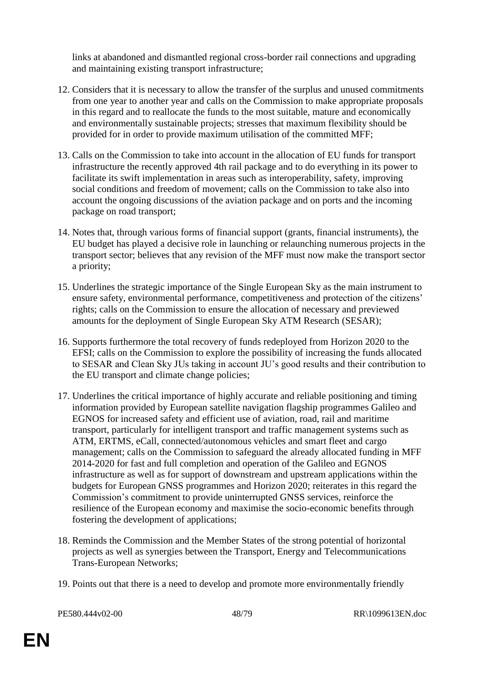links at abandoned and dismantled regional cross-border rail connections and upgrading and maintaining existing transport infrastructure;

- 12. Considers that it is necessary to allow the transfer of the surplus and unused commitments from one year to another year and calls on the Commission to make appropriate proposals in this regard and to reallocate the funds to the most suitable, mature and economically and environmentally sustainable projects; stresses that maximum flexibility should be provided for in order to provide maximum utilisation of the committed MFF;
- 13. Calls on the Commission to take into account in the allocation of EU funds for transport infrastructure the recently approved 4th rail package and to do everything in its power to facilitate its swift implementation in areas such as interoperability, safety, improving social conditions and freedom of movement; calls on the Commission to take also into account the ongoing discussions of the aviation package and on ports and the incoming package on road transport;
- 14. Notes that, through various forms of financial support (grants, financial instruments), the EU budget has played a decisive role in launching or relaunching numerous projects in the transport sector; believes that any revision of the MFF must now make the transport sector a priority;
- 15. Underlines the strategic importance of the Single European Sky as the main instrument to ensure safety, environmental performance, competitiveness and protection of the citizens' rights; calls on the Commission to ensure the allocation of necessary and previewed amounts for the deployment of Single European Sky ATM Research (SESAR);
- 16. Supports furthermore the total recovery of funds redeployed from Horizon 2020 to the EFSI; calls on the Commission to explore the possibility of increasing the funds allocated to SESAR and Clean Sky JUs taking in account JU's good results and their contribution to the EU transport and climate change policies;
- 17. Underlines the critical importance of highly accurate and reliable positioning and timing information provided by European satellite navigation flagship programmes Galileo and EGNOS for increased safety and efficient use of aviation, road, rail and maritime transport, particularly for intelligent transport and traffic management systems such as ATM, ERTMS, eCall, connected/autonomous vehicles and smart fleet and cargo management; calls on the Commission to safeguard the already allocated funding in MFF 2014-2020 for fast and full completion and operation of the Galileo and EGNOS infrastructure as well as for support of downstream and upstream applications within the budgets for European GNSS programmes and Horizon 2020; reiterates in this regard the Commission's commitment to provide uninterrupted GNSS services, reinforce the resilience of the European economy and maximise the socio-economic benefits through fostering the development of applications;
- 18. Reminds the Commission and the Member States of the strong potential of horizontal projects as well as synergies between the Transport, Energy and Telecommunications Trans-European Networks;
- 19. Points out that there is a need to develop and promote more environmentally friendly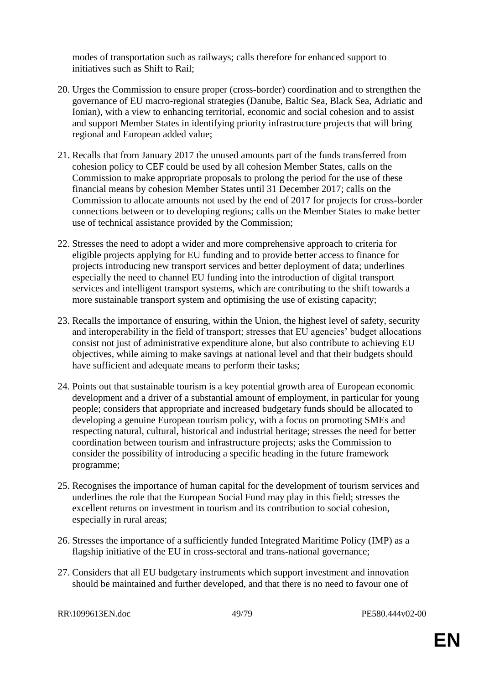modes of transportation such as railways; calls therefore for enhanced support to initiatives such as Shift to Rail;

- 20. Urges the Commission to ensure proper (cross-border) coordination and to strengthen the governance of EU macro-regional strategies (Danube, Baltic Sea, Black Sea, Adriatic and Ionian), with a view to enhancing territorial, economic and social cohesion and to assist and support Member States in identifying priority infrastructure projects that will bring regional and European added value;
- 21. Recalls that from January 2017 the unused amounts part of the funds transferred from cohesion policy to CEF could be used by all cohesion Member States, calls on the Commission to make appropriate proposals to prolong the period for the use of these financial means by cohesion Member States until 31 December 2017; calls on the Commission to allocate amounts not used by the end of 2017 for projects for cross-border connections between or to developing regions; calls on the Member States to make better use of technical assistance provided by the Commission;
- 22. Stresses the need to adopt a wider and more comprehensive approach to criteria for eligible projects applying for EU funding and to provide better access to finance for projects introducing new transport services and better deployment of data; underlines especially the need to channel EU funding into the introduction of digital transport services and intelligent transport systems, which are contributing to the shift towards a more sustainable transport system and optimising the use of existing capacity;
- 23. Recalls the importance of ensuring, within the Union, the highest level of safety, security and interoperability in the field of transport; stresses that EU agencies' budget allocations consist not just of administrative expenditure alone, but also contribute to achieving EU objectives, while aiming to make savings at national level and that their budgets should have sufficient and adequate means to perform their tasks;
- 24. Points out that sustainable tourism is a key potential growth area of European economic development and a driver of a substantial amount of employment, in particular for young people; considers that appropriate and increased budgetary funds should be allocated to developing a genuine European tourism policy, with a focus on promoting SMEs and respecting natural, cultural, historical and industrial heritage; stresses the need for better coordination between tourism and infrastructure projects; asks the Commission to consider the possibility of introducing a specific heading in the future framework programme;
- 25. Recognises the importance of human capital for the development of tourism services and underlines the role that the European Social Fund may play in this field; stresses the excellent returns on investment in tourism and its contribution to social cohesion, especially in rural areas;
- 26. Stresses the importance of a sufficiently funded Integrated Maritime Policy (IMP) as a flagship initiative of the EU in cross-sectoral and trans-national governance;
- 27. Considers that all EU budgetary instruments which support investment and innovation should be maintained and further developed, and that there is no need to favour one of

```
RR\1099613EN.doc 49/79 PE580.444v02-00
```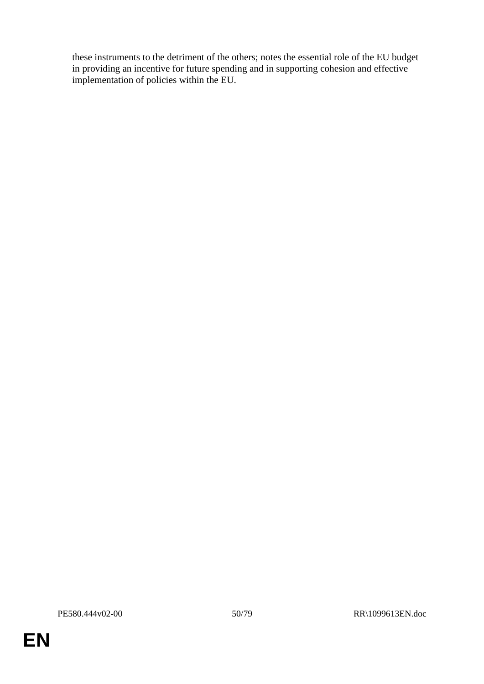these instruments to the detriment of the others; notes the essential role of the EU budget in providing an incentive for future spending and in supporting cohesion and effective implementation of policies within the EU.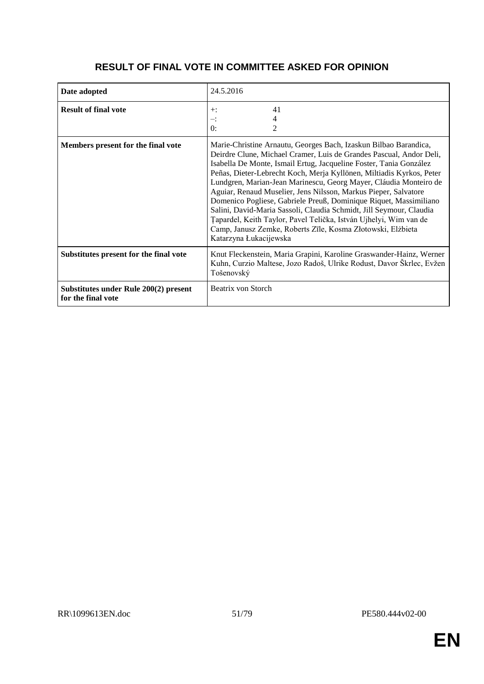#### **Date adopted** 24.5.2016 **Result of final vote**  $+$ : –:  $0:$ 41 4 2 **Members present for the final vote** Marie-Christine Arnautu, Georges Bach, Izaskun Bilbao Barandica, Deirdre Clune, Michael Cramer, Luis de Grandes Pascual, Andor Deli, Isabella De Monte, Ismail Ertug, Jacqueline Foster, Tania González Peñas, Dieter-Lebrecht Koch, Merja Kyllönen, Miltiadis Kyrkos, Peter Lundgren, Marian-Jean Marinescu, Georg Mayer, Cláudia Monteiro de Aguiar, Renaud Muselier, Jens Nilsson, Markus Pieper, Salvatore Domenico Pogliese, Gabriele Preuß, Dominique Riquet, Massimiliano Salini, David-Maria Sassoli, Claudia Schmidt, Jill Seymour, Claudia Țapardel, Keith Taylor, Pavel Telička, István Ujhelyi, Wim van de Camp, Janusz Zemke, Roberts Zīle, Kosma Złotowski, Elżbieta Katarzyna Łukacijewska **Substitutes present for the final vote** Knut Fleckenstein, Maria Grapini, Karoline Graswander-Hainz, Werner Kuhn, Curzio Maltese, Jozo Radoš, Ulrike Rodust, Davor Škrlec, Evžen Tošenovský **Substitutes under Rule 200(2) present**  Beatrix von Storch

## **RESULT OF FINAL VOTE IN COMMITTEE ASKED FOR OPINION**

**for the final vote**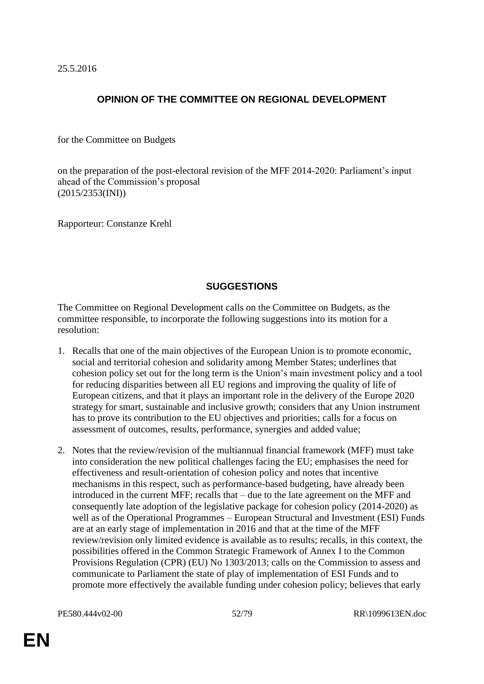25.5.2016

## **OPINION OF THE COMMITTEE ON REGIONAL DEVELOPMENT**

for the Committee on Budgets

on the preparation of the post-electoral revision of the MFF 2014-2020: Parliament's input ahead of the Commission's proposal (2015/2353(INI))

Rapporteur: Constanze Krehl

## **SUGGESTIONS**

The Committee on Regional Development calls on the Committee on Budgets, as the committee responsible, to incorporate the following suggestions into its motion for a resolution:

- 1. Recalls that one of the main objectives of the European Union is to promote economic, social and territorial cohesion and solidarity among Member States; underlines that cohesion policy set out for the long term is the Union's main investment policy and a tool for reducing disparities between all EU regions and improving the quality of life of European citizens, and that it plays an important role in the delivery of the Europe 2020 strategy for smart, sustainable and inclusive growth; considers that any Union instrument has to prove its contribution to the EU objectives and priorities; calls for a focus on assessment of outcomes, results, performance, synergies and added value;
- 2. Notes that the review/revision of the multiannual financial framework (MFF) must take into consideration the new political challenges facing the EU; emphasises the need for effectiveness and result-orientation of cohesion policy and notes that incentive mechanisms in this respect, such as performance-based budgeting, have already been introduced in the current MFF; recalls that – due to the late agreement on the MFF and consequently late adoption of the legislative package for cohesion policy (2014-2020) as well as of the Operational Programmes – European Structural and Investment (ESI) Funds are at an early stage of implementation in 2016 and that at the time of the MFF review/revision only limited evidence is available as to results; recalls, in this context, the possibilities offered in the Common Strategic Framework of Annex I to the Common Provisions Regulation (CPR) (EU) No 1303/2013; calls on the Commission to assess and communicate to Parliament the state of play of implementation of ESI Funds and to promote more effectively the available funding under cohesion policy; believes that early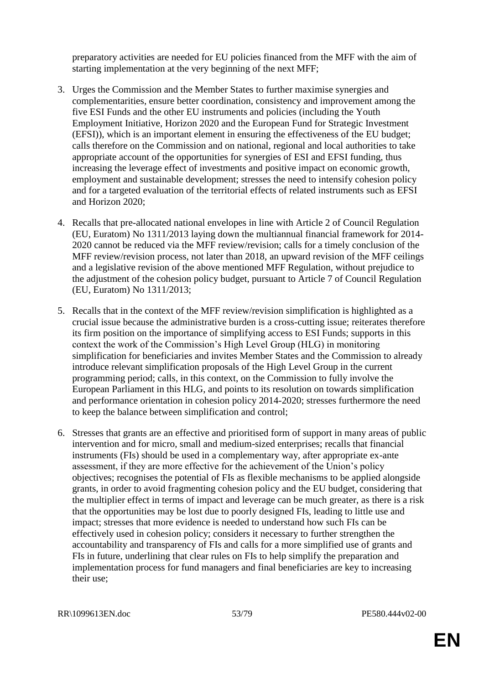preparatory activities are needed for EU policies financed from the MFF with the aim of starting implementation at the very beginning of the next MFF;

- 3. Urges the Commission and the Member States to further maximise synergies and complementarities, ensure better coordination, consistency and improvement among the five ESI Funds and the other EU instruments and policies (including the Youth Employment Initiative, Horizon 2020 and the European Fund for Strategic Investment (EFSI)), which is an important element in ensuring the effectiveness of the EU budget; calls therefore on the Commission and on national, regional and local authorities to take appropriate account of the opportunities for synergies of ESI and EFSI funding, thus increasing the leverage effect of investments and positive impact on economic growth, employment and sustainable development; stresses the need to intensify cohesion policy and for a targeted evaluation of the territorial effects of related instruments such as EFSI and Horizon 2020;
- 4. Recalls that pre-allocated national envelopes in line with Article 2 of Council Regulation (EU, Euratom) No 1311/2013 laying down the multiannual financial framework for 2014- 2020 cannot be reduced via the MFF review/revision; calls for a timely conclusion of the MFF review/revision process, not later than 2018, an upward revision of the MFF ceilings and a legislative revision of the above mentioned MFF Regulation, without prejudice to the adjustment of the cohesion policy budget, pursuant to Article 7 of Council Regulation (EU, Euratom) No 1311/2013;
- 5. Recalls that in the context of the MFF review/revision simplification is highlighted as a crucial issue because the administrative burden is a cross-cutting issue; reiterates therefore its firm position on the importance of simplifying access to ESI Funds; supports in this context the work of the Commission's High Level Group (HLG) in monitoring simplification for beneficiaries and invites Member States and the Commission to already introduce relevant simplification proposals of the High Level Group in the current programming period; calls, in this context, on the Commission to fully involve the European Parliament in this HLG, and points to its resolution on towards simplification and performance orientation in cohesion policy 2014-2020; stresses furthermore the need to keep the balance between simplification and control;
- 6. Stresses that grants are an effective and prioritised form of support in many areas of public intervention and for micro, small and medium-sized enterprises; recalls that financial instruments (FIs) should be used in a complementary way, after appropriate ex-ante assessment, if they are more effective for the achievement of the Union's policy objectives; recognises the potential of FIs as flexible mechanisms to be applied alongside grants, in order to avoid fragmenting cohesion policy and the EU budget, considering that the multiplier effect in terms of impact and leverage can be much greater, as there is a risk that the opportunities may be lost due to poorly designed FIs, leading to little use and impact; stresses that more evidence is needed to understand how such FIs can be effectively used in cohesion policy; considers it necessary to further strengthen the accountability and transparency of FIs and calls for a more simplified use of grants and FIs in future, underlining that clear rules on FIs to help simplify the preparation and implementation process for fund managers and final beneficiaries are key to increasing their use;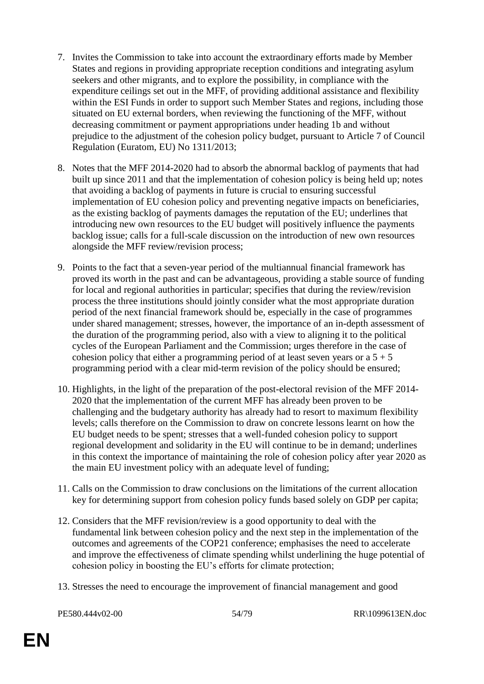- 7. Invites the Commission to take into account the extraordinary efforts made by Member States and regions in providing appropriate reception conditions and integrating asylum seekers and other migrants, and to explore the possibility, in compliance with the expenditure ceilings set out in the MFF, of providing additional assistance and flexibility within the ESI Funds in order to support such Member States and regions, including those situated on EU external borders, when reviewing the functioning of the MFF, without decreasing commitment or payment appropriations under heading 1b and without prejudice to the adjustment of the cohesion policy budget, pursuant to Article 7 of Council Regulation (Euratom, EU) No 1311/2013;
- 8. Notes that the MFF 2014-2020 had to absorb the abnormal backlog of payments that had built up since 2011 and that the implementation of cohesion policy is being held up; notes that avoiding a backlog of payments in future is crucial to ensuring successful implementation of EU cohesion policy and preventing negative impacts on beneficiaries, as the existing backlog of payments damages the reputation of the EU; underlines that introducing new own resources to the EU budget will positively influence the payments backlog issue; calls for a full-scale discussion on the introduction of new own resources alongside the MFF review/revision process;
- 9. Points to the fact that a seven-year period of the multiannual financial framework has proved its worth in the past and can be advantageous, providing a stable source of funding for local and regional authorities in particular; specifies that during the review/revision process the three institutions should jointly consider what the most appropriate duration period of the next financial framework should be, especially in the case of programmes under shared management; stresses, however, the importance of an in-depth assessment of the duration of the programming period, also with a view to aligning it to the political cycles of the European Parliament and the Commission; urges therefore in the case of cohesion policy that either a programming period of at least seven years or a  $5 + 5$ programming period with a clear mid-term revision of the policy should be ensured;
- 10. Highlights, in the light of the preparation of the post-electoral revision of the MFF 2014- 2020 that the implementation of the current MFF has already been proven to be challenging and the budgetary authority has already had to resort to maximum flexibility levels; calls therefore on the Commission to draw on concrete lessons learnt on how the EU budget needs to be spent; stresses that a well-funded cohesion policy to support regional development and solidarity in the EU will continue to be in demand; underlines in this context the importance of maintaining the role of cohesion policy after year 2020 as the main EU investment policy with an adequate level of funding;
- 11. Calls on the Commission to draw conclusions on the limitations of the current allocation key for determining support from cohesion policy funds based solely on GDP per capita;
- 12. Considers that the MFF revision/review is a good opportunity to deal with the fundamental link between cohesion policy and the next step in the implementation of the outcomes and agreements of the COP21 conference; emphasises the need to accelerate and improve the effectiveness of climate spending whilst underlining the huge potential of cohesion policy in boosting the EU's efforts for climate protection;
- 13. Stresses the need to encourage the improvement of financial management and good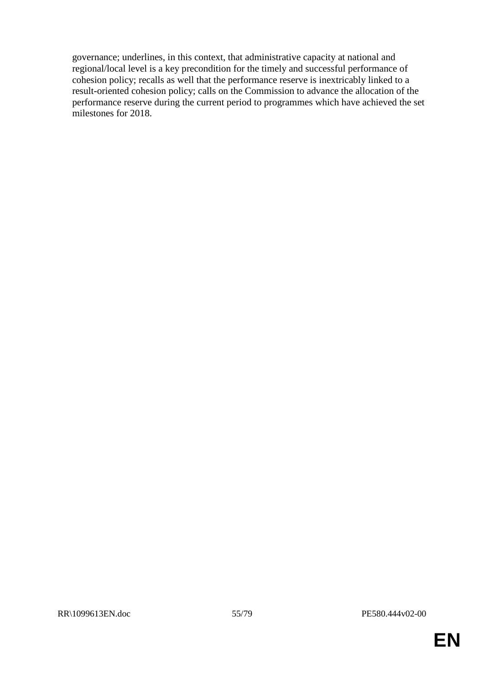governance; underlines, in this context, that administrative capacity at national and regional/local level is a key precondition for the timely and successful performance of cohesion policy; recalls as well that the performance reserve is inextricably linked to a result-oriented cohesion policy; calls on the Commission to advance the allocation of the performance reserve during the current period to programmes which have achieved the set milestones for 2018.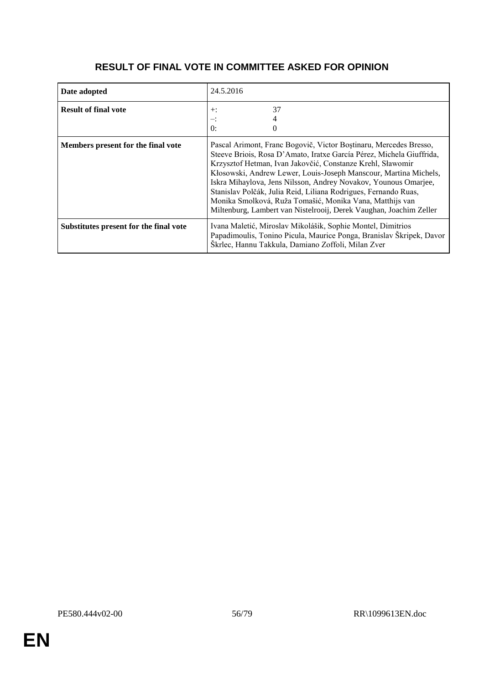| Date adopted                           | 24.5.2016                                                                                                                                                                                                                                                                                                                                                                                                                                                                                                                                           |
|----------------------------------------|-----------------------------------------------------------------------------------------------------------------------------------------------------------------------------------------------------------------------------------------------------------------------------------------------------------------------------------------------------------------------------------------------------------------------------------------------------------------------------------------------------------------------------------------------------|
| <b>Result of final vote</b>            | 37<br>$+$ :<br>$\theta$ :                                                                                                                                                                                                                                                                                                                                                                                                                                                                                                                           |
| Members present for the final vote     | Pascal Arimont, Franc Bogovič, Victor Boștinaru, Mercedes Bresso,<br>Steeve Briois, Rosa D'Amato, Iratxe García Pérez, Michela Giuffrida,<br>Krzysztof Hetman, Ivan Jakovčić, Constanze Krehl, Sławomir<br>Kłosowski, Andrew Lewer, Louis-Joseph Manscour, Martina Michels,<br>Iskra Mihaylova, Jens Nilsson, Andrey Novakov, Younous Omarjee,<br>Stanislav Polčák, Julia Reid, Liliana Rodrigues, Fernando Ruas,<br>Monika Smolková, Ruža Tomašić, Monika Vana, Matthijs van<br>Miltenburg, Lambert van Nistelrooij, Derek Vaughan, Joachim Zeller |
| Substitutes present for the final vote | Ivana Maletić, Miroslav Mikolášik, Sophie Montel, Dimitrios<br>Papadimoulis, Tonino Picula, Maurice Ponga, Branislav Škripek, Davor<br>Škrlec, Hannu Takkula, Damiano Zoffoli, Milan Zver                                                                                                                                                                                                                                                                                                                                                           |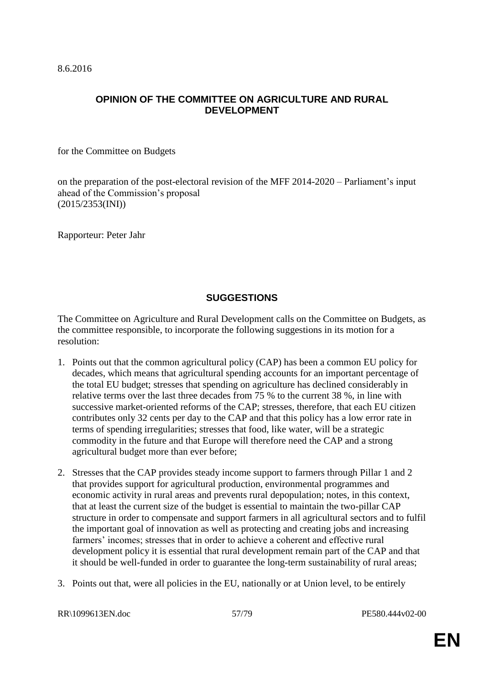8.6.2016

#### **OPINION OF THE COMMITTEE ON AGRICULTURE AND RURAL DEVELOPMENT**

for the Committee on Budgets

on the preparation of the post-electoral revision of the MFF 2014-2020 – Parliament's input ahead of the Commission's proposal (2015/2353(INI))

Rapporteur: Peter Jahr

#### **SUGGESTIONS**

The Committee on Agriculture and Rural Development calls on the Committee on Budgets, as the committee responsible, to incorporate the following suggestions in its motion for a resolution:

- 1. Points out that the common agricultural policy (CAP) has been a common EU policy for decades, which means that agricultural spending accounts for an important percentage of the total EU budget; stresses that spending on agriculture has declined considerably in relative terms over the last three decades from 75 % to the current 38 %, in line with successive market-oriented reforms of the CAP; stresses, therefore, that each EU citizen contributes only 32 cents per day to the CAP and that this policy has a low error rate in terms of spending irregularities; stresses that food, like water, will be a strategic commodity in the future and that Europe will therefore need the CAP and a strong agricultural budget more than ever before;
- 2. Stresses that the CAP provides steady income support to farmers through Pillar 1 and 2 that provides support for agricultural production, environmental programmes and economic activity in rural areas and prevents rural depopulation; notes, in this context, that at least the current size of the budget is essential to maintain the two-pillar CAP structure in order to compensate and support farmers in all agricultural sectors and to fulfil the important goal of innovation as well as protecting and creating jobs and increasing farmers' incomes; stresses that in order to achieve a coherent and effective rural development policy it is essential that rural development remain part of the CAP and that it should be well-funded in order to guarantee the long-term sustainability of rural areas;
- 3. Points out that, were all policies in the EU, nationally or at Union level, to be entirely

RR\1099613EN.doc 57/79 PE580.444v02-00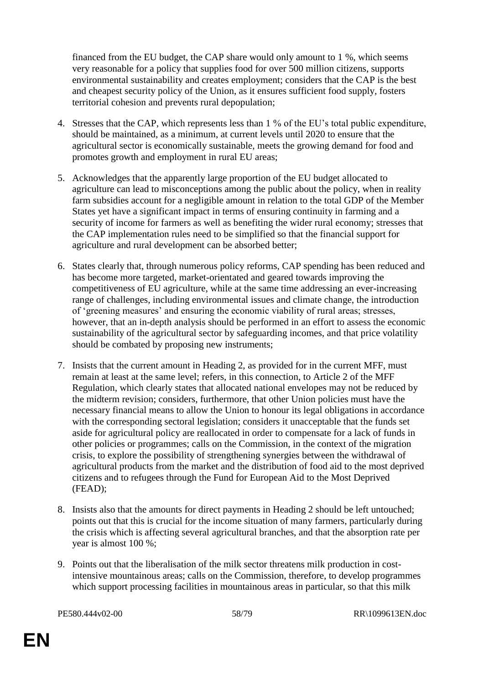financed from the EU budget, the CAP share would only amount to 1 %, which seems very reasonable for a policy that supplies food for over 500 million citizens, supports environmental sustainability and creates employment; considers that the CAP is the best and cheapest security policy of the Union, as it ensures sufficient food supply, fosters territorial cohesion and prevents rural depopulation;

- 4. Stresses that the CAP, which represents less than 1 % of the EU's total public expenditure, should be maintained, as a minimum, at current levels until 2020 to ensure that the agricultural sector is economically sustainable, meets the growing demand for food and promotes growth and employment in rural EU areas;
- 5. Acknowledges that the apparently large proportion of the EU budget allocated to agriculture can lead to misconceptions among the public about the policy, when in reality farm subsidies account for a negligible amount in relation to the total GDP of the Member States yet have a significant impact in terms of ensuring continuity in farming and a security of income for farmers as well as benefiting the wider rural economy; stresses that the CAP implementation rules need to be simplified so that the financial support for agriculture and rural development can be absorbed better;
- 6. States clearly that, through numerous policy reforms, CAP spending has been reduced and has become more targeted, market-orientated and geared towards improving the competitiveness of EU agriculture, while at the same time addressing an ever-increasing range of challenges, including environmental issues and climate change, the introduction of 'greening measures' and ensuring the economic viability of rural areas; stresses, however, that an in-depth analysis should be performed in an effort to assess the economic sustainability of the agricultural sector by safeguarding incomes, and that price volatility should be combated by proposing new instruments;
- 7. Insists that the current amount in Heading 2, as provided for in the current MFF, must remain at least at the same level; refers, in this connection, to Article 2 of the MFF Regulation, which clearly states that allocated national envelopes may not be reduced by the midterm revision; considers, furthermore, that other Union policies must have the necessary financial means to allow the Union to honour its legal obligations in accordance with the corresponding sectoral legislation; considers it unacceptable that the funds set aside for agricultural policy are reallocated in order to compensate for a lack of funds in other policies or programmes; calls on the Commission, in the context of the migration crisis, to explore the possibility of strengthening synergies between the withdrawal of agricultural products from the market and the distribution of food aid to the most deprived citizens and to refugees through the Fund for European Aid to the Most Deprived (FEAD);
- 8. Insists also that the amounts for direct payments in Heading 2 should be left untouched; points out that this is crucial for the income situation of many farmers, particularly during the crisis which is affecting several agricultural branches, and that the absorption rate per year is almost 100 %;
- 9. Points out that the liberalisation of the milk sector threatens milk production in costintensive mountainous areas; calls on the Commission, therefore, to develop programmes which support processing facilities in mountainous areas in particular, so that this milk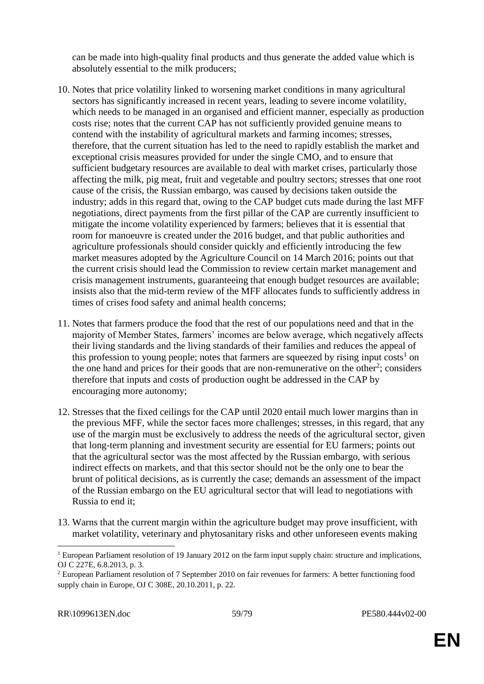can be made into high-quality final products and thus generate the added value which is absolutely essential to the milk producers;

- 10. Notes that price volatility linked to worsening market conditions in many agricultural sectors has significantly increased in recent years, leading to severe income volatility, which needs to be managed in an organised and efficient manner, especially as production costs rise; notes that the current CAP has not sufficiently provided genuine means to contend with the instability of agricultural markets and farming incomes; stresses, therefore, that the current situation has led to the need to rapidly establish the market and exceptional crisis measures provided for under the single CMO, and to ensure that sufficient budgetary resources are available to deal with market crises, particularly those affecting the milk, pig meat, fruit and vegetable and poultry sectors; stresses that one root cause of the crisis, the Russian embargo, was caused by decisions taken outside the industry; adds in this regard that, owing to the CAP budget cuts made during the last MFF negotiations, direct payments from the first pillar of the CAP are currently insufficient to mitigate the income volatility experienced by farmers; believes that it is essential that room for manoeuvre is created under the 2016 budget, and that public authorities and agriculture professionals should consider quickly and efficiently introducing the few market measures adopted by the Agriculture Council on 14 March 2016; points out that the current crisis should lead the Commission to review certain market management and crisis management instruments, guaranteeing that enough budget resources are available; insists also that the mid-term review of the MFF allocates funds to sufficiently address in times of crises food safety and animal health concerns;
- 11. Notes that farmers produce the food that the rest of our populations need and that in the majority of Member States, farmers' incomes are below average, which negatively affects their living standards and the living standards of their families and reduces the appeal of this profession to young people; notes that farmers are squeezed by rising input  $costs<sup>1</sup>$  on the one hand and prices for their goods that are non-remunerative on the other<sup>2</sup>; considers therefore that inputs and costs of production ought be addressed in the CAP by encouraging more autonomy;
- 12. Stresses that the fixed ceilings for the CAP until 2020 entail much lower margins than in the previous MFF, while the sector faces more challenges; stresses, in this regard, that any use of the margin must be exclusively to address the needs of the agricultural sector, given that long-term planning and investment security are essential for EU farmers; points out that the agricultural sector was the most affected by the Russian embargo, with serious indirect effects on markets, and that this sector should not be the only one to bear the brunt of political decisions, as is currently the case; demands an assessment of the impact of the Russian embargo on the EU agricultural sector that will lead to negotiations with Russia to end it;
- 13. Warns that the current margin within the agriculture budget may prove insufficient, with market volatility, veterinary and phytosanitary risks and other unforeseen events making

 $\overline{a}$ <sup>1</sup> European Parliament resolution of 19 January 2012 on the farm input supply chain: structure and implications, OJ C 227E, 6.8.2013, p. 3.

<sup>2</sup> European Parliament resolution of 7 September 2010 on fair revenues for farmers: A better functioning food supply chain in Europe, OJ C 308E, 20.10.2011, p. 22.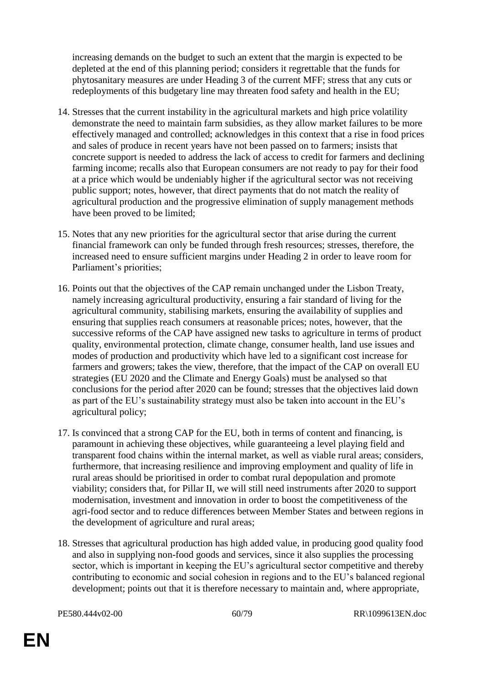increasing demands on the budget to such an extent that the margin is expected to be depleted at the end of this planning period; considers it regrettable that the funds for phytosanitary measures are under Heading 3 of the current MFF; stress that any cuts or redeployments of this budgetary line may threaten food safety and health in the EU;

- 14. Stresses that the current instability in the agricultural markets and high price volatility demonstrate the need to maintain farm subsidies, as they allow market failures to be more effectively managed and controlled; acknowledges in this context that a rise in food prices and sales of produce in recent years have not been passed on to farmers; insists that concrete support is needed to address the lack of access to credit for farmers and declining farming income; recalls also that European consumers are not ready to pay for their food at a price which would be undeniably higher if the agricultural sector was not receiving public support; notes, however, that direct payments that do not match the reality of agricultural production and the progressive elimination of supply management methods have been proved to be limited;
- 15. Notes that any new priorities for the agricultural sector that arise during the current financial framework can only be funded through fresh resources; stresses, therefore, the increased need to ensure sufficient margins under Heading 2 in order to leave room for Parliament's priorities;
- 16. Points out that the objectives of the CAP remain unchanged under the Lisbon Treaty, namely increasing agricultural productivity, ensuring a fair standard of living for the agricultural community, stabilising markets, ensuring the availability of supplies and ensuring that supplies reach consumers at reasonable prices; notes, however, that the successive reforms of the CAP have assigned new tasks to agriculture in terms of product quality, environmental protection, climate change, consumer health, land use issues and modes of production and productivity which have led to a significant cost increase for farmers and growers; takes the view, therefore, that the impact of the CAP on overall EU strategies (EU 2020 and the Climate and Energy Goals) must be analysed so that conclusions for the period after 2020 can be found; stresses that the objectives laid down as part of the EU's sustainability strategy must also be taken into account in the EU's agricultural policy;
- 17. Is convinced that a strong CAP for the EU, both in terms of content and financing, is paramount in achieving these objectives, while guaranteeing a level playing field and transparent food chains within the internal market, as well as viable rural areas; considers, furthermore, that increasing resilience and improving employment and quality of life in rural areas should be prioritised in order to combat rural depopulation and promote viability; considers that, for Pillar II, we will still need instruments after 2020 to support modernisation, investment and innovation in order to boost the competitiveness of the agri-food sector and to reduce differences between Member States and between regions in the development of agriculture and rural areas;
- 18. Stresses that agricultural production has high added value, in producing good quality food and also in supplying non-food goods and services, since it also supplies the processing sector, which is important in keeping the EU's agricultural sector competitive and thereby contributing to economic and social cohesion in regions and to the EU's balanced regional development; points out that it is therefore necessary to maintain and, where appropriate,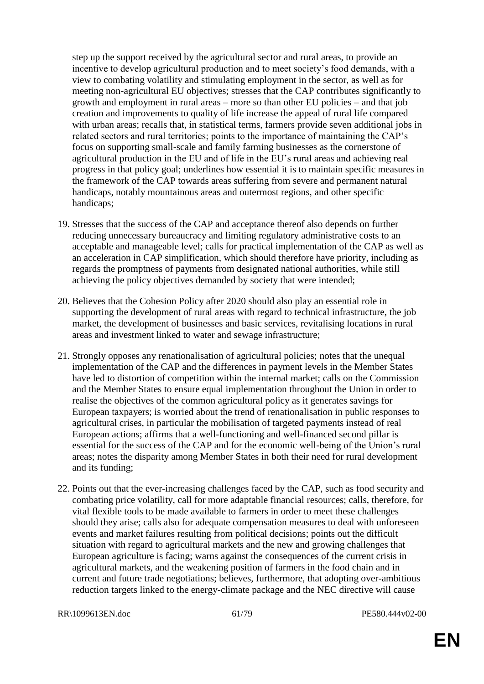step up the support received by the agricultural sector and rural areas, to provide an incentive to develop agricultural production and to meet society's food demands, with a view to combating volatility and stimulating employment in the sector, as well as for meeting non-agricultural EU objectives; stresses that the CAP contributes significantly to growth and employment in rural areas – more so than other EU policies – and that job creation and improvements to quality of life increase the appeal of rural life compared with urban areas; recalls that, in statistical terms, farmers provide seven additional jobs in related sectors and rural territories; points to the importance of maintaining the CAP's focus on supporting small-scale and family farming businesses as the cornerstone of agricultural production in the EU and of life in the EU's rural areas and achieving real progress in that policy goal; underlines how essential it is to maintain specific measures in the framework of the CAP towards areas suffering from severe and permanent natural handicaps, notably mountainous areas and outermost regions, and other specific handicaps;

- 19. Stresses that the success of the CAP and acceptance thereof also depends on further reducing unnecessary bureaucracy and limiting regulatory administrative costs to an acceptable and manageable level; calls for practical implementation of the CAP as well as an acceleration in CAP simplification, which should therefore have priority, including as regards the promptness of payments from designated national authorities, while still achieving the policy objectives demanded by society that were intended;
- 20. Believes that the Cohesion Policy after 2020 should also play an essential role in supporting the development of rural areas with regard to technical infrastructure, the job market, the development of businesses and basic services, revitalising locations in rural areas and investment linked to water and sewage infrastructure;
- 21. Strongly opposes any renationalisation of agricultural policies; notes that the unequal implementation of the CAP and the differences in payment levels in the Member States have led to distortion of competition within the internal market; calls on the Commission and the Member States to ensure equal implementation throughout the Union in order to realise the objectives of the common agricultural policy as it generates savings for European taxpayers; is worried about the trend of renationalisation in public responses to agricultural crises, in particular the mobilisation of targeted payments instead of real European actions; affirms that a well-functioning and well-financed second pillar is essential for the success of the CAP and for the economic well-being of the Union's rural areas; notes the disparity among Member States in both their need for rural development and its funding;
- 22. Points out that the ever-increasing challenges faced by the CAP, such as food security and combating price volatility, call for more adaptable financial resources; calls, therefore, for vital flexible tools to be made available to farmers in order to meet these challenges should they arise; calls also for adequate compensation measures to deal with unforeseen events and market failures resulting from political decisions; points out the difficult situation with regard to agricultural markets and the new and growing challenges that European agriculture is facing; warns against the consequences of the current crisis in agricultural markets, and the weakening position of farmers in the food chain and in current and future trade negotiations; believes, furthermore, that adopting over-ambitious reduction targets linked to the energy-climate package and the NEC directive will cause

RR\1099613EN.doc 61/79 PE580.444v02-00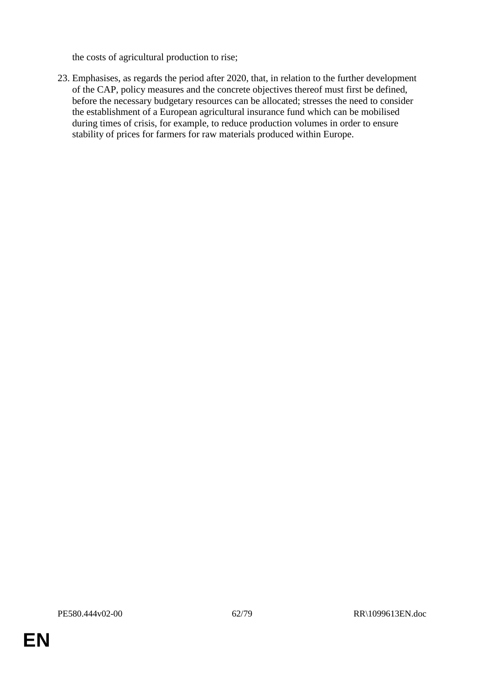the costs of agricultural production to rise;

23. Emphasises, as regards the period after 2020, that, in relation to the further development of the CAP, policy measures and the concrete objectives thereof must first be defined, before the necessary budgetary resources can be allocated; stresses the need to consider the establishment of a European agricultural insurance fund which can be mobilised during times of crisis, for example, to reduce production volumes in order to ensure stability of prices for farmers for raw materials produced within Europe.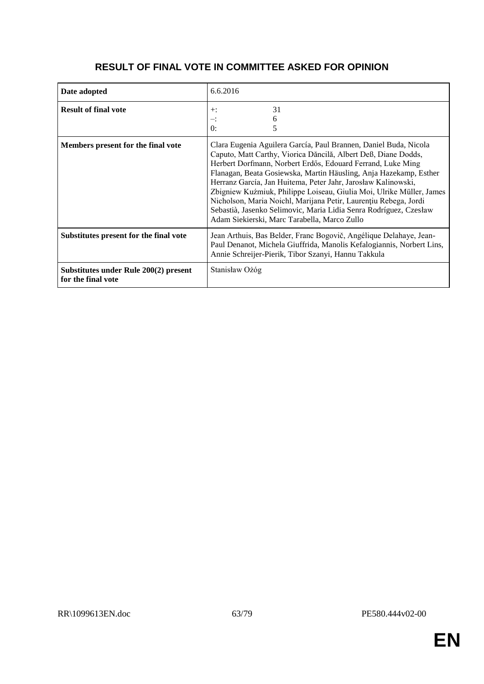| Date adopted                                                | 6.6.2016                                                                                                                                                                                                                                                                                                                                                                                                                                                                                                                                                                                                 |
|-------------------------------------------------------------|----------------------------------------------------------------------------------------------------------------------------------------------------------------------------------------------------------------------------------------------------------------------------------------------------------------------------------------------------------------------------------------------------------------------------------------------------------------------------------------------------------------------------------------------------------------------------------------------------------|
| <b>Result of final vote</b>                                 | 31<br>$+$ :<br>6<br>≕:<br>0:<br>5                                                                                                                                                                                                                                                                                                                                                                                                                                                                                                                                                                        |
| Members present for the final vote                          | Clara Eugenia Aguilera García, Paul Brannen, Daniel Buda, Nicola<br>Caputo, Matt Carthy, Viorica Dăncilă, Albert Deß, Diane Dodds,<br>Herbert Dorfmann, Norbert Erdős, Edouard Ferrand, Luke Ming<br>Flanagan, Beata Gosiewska, Martin Häusling, Anja Hazekamp, Esther<br>Herranz García, Jan Huitema, Peter Jahr, Jarosław Kalinowski,<br>Zbigniew Kuźmiuk, Philippe Loiseau, Giulia Moi, Ulrike Müller, James<br>Nicholson, Maria Noichl, Marijana Petir, Laurențiu Rebega, Jordi<br>Sebastià, Jasenko Selimovic, Maria Lidia Senra Rodríguez, Czesław<br>Adam Siekierski, Marc Tarabella, Marco Zullo |
| Substitutes present for the final vote                      | Jean Arthuis, Bas Belder, Franc Bogovič, Angélique Delahaye, Jean-<br>Paul Denanot, Michela Giuffrida, Manolis Kefalogiannis, Norbert Lins,<br>Annie Schreijer-Pierik, Tibor Szanyi, Hannu Takkula                                                                                                                                                                                                                                                                                                                                                                                                       |
| Substitutes under Rule 200(2) present<br>for the final vote | Stanisław Ożóg                                                                                                                                                                                                                                                                                                                                                                                                                                                                                                                                                                                           |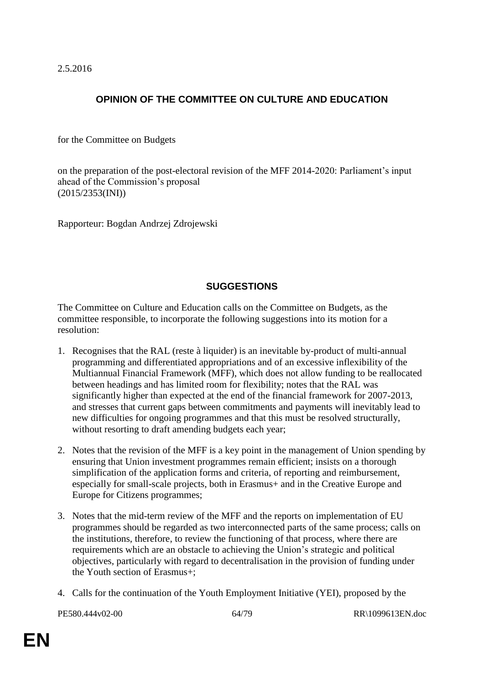2.5.2016

## **OPINION OF THE COMMITTEE ON CULTURE AND EDUCATION**

for the Committee on Budgets

on the preparation of the post-electoral revision of the MFF 2014-2020: Parliament's input ahead of the Commission's proposal (2015/2353(INI))

Rapporteur: Bogdan Andrzej Zdrojewski

#### **SUGGESTIONS**

The Committee on Culture and Education calls on the Committee on Budgets, as the committee responsible, to incorporate the following suggestions into its motion for a resolution:

- 1. Recognises that the RAL (reste à liquider) is an inevitable by-product of multi-annual programming and differentiated appropriations and of an excessive inflexibility of the Multiannual Financial Framework (MFF), which does not allow funding to be reallocated between headings and has limited room for flexibility; notes that the RAL was significantly higher than expected at the end of the financial framework for 2007-2013, and stresses that current gaps between commitments and payments will inevitably lead to new difficulties for ongoing programmes and that this must be resolved structurally, without resorting to draft amending budgets each year;
- 2. Notes that the revision of the MFF is a key point in the management of Union spending by ensuring that Union investment programmes remain efficient; insists on a thorough simplification of the application forms and criteria, of reporting and reimbursement, especially for small-scale projects, both in Erasmus+ and in the Creative Europe and Europe for Citizens programmes;
- 3. Notes that the mid-term review of the MFF and the reports on implementation of EU programmes should be regarded as two interconnected parts of the same process; calls on the institutions, therefore, to review the functioning of that process, where there are requirements which are an obstacle to achieving the Union's strategic and political objectives, particularly with regard to decentralisation in the provision of funding under the Youth section of Erasmus+;
- 4. Calls for the continuation of the Youth Employment Initiative (YEI), proposed by the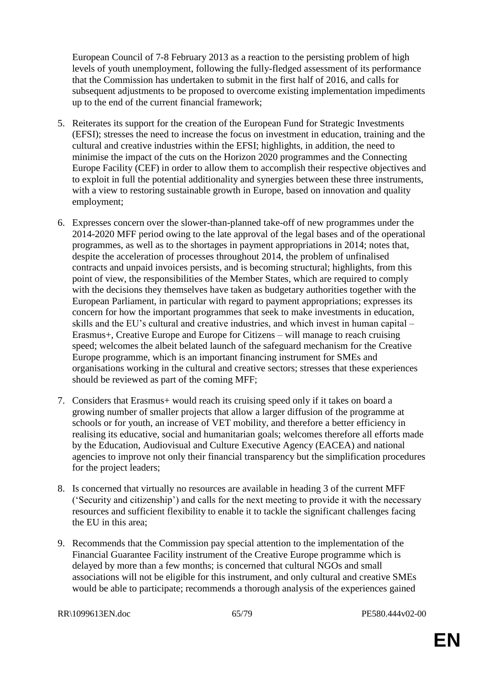European Council of 7-8 February 2013 as a reaction to the persisting problem of high levels of youth unemployment, following the fully-fledged assessment of its performance that the Commission has undertaken to submit in the first half of 2016, and calls for subsequent adjustments to be proposed to overcome existing implementation impediments up to the end of the current financial framework;

- 5. Reiterates its support for the creation of the European Fund for Strategic Investments (EFSI); stresses the need to increase the focus on investment in education, training and the cultural and creative industries within the EFSI; highlights, in addition, the need to minimise the impact of the cuts on the Horizon 2020 programmes and the Connecting Europe Facility (CEF) in order to allow them to accomplish their respective objectives and to exploit in full the potential additionality and synergies between these three instruments, with a view to restoring sustainable growth in Europe, based on innovation and quality employment;
- 6. Expresses concern over the slower-than-planned take-off of new programmes under the 2014-2020 MFF period owing to the late approval of the legal bases and of the operational programmes, as well as to the shortages in payment appropriations in 2014; notes that, despite the acceleration of processes throughout 2014, the problem of unfinalised contracts and unpaid invoices persists, and is becoming structural; highlights, from this point of view, the responsibilities of the Member States, which are required to comply with the decisions they themselves have taken as budgetary authorities together with the European Parliament, in particular with regard to payment appropriations; expresses its concern for how the important programmes that seek to make investments in education, skills and the EU's cultural and creative industries, and which invest in human capital – Erasmus+, Creative Europe and Europe for Citizens – will manage to reach cruising speed; welcomes the albeit belated launch of the safeguard mechanism for the Creative Europe programme, which is an important financing instrument for SMEs and organisations working in the cultural and creative sectors; stresses that these experiences should be reviewed as part of the coming MFF;
- 7. Considers that Erasmus+ would reach its cruising speed only if it takes on board a growing number of smaller projects that allow a larger diffusion of the programme at schools or for youth, an increase of VET mobility, and therefore a better efficiency in realising its educative, social and humanitarian goals; welcomes therefore all efforts made by the Education, Audiovisual and Culture Executive Agency (EACEA) and national agencies to improve not only their financial transparency but the simplification procedures for the project leaders;
- 8. Is concerned that virtually no resources are available in heading 3 of the current MFF ('Security and citizenship') and calls for the next meeting to provide it with the necessary resources and sufficient flexibility to enable it to tackle the significant challenges facing the EU in this area;
- 9. Recommends that the Commission pay special attention to the implementation of the Financial Guarantee Facility instrument of the Creative Europe programme which is delayed by more than a few months; is concerned that cultural NGOs and small associations will not be eligible for this instrument, and only cultural and creative SMEs would be able to participate; recommends a thorough analysis of the experiences gained

RR\1099613EN.doc 65/79 PE580.444v02-00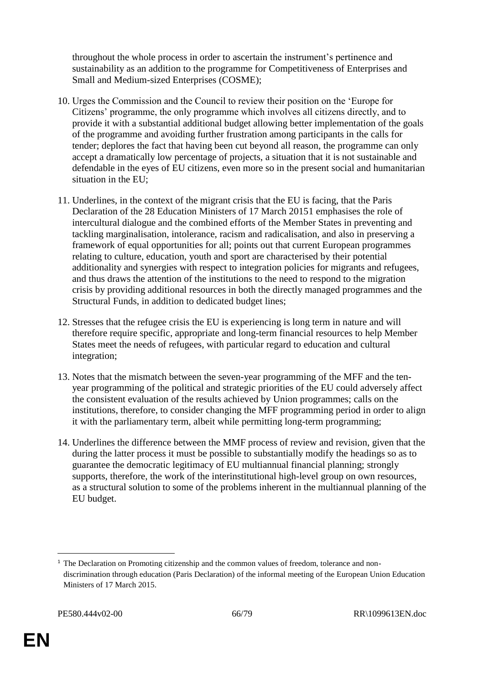throughout the whole process in order to ascertain the instrument's pertinence and sustainability as an addition to the programme for Competitiveness of Enterprises and Small and Medium-sized Enterprises (COSME);

- 10. Urges the Commission and the Council to review their position on the 'Europe for Citizens' programme, the only programme which involves all citizens directly, and to provide it with a substantial additional budget allowing better implementation of the goals of the programme and avoiding further frustration among participants in the calls for tender; deplores the fact that having been cut beyond all reason, the programme can only accept a dramatically low percentage of projects, a situation that it is not sustainable and defendable in the eyes of EU citizens, even more so in the present social and humanitarian situation in the EU;
- 11. Underlines, in the context of the migrant crisis that the EU is facing, that the Paris Declaration of the 28 Education Ministers of 17 March 20151 emphasises the role of intercultural dialogue and the combined efforts of the Member States in preventing and tackling marginalisation, intolerance, racism and radicalisation, and also in preserving a framework of equal opportunities for all; points out that current European programmes relating to culture, education, youth and sport are characterised by their potential additionality and synergies with respect to integration policies for migrants and refugees, and thus draws the attention of the institutions to the need to respond to the migration crisis by providing additional resources in both the directly managed programmes and the Structural Funds, in addition to dedicated budget lines;
- 12. Stresses that the refugee crisis the EU is experiencing is long term in nature and will therefore require specific, appropriate and long-term financial resources to help Member States meet the needs of refugees, with particular regard to education and cultural integration;
- 13. Notes that the mismatch between the seven-year programming of the MFF and the tenyear programming of the political and strategic priorities of the EU could adversely affect the consistent evaluation of the results achieved by Union programmes; calls on the institutions, therefore, to consider changing the MFF programming period in order to align it with the parliamentary term, albeit while permitting long-term programming;
- 14. Underlines the difference between the MMF process of review and revision, given that the during the latter process it must be possible to substantially modify the headings so as to guarantee the democratic legitimacy of EU multiannual financial planning; strongly supports, therefore, the work of the interinstitutional high-level group on own resources, as a structural solution to some of the problems inherent in the multiannual planning of the EU budget.

 $\overline{a}$ <sup>1</sup> The Declaration on Promoting citizenship and the common values of freedom, tolerance and nondiscrimination through education (Paris Declaration) of the informal meeting of the European Union Education Ministers of 17 March 2015.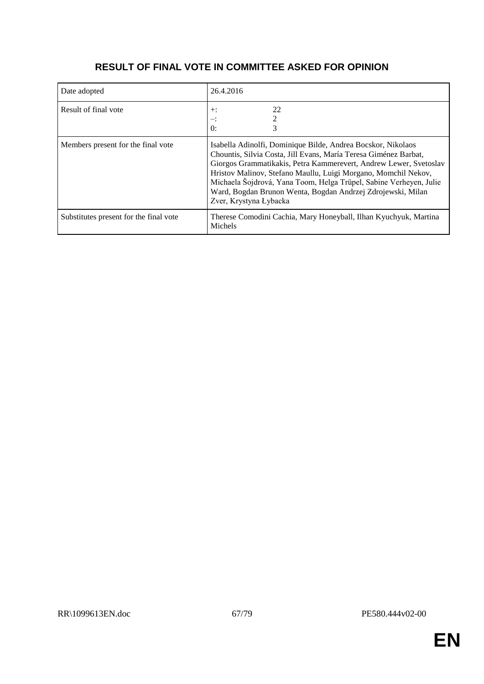| Date adopted                           | 26.4.2016                                                                                                                                                                                                                                                                                                                                                                                                                              |
|----------------------------------------|----------------------------------------------------------------------------------------------------------------------------------------------------------------------------------------------------------------------------------------------------------------------------------------------------------------------------------------------------------------------------------------------------------------------------------------|
| Result of final vote                   | 22<br>$+$ :<br>≕:<br>$\theta$ :                                                                                                                                                                                                                                                                                                                                                                                                        |
| Members present for the final vote     | Isabella Adinolfi, Dominique Bilde, Andrea Bocskor, Nikolaos<br>Chountis, Silvia Costa, Jill Evans, María Teresa Giménez Barbat,<br>Giorgos Grammatikakis, Petra Kammerevert, Andrew Lewer, Svetoslav<br>Hristov Malinov, Stefano Maullu, Luigi Morgano, Momchil Nekov,<br>Michaela Šojdrová, Yana Toom, Helga Trüpel, Sabine Verheyen, Julie<br>Ward, Bogdan Brunon Wenta, Bogdan Andrzej Zdrojewski, Milan<br>Zver, Krystyna Łybacka |
| Substitutes present for the final vote | Therese Comodini Cachia, Mary Honeyball, Ilhan Kyuchyuk, Martina<br>Michels                                                                                                                                                                                                                                                                                                                                                            |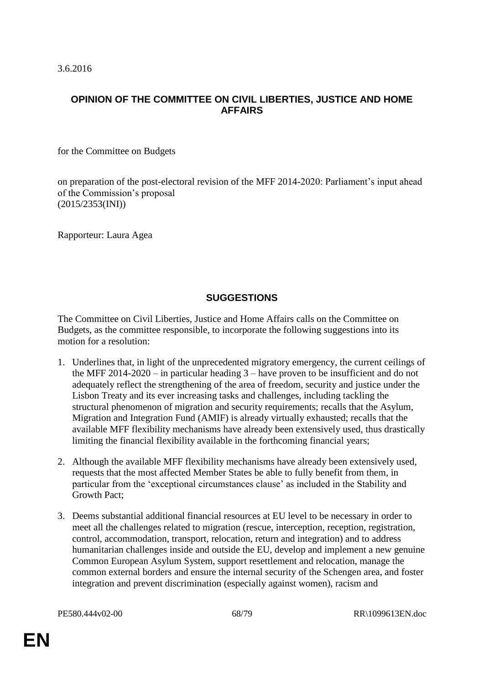3.6.2016

#### **OPINION OF THE COMMITTEE ON CIVIL LIBERTIES, JUSTICE AND HOME AFFAIRS**

for the Committee on Budgets

on preparation of the post-electoral revision of the MFF 2014-2020: Parliament's input ahead of the Commission's proposal (2015/2353(INI))

Rapporteur: Laura Agea

## **SUGGESTIONS**

The Committee on Civil Liberties, Justice and Home Affairs calls on the Committee on Budgets, as the committee responsible, to incorporate the following suggestions into its motion for a resolution:

- 1. Underlines that, in light of the unprecedented migratory emergency, the current ceilings of the MFF 2014-2020 – in particular heading 3 – have proven to be insufficient and do not adequately reflect the strengthening of the area of freedom, security and justice under the Lisbon Treaty and its ever increasing tasks and challenges, including tackling the structural phenomenon of migration and security requirements; recalls that the Asylum, Migration and Integration Fund (AMIF) is already virtually exhausted; recalls that the available MFF flexibility mechanisms have already been extensively used, thus drastically limiting the financial flexibility available in the forthcoming financial years;
- 2. Although the available MFF flexibility mechanisms have already been extensively used, requests that the most affected Member States be able to fully benefit from them, in particular from the 'exceptional circumstances clause' as included in the Stability and Growth Pact;
- 3. Deems substantial additional financial resources at EU level to be necessary in order to meet all the challenges related to migration (rescue, interception, reception, registration, control, accommodation, transport, relocation, return and integration) and to address humanitarian challenges inside and outside the EU, develop and implement a new genuine Common European Asylum System, support resettlement and relocation, manage the common external borders and ensure the internal security of the Schengen area, and foster integration and prevent discrimination (especially against women), racism and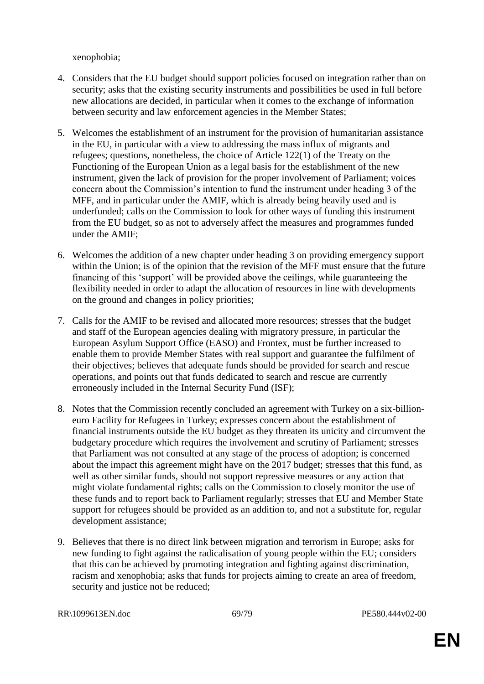xenophobia;

- 4. Considers that the EU budget should support policies focused on integration rather than on security; asks that the existing security instruments and possibilities be used in full before new allocations are decided, in particular when it comes to the exchange of information between security and law enforcement agencies in the Member States;
- 5. Welcomes the establishment of an instrument for the provision of humanitarian assistance in the EU, in particular with a view to addressing the mass influx of migrants and refugees; questions, nonetheless, the choice of Article 122(1) of the Treaty on the Functioning of the European Union as a legal basis for the establishment of the new instrument, given the lack of provision for the proper involvement of Parliament; voices concern about the Commission's intention to fund the instrument under heading 3 of the MFF, and in particular under the AMIF, which is already being heavily used and is underfunded; calls on the Commission to look for other ways of funding this instrument from the EU budget, so as not to adversely affect the measures and programmes funded under the AMIF;
- 6. Welcomes the addition of a new chapter under heading 3 on providing emergency support within the Union; is of the opinion that the revision of the MFF must ensure that the future financing of this 'support' will be provided above the ceilings, while guaranteeing the flexibility needed in order to adapt the allocation of resources in line with developments on the ground and changes in policy priorities;
- 7. Calls for the AMIF to be revised and allocated more resources; stresses that the budget and staff of the European agencies dealing with migratory pressure, in particular the European Asylum Support Office (EASO) and Frontex, must be further increased to enable them to provide Member States with real support and guarantee the fulfilment of their objectives; believes that adequate funds should be provided for search and rescue operations, and points out that funds dedicated to search and rescue are currently erroneously included in the Internal Security Fund (ISF);
- 8. Notes that the Commission recently concluded an agreement with Turkey on a six-billioneuro Facility for Refugees in Turkey; expresses concern about the establishment of financial instruments outside the EU budget as they threaten its unicity and circumvent the budgetary procedure which requires the involvement and scrutiny of Parliament; stresses that Parliament was not consulted at any stage of the process of adoption; is concerned about the impact this agreement might have on the 2017 budget; stresses that this fund, as well as other similar funds, should not support repressive measures or any action that might violate fundamental rights; calls on the Commission to closely monitor the use of these funds and to report back to Parliament regularly; stresses that EU and Member State support for refugees should be provided as an addition to, and not a substitute for, regular development assistance;
- 9. Believes that there is no direct link between migration and terrorism in Europe; asks for new funding to fight against the radicalisation of young people within the EU; considers that this can be achieved by promoting integration and fighting against discrimination, racism and xenophobia; asks that funds for projects aiming to create an area of freedom, security and justice not be reduced;

RR\1099613EN.doc 69/79 PE580.444v02-00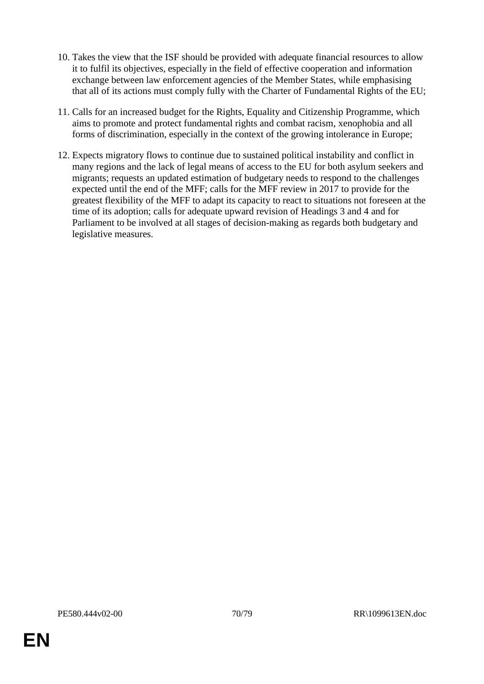- 10. Takes the view that the ISF should be provided with adequate financial resources to allow it to fulfil its objectives, especially in the field of effective cooperation and information exchange between law enforcement agencies of the Member States, while emphasising that all of its actions must comply fully with the Charter of Fundamental Rights of the EU;
- 11. Calls for an increased budget for the Rights, Equality and Citizenship Programme, which aims to promote and protect fundamental rights and combat racism, xenophobia and all forms of discrimination, especially in the context of the growing intolerance in Europe;
- 12. Expects migratory flows to continue due to sustained political instability and conflict in many regions and the lack of legal means of access to the EU for both asylum seekers and migrants; requests an updated estimation of budgetary needs to respond to the challenges expected until the end of the MFF; calls for the MFF review in 2017 to provide for the greatest flexibility of the MFF to adapt its capacity to react to situations not foreseen at the time of its adoption; calls for adequate upward revision of Headings 3 and 4 and for Parliament to be involved at all stages of decision-making as regards both budgetary and legislative measures.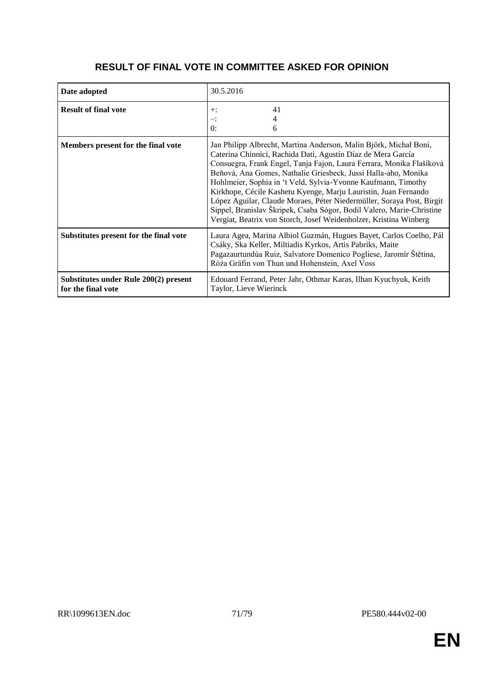| Date adopted                                                | 30.5.2016                                                                                                                                                                                                                                                                                                                                                                                                                                                                                                                                                                                                                              |
|-------------------------------------------------------------|----------------------------------------------------------------------------------------------------------------------------------------------------------------------------------------------------------------------------------------------------------------------------------------------------------------------------------------------------------------------------------------------------------------------------------------------------------------------------------------------------------------------------------------------------------------------------------------------------------------------------------------|
| <b>Result of final vote</b>                                 | 41<br>$+$ :<br>4<br>∹.<br>0:<br>6                                                                                                                                                                                                                                                                                                                                                                                                                                                                                                                                                                                                      |
| Members present for the final vote                          | Jan Philipp Albrecht, Martina Anderson, Malin Björk, Michał Boni,<br>Caterina Chinnici, Rachida Dati, Agustín Díaz de Mera García<br>Consuegra, Frank Engel, Tanja Fajon, Laura Ferrara, Monika Flašíková<br>Beňová, Ana Gomes, Nathalie Griesbeck, Jussi Halla-aho, Monika<br>Hohlmeier, Sophia in 't Veld, Sylvia-Yvonne Kaufmann, Timothy<br>Kirkhope, Cécile Kashetu Kyenge, Marju Lauristin, Juan Fernando<br>López Aguilar, Claude Moraes, Péter Niedermüller, Soraya Post, Birgit<br>Sippel, Branislav Škripek, Csaba Sógor, Bodil Valero, Marie-Christine<br>Vergiat, Beatrix von Storch, Josef Weidenholzer, Kristina Winberg |
| Substitutes present for the final vote                      | Laura Agea, Marina Albiol Guzmán, Hugues Bayet, Carlos Coelho, Pál<br>Csáky, Ska Keller, Miltiadis Kyrkos, Artis Pabriks, Maite<br>Pagazaurtundúa Ruiz, Salvatore Domenico Pogliese, Jaromír Štětina,<br>Róża Gräfin von Thun und Hohenstein, Axel Voss                                                                                                                                                                                                                                                                                                                                                                                |
| Substitutes under Rule 200(2) present<br>for the final vote | Edouard Ferrand, Peter Jahr, Othmar Karas, Ilhan Kyuchyuk, Keith<br>Taylor, Lieve Wierinck                                                                                                                                                                                                                                                                                                                                                                                                                                                                                                                                             |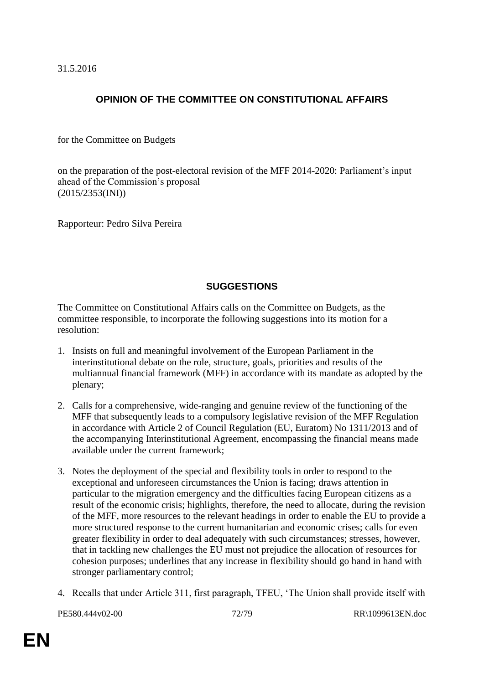31.5.2016

# **OPINION OF THE COMMITTEE ON CONSTITUTIONAL AFFAIRS**

for the Committee on Budgets

on the preparation of the post-electoral revision of the MFF 2014-2020: Parliament's input ahead of the Commission's proposal (2015/2353(INI))

Rapporteur: Pedro Silva Pereira

# **SUGGESTIONS**

The Committee on Constitutional Affairs calls on the Committee on Budgets, as the committee responsible, to incorporate the following suggestions into its motion for a resolution:

- 1. Insists on full and meaningful involvement of the European Parliament in the interinstitutional debate on the role, structure, goals, priorities and results of the multiannual financial framework (MFF) in accordance with its mandate as adopted by the plenary;
- 2. Calls for a comprehensive, wide-ranging and genuine review of the functioning of the MFF that subsequently leads to a compulsory legislative revision of the MFF Regulation in accordance with Article 2 of Council Regulation (EU, Euratom) No 1311/2013 and of the accompanying Interinstitutional Agreement, encompassing the financial means made available under the current framework;
- 3. Notes the deployment of the special and flexibility tools in order to respond to the exceptional and unforeseen circumstances the Union is facing; draws attention in particular to the migration emergency and the difficulties facing European citizens as a result of the economic crisis; highlights, therefore, the need to allocate, during the revision of the MFF, more resources to the relevant headings in order to enable the EU to provide a more structured response to the current humanitarian and economic crises; calls for even greater flexibility in order to deal adequately with such circumstances; stresses, however, that in tackling new challenges the EU must not prejudice the allocation of resources for cohesion purposes; underlines that any increase in flexibility should go hand in hand with stronger parliamentary control;
- 4. Recalls that under Article 311, first paragraph, TFEU, 'The Union shall provide itself with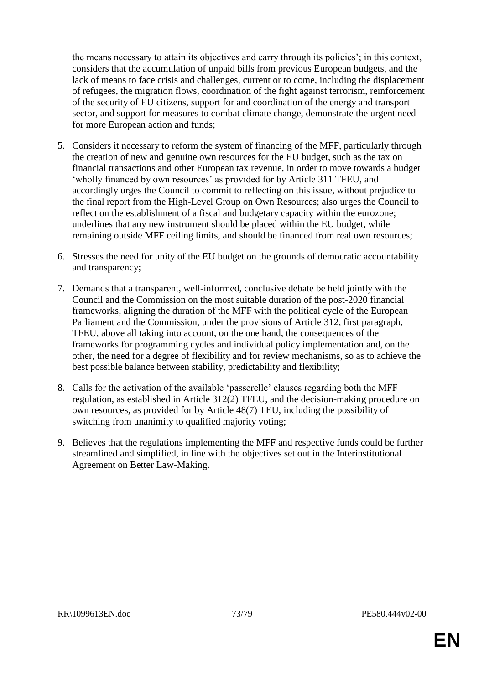the means necessary to attain its objectives and carry through its policies'; in this context, considers that the accumulation of unpaid bills from previous European budgets, and the lack of means to face crisis and challenges, current or to come, including the displacement of refugees, the migration flows, coordination of the fight against terrorism, reinforcement of the security of EU citizens, support for and coordination of the energy and transport sector, and support for measures to combat climate change, demonstrate the urgent need for more European action and funds;

- 5. Considers it necessary to reform the system of financing of the MFF, particularly through the creation of new and genuine own resources for the EU budget, such as the tax on financial transactions and other European tax revenue, in order to move towards a budget 'wholly financed by own resources' as provided for by Article 311 TFEU, and accordingly urges the Council to commit to reflecting on this issue, without prejudice to the final report from the High-Level Group on Own Resources; also urges the Council to reflect on the establishment of a fiscal and budgetary capacity within the eurozone; underlines that any new instrument should be placed within the EU budget, while remaining outside MFF ceiling limits, and should be financed from real own resources;
- 6. Stresses the need for unity of the EU budget on the grounds of democratic accountability and transparency;
- 7. Demands that a transparent, well-informed, conclusive debate be held jointly with the Council and the Commission on the most suitable duration of the post-2020 financial frameworks, aligning the duration of the MFF with the political cycle of the European Parliament and the Commission, under the provisions of Article 312, first paragraph, TFEU, above all taking into account, on the one hand, the consequences of the frameworks for programming cycles and individual policy implementation and, on the other, the need for a degree of flexibility and for review mechanisms, so as to achieve the best possible balance between stability, predictability and flexibility;
- 8. Calls for the activation of the available 'passerelle' clauses regarding both the MFF regulation, as established in Article 312(2) TFEU, and the decision-making procedure on own resources, as provided for by Article 48(7) TEU, including the possibility of switching from unanimity to qualified majority voting;
- 9. Believes that the regulations implementing the MFF and respective funds could be further streamlined and simplified, in line with the objectives set out in the Interinstitutional Agreement on Better Law-Making.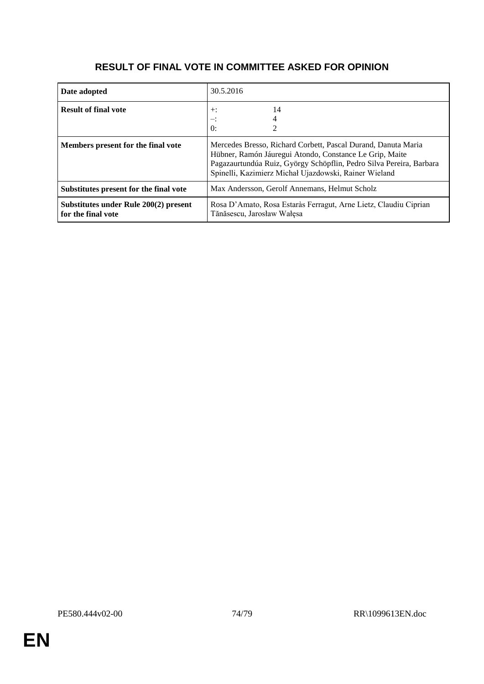## **RESULT OF FINAL VOTE IN COMMITTEE ASKED FOR OPINION**

| Date adopted                                                | 30.5.2016                                                                                                                                                                                                                                                |
|-------------------------------------------------------------|----------------------------------------------------------------------------------------------------------------------------------------------------------------------------------------------------------------------------------------------------------|
| <b>Result of final vote</b>                                 | 14<br>$+$ :<br>≕:<br>$\theta$ :                                                                                                                                                                                                                          |
| Members present for the final vote                          | Mercedes Bresso, Richard Corbett, Pascal Durand, Danuta Maria<br>Hübner, Ramón Jáuregui Atondo, Constance Le Grip, Maite<br>Pagazaurtundúa Ruiz, György Schöpflin, Pedro Silva Pereira, Barbara<br>Spinelli, Kazimierz Michał Ujazdowski, Rainer Wieland |
| Substitutes present for the final vote                      | Max Andersson, Gerolf Annemans, Helmut Scholz                                                                                                                                                                                                            |
| Substitutes under Rule 200(2) present<br>for the final vote | Rosa D'Amato, Rosa Estaràs Ferragut, Arne Lietz, Claudiu Ciprian<br>Tănăsescu, Jarosław Wałęsa                                                                                                                                                           |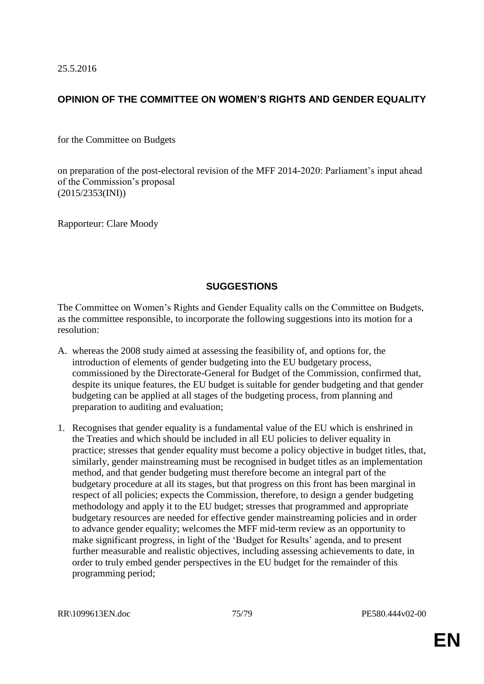25.5.2016

## **OPINION OF THE COMMITTEE ON WOMEN'S RIGHTS AND GENDER EQUALITY**

for the Committee on Budgets

on preparation of the post-electoral revision of the MFF 2014-2020: Parliament's input ahead of the Commission's proposal (2015/2353(INI))

Rapporteur: Clare Moody

## **SUGGESTIONS**

The Committee on Women's Rights and Gender Equality calls on the Committee on Budgets, as the committee responsible, to incorporate the following suggestions into its motion for a resolution:

- A. whereas the 2008 study aimed at assessing the feasibility of, and options for, the introduction of elements of gender budgeting into the EU budgetary process, commissioned by the Directorate-General for Budget of the Commission, confirmed that, despite its unique features, the EU budget is suitable for gender budgeting and that gender budgeting can be applied at all stages of the budgeting process, from planning and preparation to auditing and evaluation;
- 1. Recognises that gender equality is a fundamental value of the EU which is enshrined in the Treaties and which should be included in all EU policies to deliver equality in practice; stresses that gender equality must become a policy objective in budget titles, that, similarly, gender mainstreaming must be recognised in budget titles as an implementation method, and that gender budgeting must therefore become an integral part of the budgetary procedure at all its stages, but that progress on this front has been marginal in respect of all policies; expects the Commission, therefore, to design a gender budgeting methodology and apply it to the EU budget; stresses that programmed and appropriate budgetary resources are needed for effective gender mainstreaming policies and in order to advance gender equality; welcomes the MFF mid-term review as an opportunity to make significant progress, in light of the 'Budget for Results' agenda, and to present further measurable and realistic objectives, including assessing achievements to date, in order to truly embed gender perspectives in the EU budget for the remainder of this programming period;

RR\1099613EN.doc 75/79 PE580.444v02-00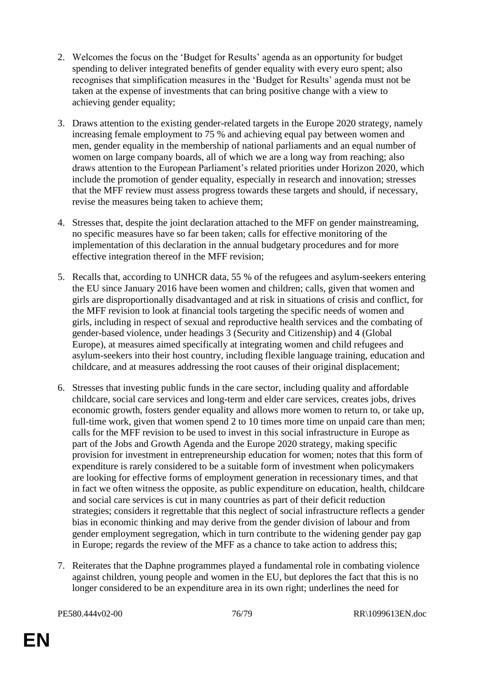- 2. Welcomes the focus on the 'Budget for Results' agenda as an opportunity for budget spending to deliver integrated benefits of gender equality with every euro spent; also recognises that simplification measures in the 'Budget for Results' agenda must not be taken at the expense of investments that can bring positive change with a view to achieving gender equality;
- 3. Draws attention to the existing gender-related targets in the Europe 2020 strategy, namely increasing female employment to 75 % and achieving equal pay between women and men, gender equality in the membership of national parliaments and an equal number of women on large company boards, all of which we are a long way from reaching; also draws attention to the European Parliament's related priorities under Horizon 2020, which include the promotion of gender equality, especially in research and innovation; stresses that the MFF review must assess progress towards these targets and should, if necessary, revise the measures being taken to achieve them;
- 4. Stresses that, despite the joint declaration attached to the MFF on gender mainstreaming, no specific measures have so far been taken; calls for effective monitoring of the implementation of this declaration in the annual budgetary procedures and for more effective integration thereof in the MFF revision;
- 5. Recalls that, according to UNHCR data, 55 % of the refugees and asylum-seekers entering the EU since January 2016 have been women and children; calls, given that women and girls are disproportionally disadvantaged and at risk in situations of crisis and conflict, for the MFF revision to look at financial tools targeting the specific needs of women and girls, including in respect of sexual and reproductive health services and the combating of gender-based violence, under headings 3 (Security and Citizenship) and 4 (Global Europe), at measures aimed specifically at integrating women and child refugees and asylum-seekers into their host country, including flexible language training, education and childcare, and at measures addressing the root causes of their original displacement;
- 6. Stresses that investing public funds in the care sector, including quality and affordable childcare, social care services and long-term and elder care services, creates jobs, drives economic growth, fosters gender equality and allows more women to return to, or take up, full-time work, given that women spend 2 to 10 times more time on unpaid care than men; calls for the MFF revision to be used to invest in this social infrastructure in Europe as part of the Jobs and Growth Agenda and the Europe 2020 strategy, making specific provision for investment in entrepreneurship education for women; notes that this form of expenditure is rarely considered to be a suitable form of investment when policymakers are looking for effective forms of employment generation in recessionary times, and that in fact we often witness the opposite, as public expenditure on education, health, childcare and social care services is cut in many countries as part of their deficit reduction strategies; considers it regrettable that this neglect of social infrastructure reflects a gender bias in economic thinking and may derive from the gender division of labour and from gender employment segregation, which in turn contribute to the widening gender pay gap in Europe; regards the review of the MFF as a chance to take action to address this;
- 7. Reiterates that the Daphne programmes played a fundamental role in combating violence against children, young people and women in the EU, but deplores the fact that this is no longer considered to be an expenditure area in its own right; underlines the need for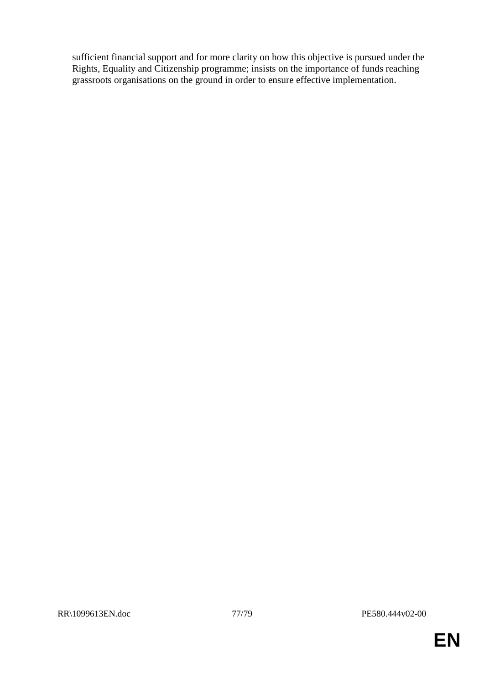sufficient financial support and for more clarity on how this objective is pursued under the Rights, Equality and Citizenship programme; insists on the importance of funds reaching grassroots organisations on the ground in order to ensure effective implementation.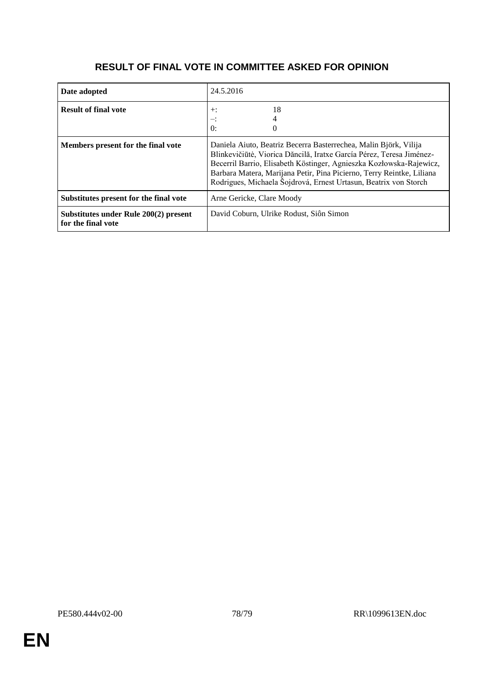## **RESULT OF FINAL VOTE IN COMMITTEE ASKED FOR OPINION**

| Date adopted                                                | 24.5.2016                                                                                                                                                                                                                                                                                                                                                    |
|-------------------------------------------------------------|--------------------------------------------------------------------------------------------------------------------------------------------------------------------------------------------------------------------------------------------------------------------------------------------------------------------------------------------------------------|
| <b>Result of final vote</b>                                 | 18<br>$+$ :<br>$\theta$ :                                                                                                                                                                                                                                                                                                                                    |
| Members present for the final vote                          | Daniela Aiuto, Beatriz Becerra Basterrechea, Malin Björk, Vilija<br>Blinkevičiūtė, Viorica Dăncilă, Iratxe García Pérez, Teresa Jiménez-<br>Becerril Barrio, Elisabeth Köstinger, Agnieszka Kozłowska-Rajewicz,<br>Barbara Matera, Marijana Petir, Pina Picierno, Terry Reintke, Liliana<br>Rodrigues, Michaela Šojdrová, Ernest Urtasun, Beatrix von Storch |
| Substitutes present for the final vote                      | Arne Gericke, Clare Moody                                                                                                                                                                                                                                                                                                                                    |
| Substitutes under Rule 200(2) present<br>for the final vote | David Coburn, Ulrike Rodust, Siôn Simon                                                                                                                                                                                                                                                                                                                      |